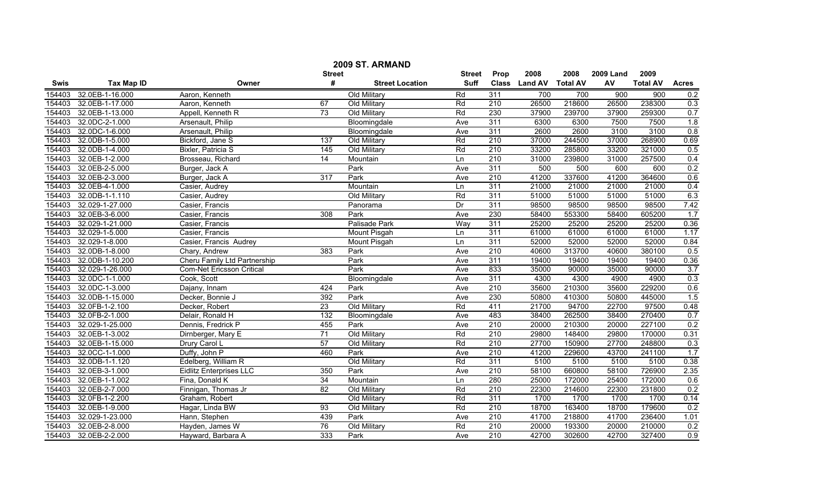|        | 2009 ST. ARMAND   |                                  |                 |                        |               |                  |                |                 |                  |                 |              |  |
|--------|-------------------|----------------------------------|-----------------|------------------------|---------------|------------------|----------------|-----------------|------------------|-----------------|--------------|--|
|        |                   |                                  | <b>Street</b>   |                        | <b>Street</b> | <b>Prop</b>      | 2008           | 2008            | <b>2009 Land</b> | 2009            |              |  |
| Swis   | <b>Tax Map ID</b> | Owner                            | #               | <b>Street Location</b> | <b>Suff</b>   | <b>Class</b>     | <b>Land AV</b> | <b>Total AV</b> | AV               | <b>Total AV</b> | <b>Acres</b> |  |
| 154403 | 32.0EB-1-16.000   | Aaron, Kenneth                   |                 | Old Military           | Rd            | 311              | 700            | 700             | 900              | 900             | 0.2          |  |
| 154403 | 32.0EB-1-17.000   | Aaron, Kenneth                   | 67              | Old Military           | Rd            | 210              | 26500          | 218600          | 26500            | 238300          | 0.3          |  |
| 154403 | 32.0EB-1-13.000   | Appell, Kenneth R                | 73              | Old Military           | Rd            | 230              | 37900          | 239700          | 37900            | 259300          | 0.7          |  |
| 154403 | 32.0DC-2-1.000    | Arsenault, Philip                |                 | Bloomingdale           | Ave           | 311              | 6300           | 6300            | 7500             | 7500            | 1.8          |  |
| 154403 | 32.0DC-1-6.000    | Arsenault, Philip                |                 | Bloomingdale           | Ave           | 311              | 2600           | 2600            | 3100             | 3100            | 0.8          |  |
| 154403 | 32.0DB-1-5.000    | Bickford, Jane S                 | 137             | Old Military           | Rd            | $\overline{210}$ | 37000          | 244500          | 37000            | 268900          | 0.69         |  |
| 154403 | 32.0DB-1-4.000    | Bixler, Patricia S               | 145             | Old Military           | Rd            | 210              | 33200          | 285800          | 33200            | 321000          | 0.5          |  |
| 154403 | 32.0EB-1-2.000    | Brosseau, Richard                | $\overline{14}$ | Mountain               | Ln            | 210              | 31000          | 239800          | 31000            | 257500          | 0.4          |  |
| 154403 | 32.0EB-2-5.000    | Burger, Jack A                   |                 | Park                   | Ave           | 311              | 500            | 500             | 600              | 600             | 0.2          |  |
| 154403 | 32.0EB-2-3.000    | Burger, Jack A                   | 317             | Park                   | Ave           | 210              | 41200          | 337600          | 41200            | 364600          | 0.6          |  |
| 154403 | 32.0EB-4-1.000    | Casier, Audrey                   |                 | Mountain               | Ln            | 311              | 21000          | 21000           | 21000            | 21000           | 0.4          |  |
| 154403 | 32.0DB-1-1.110    | Casier, Audrey                   |                 | Old Military           | Rd            | 311              | 51000          | 51000           | 51000            | 51000           | 6.3          |  |
| 154403 | 32.029-1-27.000   | Casier, Francis                  |                 | Panorama               | Dr            | 311              | 98500          | 98500           | 98500            | 98500           | 7.42         |  |
| 154403 | 32.0EB-3-6.000    | Casier, Francis                  | 308             | Park                   | Ave           | 230              | 58400          | 553300          | 58400            | 605200          | 1.7          |  |
| 154403 | 32.029-1-21.000   | Casier, Francis                  |                 | Palisade Park          | Way           | 311              | 25200          | 25200           | 25200            | 25200           | 0.36         |  |
| 154403 | 32.029-1-5.000    | Casier, Francis                  |                 | Mount Pisgah           | Ln            | 311              | 61000          | 61000           | 61000            | 61000           | 1.17         |  |
| 154403 | 32.029-1-8.000    | Casier, Francis Audrey           |                 | Mount Pisgah           | Ln            | 311              | 52000          | 52000           | 52000            | 52000           | 0.84         |  |
| 154403 | 32.0DB-1-8.000    | Chary, Andrew                    | 383             | Park                   | Ave           | $\overline{210}$ | 40600          | 313700          | 40600            | 380100          | 0.5          |  |
| 154403 | 32.0DB-1-10.200   | Cheru Family Ltd Partnership     |                 | Park                   | Ave           | 311              | 19400          | 19400           | 19400            | 19400           | 0.36         |  |
| 154403 | 32.029-1-26.000   | <b>Com-Net Ericsson Critical</b> |                 | Park                   | Ave           | 833              | 35000          | 90000           | 35000            | 90000           | 3.7          |  |
| 154403 | 32.0DC-1-1.000    | Cook, Scott                      |                 | Bloomingdale           | Ave           | 311              | 4300           | 4300            | 4900             | 4900            | 0.3          |  |
| 154403 | 32.0DC-1-3.000    | Dajany, Innam                    | 424             | Park                   | Ave           | 210              | 35600          | 210300          | 35600            | 229200          | 0.6          |  |
| 154403 | 32.0DB-1-15.000   | Decker, Bonnie J                 | 392             | Park                   | Ave           | 230              | 50800          | 410300          | 50800            | 445000          | 1.5          |  |
| 154403 | 32.0FB-1-2.100    | Decker, Robert                   | 23              | Old Military           | Rd            | 411              | 21700          | 94700           | 22700            | 97500           | 0.48         |  |
| 154403 | 32.0FB-2-1.000    | Delair, Ronald H                 | 132             | Bloomingdale           | Ave           | 483              | 38400          | 262500          | 38400            | 270400          | 0.7          |  |
| 154403 | 32.029-1-25.000   | Dennis, Fredrick P               | 455             | Park                   | Ave           | 210              | 20000          | 210300          | 20000            | 227100          | 0.2          |  |
| 154403 | 32.0EB-1-3.002    | Dirnberger, Mary E               | 71              | Old Military           | Rd            | 210              | 29800          | 148400          | 29800            | 170000          | 0.31         |  |
| 154403 | 32.0EB-1-15.000   | Drury Carol L                    | 57              | Old Military           | Rd            | 210              | 27700          | 150900          | 27700            | 248800          | 0.3          |  |
| 154403 | 32.0CC-1-1.000    | Duffy, John P                    | 460             | Park                   | Ave           | 210              | 41200          | 229600          | 43700            | 241100          | 1.7          |  |
| 154403 | 32.0DB-1-1.120    | Edelberg, William R              |                 | Old Military           | Rd            | 311              | 5100           | 5100            | 5100             | 5100            | 0.38         |  |
| 154403 | 32.0EB-3-1.000    | <b>Eidlitz Enterprises LLC</b>   | 350             | Park                   | Ave           | 210              | 58100          | 660800          | 58100            | 726900          | 2.35         |  |
| 154403 | 32.0EB-1-1.002    | Fina, Donald K                   | 34              | Mountain               | Ln            | 280              | 25000          | 172000          | 25400            | 172000          | 0.6          |  |
| 154403 | 32.0EB-2-7.000    | Finnigan, Thomas Jr              | 82              | Old Military           | Rd            | 210              | 22300          | 214600          | 22300            | 231800          | 0.2          |  |
| 154403 | 32.0FB-1-2.200    | Graham, Robert                   |                 | Old Military           | Rd            | 311              | 1700           | 1700            | 1700             | 1700            | 0.14         |  |
| 154403 | 32.0EB-1-9.000    | Hagar, Linda BW                  | 93              | Old Military           | Rd            | 210              | 18700          | 163400          | 18700            | 179600          | 0.2          |  |
| 154403 | 32.029-1-23.000   | Hann, Stephen                    | 439             | Park                   | Ave           | 210              | 41700          | 218800          | 41700            | 236400          | 1.01         |  |
| 154403 | 32.0EB-2-8.000    | Hayden, James W                  | 76              | Old Military           | Rd            | 210              | 20000          | 193300          | 20000            | 210000          | 0.2          |  |
| 154403 | 32.0EB-2-2.000    | Hayward, Barbara A               | 333             | Park                   | Ave           | 210              | 42700          | 302600          | 42700            | 327400          | 0.9          |  |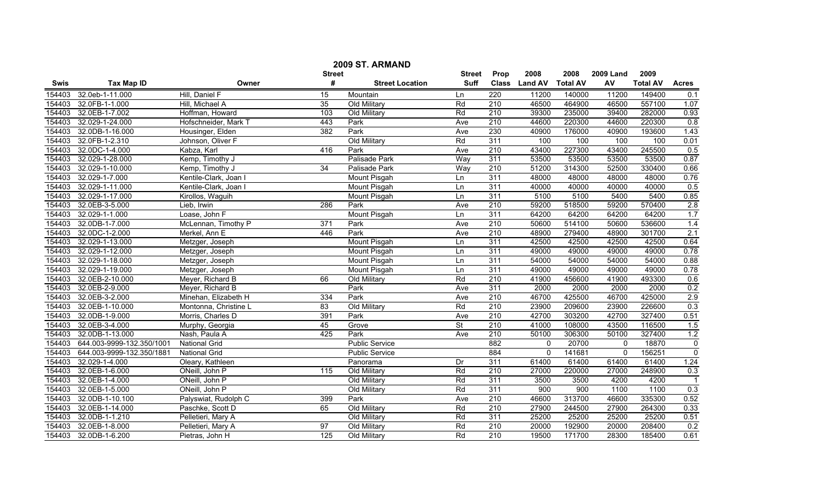|             | 2009 ST. ARMAND           |                       |                 |                        |                          |                  |                |                 |                  |                 |                  |  |
|-------------|---------------------------|-----------------------|-----------------|------------------------|--------------------------|------------------|----------------|-----------------|------------------|-----------------|------------------|--|
|             |                           |                       | <b>Street</b>   |                        | <b>Street</b>            | <b>Prop</b>      | 2008           | 2008            | <b>2009 Land</b> | 2009            |                  |  |
| <b>Swis</b> | <b>Tax Map ID</b>         | Owner                 | #               | <b>Street Location</b> | <b>Suff</b>              | <b>Class</b>     | <b>Land AV</b> | <b>Total AV</b> | AV               | <b>Total AV</b> | <b>Acres</b>     |  |
| 154403      | 32.0eb-1-11.000           | Hill, Daniel F        | $\overline{15}$ | Mountain               | Ln                       | 220              | 11200          | 140000          | 11200            | 149400          | 0.1              |  |
| 154403      | 32.0FB-1-1.000            | Hill, Michael A       | 35              | Old Military           | Rd                       | $\overline{210}$ | 46500          | 464900          | 46500            | 557100          | 1.07             |  |
| 154403      | 32.0EB-1-7.002            | Hoffman, Howard       | 103             | Old Military           | Rd                       | $\overline{210}$ | 39300          | 235000          | 39400            | 282000          | 0.93             |  |
| 154403      | 32.029-1-24.000           | Hofschneider, Mark T  | 443             | Park                   | Ave                      | 210              | 44600          | 220300          | 44600            | 220300          | $\overline{0.8}$ |  |
| 154403      | 32.0DB-1-16.000           | Housinger, Elden      | 382             | Park                   | Ave                      | 230              | 40900          | 176000          | 40900            | 193600          | 1.43             |  |
| 154403      | 32.0FB-1-2.310            | Johnson, Oliver F     |                 | Old Military           | Rd                       | 311              | 100            | 100             | 100              | 100             | 0.01             |  |
| 154403      | 32.0DC-1-4.000            | Kabza, Karl           | 416             | Park                   | Ave                      | 210              | 43400          | 227300          | 43400            | 245500          | 0.5              |  |
| 154403      | 32.029-1-28.000           | Kemp, Timothy J       |                 | Palisade Park          | Way                      | 311              | 53500          | 53500           | 53500            | 53500           | 0.87             |  |
| 154403      | 32.029-1-10.000           | Kemp, Timothy J       | 34              | Palisade Park          | Way                      | $\overline{210}$ | 51200          | 314300          | 52500            | 330400          | 0.66             |  |
| 154403      | 32.029-1-7.000            | Kentile-Clark, Joan I |                 | <b>Mount Pisgah</b>    | Ln                       | 311              | 48000          | 48000           | 48000            | 48000           | 0.76             |  |
| 154403      | 32.029-1-11.000           | Kentile-Clark, Joan I |                 | Mount Pisgah           | Ln                       | 311              | 40000          | 40000           | 40000            | 40000           | $\overline{0.5}$ |  |
| 154403      | 32.029-1-17.000           | Kirollos, Waguih      |                 | Mount Pisgah           | Ln                       | $\overline{311}$ | 5100           | 5100            | 5400             | 5400            | 0.85             |  |
| 154403      | 32.0EB-3-5.000            | Lieb, Irwin           | 286             | Park                   | Ave                      | 210              | 59200          | 518500          | 59200            | 570400          | 2.8              |  |
| 154403      | 32.029-1-1.000            | Loase, John F         |                 | <b>Mount Pisgah</b>    | Ln                       | 311              | 64200          | 64200           | 64200            | 64200           | 1.7              |  |
| 154403      | 32.0DB-1-7.000            | McLennan, Timothy P   | 371             | Park                   | Ave                      | $\overline{210}$ | 50600          | 514100          | 50600            | 536600          | 1.4              |  |
| 154403      | 32.0DC-1-2.000            | Merkel, Ann E         | 446             | Park                   | Ave                      | $\overline{210}$ | 48900          | 279400          | 48900            | 301700          | 2.1              |  |
| 154403      | 32.029-1-13.000           | Metzger, Joseph       |                 | <b>Mount Pisgah</b>    | Ln                       | 311              | 42500          | 42500           | 42500            | 42500           | 0.64             |  |
| 154403      | 32.029-1-12.000           | Metzger, Joseph       |                 | <b>Mount Pisgah</b>    | Ln                       | 311              | 49000          | 49000           | 49000            | 49000           | 0.78             |  |
| 154403      | 32.029-1-18.000           | Metzger, Joseph       |                 | <b>Mount Pisgah</b>    | Ln                       | 311              | 54000          | 54000           | 54000            | 54000           | 0.88             |  |
| 154403      | 32.029-1-19.000           | Metzger, Joseph       |                 | Mount Pisgah           | Ln                       | 311              | 49000          | 49000           | 49000            | 49000           | 0.78             |  |
| 154403      | 32.0EB-2-10.000           | Meyer, Richard B      | 66              | Old Military           | Rd                       | 210              | 41900          | 456600          | 41900            | 493300          | 0.6              |  |
| 154403      | 32.0EB-2-9.000            | Meyer, Richard B      |                 | Park                   | Ave                      | 311              | 2000           | 2000            | 2000             | 2000            | 0.2              |  |
| 154403      | 32.0EB-3-2.000            | Minehan, Elizabeth H  | 334             | Park                   | Ave                      | $\overline{210}$ | 46700          | 425500          | 46700            | 425000          | 2.9              |  |
| 154403      | 32.0EB-1-10.000           | Montonna, Christine L | 83              | Old Military           | Rd                       | 210              | 23900          | 209600          | 23900            | 226600          | 0.3              |  |
| 154403      | 32.0DB-1-9.000            | Morris, Charles D     | 391             | Park                   | Ave                      | $\overline{210}$ | 42700          | 303200          | 42700            | 327400          | 0.51             |  |
| 154403      | 32.0EB-3-4.000            | Murphy, Georgia       | 45              | Grove                  | $\overline{\mathsf{St}}$ | $\overline{210}$ | 41000          | 108000          | 43500            | 116500          | 1.5              |  |
| 154403      | 32.0DB-1-13.000           | Nash, Paula A         | 425             | Park                   | Ave                      | 210              | 50100          | 306300          | 50100            | 327400          | 1.2              |  |
| 154403      | 644.003-9999-132.350/1001 | <b>National Grid</b>  |                 | <b>Public Service</b>  |                          | 882              | $\mathbf{0}$   | 20700           | 0                | 18870           | $\mathbf 0$      |  |
| 154403      | 644.003-9999-132.350/1881 | <b>National Grid</b>  |                 | Public Service         |                          | 884              | $\mathbf{0}$   | 141681          | $\mathbf 0$      | 156251          | $\overline{0}$   |  |
| 154403      | 32.029-1-4.000            | Oleary, Kathleen      |                 | Panorama               | Dr                       | 311              | 61400          | 61400           | 61400            | 61400           | 1.24             |  |
| 154403      | 32.0EB-1-6.000            | ONeill, John P        | 115             | Old Military           | Rd                       | 210              | 27000          | 220000          | 27000            | 248900          | 0.3              |  |
| 154403      | 32.0EB-1-4.000            | ONeill, John P        |                 | Old Military           | Rd                       | 311              | 3500           | 3500            | 4200             | 4200            | $\overline{1}$   |  |
| 154403      | 32.0EB-1-5.000            | ONeill, John P        |                 | Old Military           | Rd                       | 311              | 900            | 900             | 1100             | 1100            | 0.3              |  |
| 154403      | 32.0DB-1-10.100           | Palyswiat, Rudolph C  | 399             | Park                   | Ave                      | $\overline{210}$ | 46600          | 313700          | 46600            | 335300          | 0.52             |  |
| 154403      | 32.0EB-1-14.000           | Paschke, Scott D      | 65              | Old Military           | Rd                       | $\overline{210}$ | 27900          | 244500          | 27900            | 264300          | 0.33             |  |
| 154403      | 32.0DB-1-1.210            | Pelletieri, Mary A    |                 | Old Military           | Rd                       | 311              | 25200          | 25200           | 25200            | 25200           | 0.51             |  |
| 154403      | 32.0EB-1-8.000            | Pelletieri, Mary A    | $\overline{97}$ | Old Military           | Rd                       | $\overline{210}$ | 20000          | 192900          | 20000            | 208400          | $\overline{0.2}$ |  |
| 154403      | 32.0DB-1-6.200            | Pietras, John H       | 125             | Old Military           | Rd                       | 210              | 19500          | 171700          | 28300            | 185400          | 0.61             |  |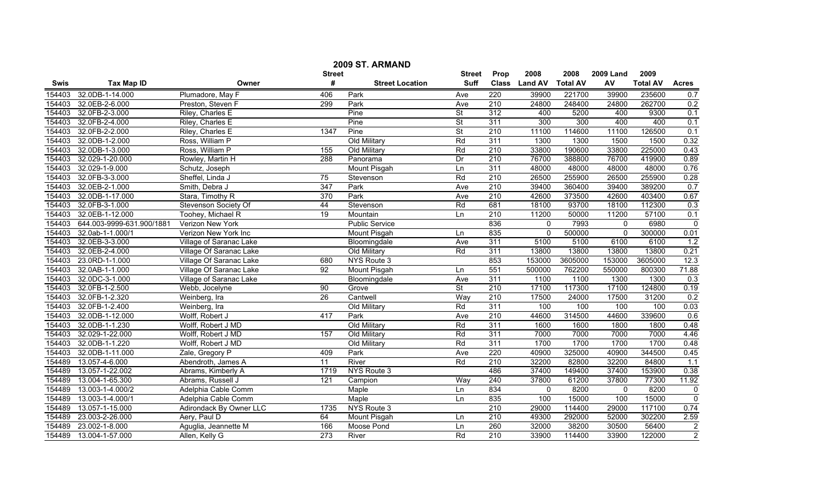|             | 2009 ST. ARMAND<br>2008<br>2009<br><b>Street</b><br><b>Street</b><br>2008<br><b>2009 Land</b> |                         |                  |                        |                          |                      |                |                 |             |                 |                  |
|-------------|-----------------------------------------------------------------------------------------------|-------------------------|------------------|------------------------|--------------------------|----------------------|----------------|-----------------|-------------|-----------------|------------------|
| <b>Swis</b> | <b>Tax Map ID</b>                                                                             | Owner                   | #                | <b>Street Location</b> | <b>Suff</b>              | Prop<br><b>Class</b> | <b>Land AV</b> | <b>Total AV</b> | AV          | <b>Total AV</b> | <b>Acres</b>     |
| 154403      | 32.0DB-1-14.000                                                                               | Plumadore, May F        | 406              | Park                   | Ave                      | 220                  | 39900          | 221700          | 39900       | 235600          | 0.7              |
| 154403      | 32.0EB-2-6.000                                                                                | Preston, Steven F       | 299              | Park                   | Ave                      | $\overline{210}$     | 24800          | 248400          | 24800       | 262700          | 0.2              |
| 154403      | 32.0FB-2-3.000                                                                                | Riley, Charles E        |                  | Pine                   | St                       | 312                  | 400            | 5200            | 400         | 9300            | 0.1              |
| 154403      | 32.0FB-2-4.000                                                                                | Riley, Charles E        |                  | Pine                   | $\overline{\mathsf{St}}$ | 311                  | 300            | 300             | 400         | 400             | 0.1              |
| 154403      | 32.0FB-2-2.000                                                                                | Riley, Charles E        | 1347             | Pine                   | <b>St</b>                | 210                  | 11100          | 114600          | 11100       | 126500          | 0.1              |
| 154403      | 32.0DB-1-2.000                                                                                | Ross, William P         |                  | Old Military           | Rd                       | 311                  | 1300           | 1300            | 1500        | 1500            | 0.32             |
| 154403      | 32.0DB-1-3.000                                                                                | Ross, William P         | 155              | Old Military           | Rd                       | 210                  | 33800          | 190600          | 33800       | 225000          | 0.43             |
| 154403      | 32.029-1-20.000                                                                               | Rowley, Martin H        | 288              | Panorama               | Dr                       | 210                  | 76700          | 388800          | 76700       | 419900          | 0.89             |
| 154403      | 32.029-1-9.000                                                                                | Schutz, Joseph          |                  | Mount Pisgah           | Ln                       | 311                  | 48000          | 48000           | 48000       | 48000           | 0.76             |
| 154403      | 32.0FB-3-3.000                                                                                | Sheffel, Linda J        | 75               | Stevenson              | Rd                       | $\overline{210}$     | 26500          | 255900          | 26500       | 255900          | 0.28             |
| 154403      | 32.0EB-2-1.000                                                                                | Smith, Debra J          | $\overline{347}$ | Park                   | Ave                      | $\overline{210}$     | 39400          | 360400          | 39400       | 389200          | 0.7              |
| 154403      | 32.0DB-1-17.000                                                                               | Stara, Timothy R        | 370              | Park                   | Ave                      | 210                  | 42600          | 373500          | 42600       | 403400          | 0.67             |
| 154403      | 32.0FB-3-1.000                                                                                | Stevenson Society Of    | 44               | Stevenson              | Rd                       | 681                  | 18100          | 93700           | 18100       | 112300          | 0.3              |
| 154403      | 32.0EB-1-12.000                                                                               | Toohey, Michael R       | $\overline{19}$  | Mountain               | Ln                       | $\overline{210}$     | 11200          | 50000           | 11200       | 57100           | 0.1              |
| 154403      | 644.003-9999-631.900/1881                                                                     | Verizon New York        |                  | Public Service         |                          | 836                  | $\mathbf{0}$   | 7993            | $\mathbf 0$ | 6980            | $\mathsf 0$      |
| 154403      | 32.0ab-1-1.000/1                                                                              | Verizon New York Inc    |                  | Mount Pisgah           | Ln                       | 835                  | $\mathbf 0$    | 500000          | $\mathbf 0$ | 300000          | 0.01             |
| 154403      | 32.0EB-3-3.000                                                                                | Village of Saranac Lake |                  | Bloomingdale           | Ave                      | 311                  | 5100           | 5100            | 6100        | 6100            | 1.2              |
| 154403      | 32.0EB-2-4.000                                                                                | Village Of Saranac Lake |                  | Old Military           | Rd                       | 311                  | 13800          | 13800           | 13800       | 13800           | 0.21             |
| 154403      | 23.0RD-1-1.000                                                                                | Village Of Saranac Lake | 680              | NYS Route 3            |                          | 853                  | 153000         | 3605000         | 153000      | 3605000         | 12.3             |
| 154403      | 32.0AB-1-1.000                                                                                | Village Of Saranac Lake | 92               | Mount Pisgah           | Ln                       | 551                  | 500000         | 762200          | 550000      | 800300          | 71.88            |
| 154403      | 32.0DC-3-1.000                                                                                | Village of Saranac Lake |                  | Bloomingdale           | Ave                      | 311                  | 1100           | 1100            | 1300        | 1300            | 0.3              |
| 154403      | 32.0FB-1-2.500                                                                                | Webb, Jocelyne          | $\overline{90}$  | Grove                  | St                       | $\overline{210}$     | 17100          | 117300          | 17100       | 124800          | 0.19             |
| 154403      | 32.0FB-1-2.320                                                                                | Weinberg, Ira           | 26               | Cantwell               | Way                      | 210                  | 17500          | 24000           | 17500       | 31200           | 0.2              |
| 154403      | 32.0FB-1-2.400                                                                                | Weinberg, Ira           |                  | Old Military           | Rd                       | 311                  | 100            | 100             | 100         | 100             | 0.03             |
| 154403      | 32.0DB-1-12.000                                                                               | Wolff, Robert J         | 417              | Park                   | Ave                      | 210                  | 44600          | 314500          | 44600       | 339600          | 0.6              |
| 154403      | 32.0DB-1-1.230                                                                                | Wolff, Robert J MD      |                  | Old Military           | Rd                       | 311                  | 1600           | 1600            | 1800        | 1800            | 0.48             |
| 154403      | 32.029-1-22.000                                                                               | Wolff, Robert J MD      | 157              | Old Military           | Rd                       | 311                  | 7000           | 7000            | 7000        | 7000            | 4.46             |
| 154403      | 32.0DB-1-1.220                                                                                | Wolff, Robert J MD      |                  | Old Military           | Rd                       | 311                  | 1700           | 1700            | 1700        | 1700            | 0.48             |
| 154403      | 32.0DB-1-11.000                                                                               | Zale, Gregory P         | 409              | Park                   | Ave                      | 220                  | 40900          | 325000          | 40900       | 344500          | 0.45             |
| 154489      | 13.057-4-6.000                                                                                | Abendroth, James A      | 11               | River                  | Rd                       | 210                  | 32200          | 82800           | 32200       | 84800           | 1.1              |
| 154489      | 13.057-1-22.002                                                                               | Abrams, Kimberly A      | 1719             | NYS Route 3            |                          | 486                  | 37400          | 149400          | 37400       | 153900          | 0.38             |
| 154489      | 13.004-1-65.300                                                                               | Abrams, Russell J       | 121              | Campion                | Way                      | 240                  | 37800          | 61200           | 37800       | 77300           | 11.92            |
| 154489      | 13.003-1-4.000/2                                                                              | Adelphia Cable Comm     |                  | Maple                  | Ln                       | 834                  | 0              | 8200            | 0           | 8200            | 0                |
| 154489      | 13.003-1-4.000/1                                                                              | Adelphia Cable Comm     |                  | Maple                  | Ln                       | 835                  | 100            | 15000           | 100         | 15000           | $\overline{0}$   |
| 154489      | 13.057-1-15.000                                                                               | Adirondack By Owner LLC | 1735             | NYS Route 3            |                          | $\overline{210}$     | 29000          | 114400          | 29000       | 117100          | 0.74             |
| 154489      | 23.003-2-26.000                                                                               | Aery, Paul D            | 64               | Mount Pisgah           | Ln                       | $\overline{210}$     | 49300          | 292000          | 52000       | 302200          | 2.59             |
| 154489      | 23.002-1-8.000                                                                                | Aguglia, Jeannette M    | 166              | Moose Pond             | Ln                       | 260                  | 32000          | 38200           | 30500       | 56400           | $\boldsymbol{2}$ |
| 154489      | 13.004-1-57.000                                                                               | Allen, Kelly G          | 273              | River                  | Rd                       | 210                  | 33900          | 114400          | 33900       | 122000          | $\overline{2}$   |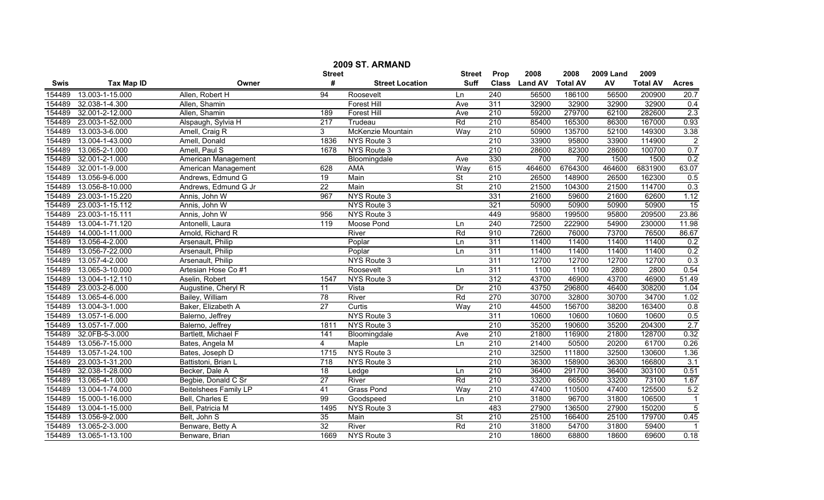|             | 2009 ST. ARMAND   |                       |                  |                        |               |                  |                |                 |                  |                 |                  |  |
|-------------|-------------------|-----------------------|------------------|------------------------|---------------|------------------|----------------|-----------------|------------------|-----------------|------------------|--|
|             |                   |                       | <b>Street</b>    |                        | <b>Street</b> | <b>Prop</b>      | 2008           | 2008            | <b>2009 Land</b> | 2009            |                  |  |
| <b>Swis</b> | <b>Tax Map ID</b> | Owner                 | #                | <b>Street Location</b> | <b>Suff</b>   | <b>Class</b>     | <b>Land AV</b> | <b>Total AV</b> | AV               | <b>Total AV</b> | <b>Acres</b>     |  |
| 154489      | 13.003-1-15.000   | Allen, Robert H       | 94               | Roosevelt              | Ln.           | 240              | 56500          | 186100          | 56500            | 200900          | 20.7             |  |
| 154489      | 32.038-1-4.300    | Allen, Shamin         |                  | <b>Forest Hill</b>     | Ave           | 311              | 32900          | 32900           | 32900            | 32900           | 0.4              |  |
| 154489      | 32.001-2-12.000   | Allen, Shamin         | 189              | Forest Hill            | Ave           | $\overline{210}$ | 59200          | 279700          | 62100            | 282600          | $\overline{2.3}$ |  |
| 154489      | 23.003-1-52.000   | Alspaugh, Sylvia H    | 217              | Trudeau                | Rd            | 210              | 85400          | 165300          | 86300            | 167000          | 0.93             |  |
| 154489      | 13.003-3-6.000    | Amell, Craig R        | 3                | McKenzie Mountain      | Way           | 210              | 50900          | 135700          | 52100            | 149300          | 3.38             |  |
| 154489      | 13.004-1-43.000   | Amell, Donald         | 1836             | NYS Route 3            |               | 210              | 33900          | 95800           | 33900            | 114900          | $\overline{2}$   |  |
| 154489      | 13.065-2-1.000    | Amell, Paul S         | 1678             | NYS Route 3            |               | 210              | 28600          | 82300           | 28600            | 100700          | 0.7              |  |
| 154489      | 32.001-2-1.000    | American Management   |                  | Bloomingdale           | Ave           | 330              | 700            | 700             | 1500             | 1500            | 0.2              |  |
| 154489      | 32.001-1-9.000    | American Management   | 628              | AMA                    | Way           | 615              | 464600         | 6764300         | 464600           | 6831900         | 63.07            |  |
| 154489      | 13.056-9-6.000    | Andrews, Edmund G     | $\overline{19}$  | Main                   | St            | 210              | 26500          | 148900          | 26500            | 162300          | 0.5              |  |
| 154489      | 13.056-8-10.000   | Andrews, Edmund G Jr  | $\overline{22}$  | Main                   | <b>St</b>     | 210              | 21500          | 104300          | 21500            | 114700          | 0.3              |  |
| 154489      | 23.003-1-15.220   | Annis, John W         | 967              | NYS Route 3            |               | 331              | 21600          | 59600           | 21600            | 62600           | 1.12             |  |
| 154489      | 23.003-1-15.112   | Annis, John W         |                  | NYS Route 3            |               | 321              | 50900          | 50900           | 50900            | 50900           | $\overline{15}$  |  |
| 154489      | 23.003-1-15.111   | Annis, John W         | 956              | NYS Route 3            |               | 449              | 95800          | 199500          | 95800            | 209500          | 23.86            |  |
| 154489      | 13.004-1-71.120   | Antonelli, Laura      | 119              | Moose Pond             | Ln            | $\overline{240}$ | 72500          | 222900          | 54900            | 230000          | 11.98            |  |
| 154489      | 14.000-1-11.000   | Arnold, Richard R     |                  | River                  | Rd            | 910              | 72600          | 76000           | 73700            | 76500           | 86.67            |  |
| 154489      | 13.056-4-2.000    | Arsenault, Philip     |                  | Poplar                 | Ln            | 311              | 11400          | 11400           | 11400            | 11400           | 0.2              |  |
| 154489      | 13.056-7-22.000   | Arsenault, Philip     |                  | Poplar                 | Ln            | 311              | 11400          | 11400           | 11400            | 11400           | 0.2              |  |
| 154489      | 13.057-4-2.000    | Arsenault, Philip     |                  | NYS Route 3            |               | 311              | 12700          | 12700           | 12700            | 12700           | 0.3              |  |
| 154489      | 13.065-3-10.000   | Artesian Hose Co #1   |                  | Roosevelt              | Ln            | 311              | 1100           | 1100            | 2800             | 2800            | 0.54             |  |
| 154489      | 13.004-1-12.110   | Aselin, Robert        | 1547             | NYS Route 3            |               | 312              | 43700          | 46900           | 43700            | 46900           | 51.49            |  |
| 154489      | 23.003-2-6.000    | Augustine, Cheryl R   | 11               | Vista                  | Dr            | 210              | 43750          | 296800          | 46400            | 308200          | 1.04             |  |
| 154489      | 13.065-4-6.000    | Bailey, William       | $\overline{78}$  | River                  | Rd            | 270              | 30700          | 32800           | 30700            | 34700           | 1.02             |  |
| 154489      | 13.004-3-1.000    | Baker, Elizabeth A    | $\overline{27}$  | Curtis                 | Way           | 210              | 44500          | 156700          | 38200            | 163400          | 0.8              |  |
| 154489      | 13.057-1-6.000    | Balerno, Jeffrey      |                  | NYS Route 3            |               | 311              | 10600          | 10600           | 10600            | 10600           | 0.5              |  |
| 154489      | 13.057-1-7.000    | Balerno, Jeffrey      | 1811             | NYS Route 3            |               | 210              | 35200          | 190600          | 35200            | 204300          | 2.7              |  |
| 154489      | 32.0FB-5-3.000    | Bartlett, Michael F   | 141              | Bloomingdale           | Ave           | 210              | 21800          | 116900          | 21800            | 128700          | 0.32             |  |
| 154489      | 13.056-7-15.000   | Bates, Angela M       | $\overline{4}$   | Maple                  | Ln            | 210              | 21400          | 50500           | 20200            | 61700           | 0.26             |  |
| 154489      | 13.057-1-24.100   | Bates, Joseph D       | 1715             | NYS Route 3            |               | 210              | 32500          | 111800          | 32500            | 130600          | 1.36             |  |
| 154489      | 23.003-1-31.200   | Battistoni, Brian L   | $\overline{718}$ | NYS Route 3            |               | 210              | 36300          | 158900          | 36300            | 166800          | 3.1              |  |
| 154489      | 32.038-1-28.000   | Becker, Dale A        | $\overline{18}$  | Ledge                  | Ln            | 210              | 36400          | 291700          | 36400            | 303100          | 0.51             |  |
| 154489      | 13.065-4-1.000    | Begbie, Donald C Sr   | 27               | River                  | Rd            | 210              | 33200          | 66500           | 33200            | 73100           | 1.67             |  |
| 154489      | 13.004-1-74.000   | Beitelshees Family LP | 41               | <b>Grass Pond</b>      | Way           | 210              | 47400          | 110500          | 47400            | 125500          | 5.2              |  |
| 154489      | 15.000-1-16.000   | Bell, Charles E       | 99               | Goodspeed              | Ln            | 210              | 31800          | 96700           | 31800            | 106500          | -1               |  |
| 154489      | 13.004-1-15.000   | Bell, Patricia M      | 1495             | NYS Route 3            |               | 483              | 27900          | 136500          | 27900            | 150200          | $\overline{5}$   |  |
| 154489      | 13.056-9-2.000    | Belt, John S          | 35               | Main                   | St            | 210              | 25100          | 166400          | 25100            | 179700          | 0.45             |  |
| 154489      | 13.065-2-3.000    | Benware, Betty A      | $\overline{32}$  | River                  | Rd            | $\overline{210}$ | 31800          | 54700           | 31800            | 59400           | -1               |  |
| 154489      | 13.065-1-13.100   | Benware, Brian        | 1669             | NYS Route 3            |               | 210              | 18600          | 68800           | 18600            | 69600           | 0.18             |  |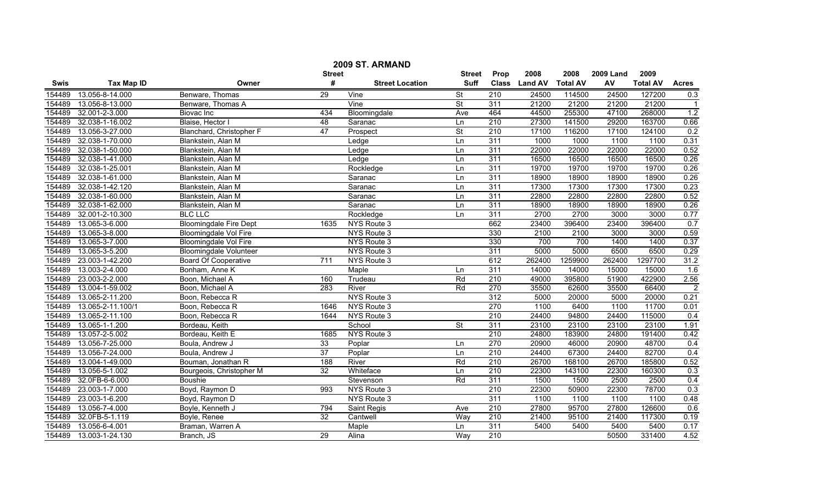|             | 2009 ST. ARMAND   |                               |                 |                        |                          |                  |                |                 |                  |                 |                |  |
|-------------|-------------------|-------------------------------|-----------------|------------------------|--------------------------|------------------|----------------|-----------------|------------------|-----------------|----------------|--|
|             |                   |                               | <b>Street</b>   |                        | <b>Street</b>            | Prop             | 2008           | 2008            | <b>2009 Land</b> | 2009            |                |  |
| <b>Swis</b> | <b>Tax Map ID</b> | Owner                         | #               | <b>Street Location</b> | <b>Suff</b>              | <b>Class</b>     | <b>Land AV</b> | <b>Total AV</b> | AV               | <b>Total AV</b> | <b>Acres</b>   |  |
| 154489      | 13.056-8-14.000   | Benware, Thomas               | $\overline{29}$ | Vine                   | St                       | 210              | 24500          | 114500          | 24500            | 127200          | 0.3            |  |
| 154489      | 13.056-8-13.000   | Benware, Thomas A             |                 | Vine                   | <b>St</b>                | 311              | 21200          | 21200           | 21200            | 21200           |                |  |
| 154489      | 32.001-2-3.000    | Biovac Inc                    | 434             | Bloomingdale           | Ave                      | 464              | 44500          | 255300          | 47100            | 268000          | 1.2            |  |
| 154489      | 32.038-1-16.002   | Blaise, Hector I              | 48              | Saranac                | Ln                       | 210              | 27300          | 141500          | 29200            | 163700          | 0.66           |  |
| 154489      | 13.056-3-27.000   | Blanchard, Christopher F      | 47              | Prospect               | <b>St</b>                | 210              | 17100          | 116200          | 17100            | 124100          | 0.2            |  |
| 154489      | 32.038-1-70.000   | Blankstein, Alan M            |                 | Ledge                  | Ln                       | 311              | 1000           | 1000            | 1100             | 1100            | 0.31           |  |
| 154489      | 32.038-1-50.000   | Blankstein, Alan M            |                 | Ledge                  | Ln                       | 311              | 22000          | 22000           | 22000            | 22000           | 0.52           |  |
| 154489      | 32.038-1-41.000   | Blankstein, Alan M            |                 | Ledge                  | Ln                       | 311              | 16500          | 16500           | 16500            | 16500           | 0.26           |  |
| 154489      | 32.038-1-25.001   | Blankstein, Alan M            |                 | Rockledge              | Ln                       | 311              | 19700          | 19700           | 19700            | 19700           | 0.26           |  |
| 154489      | 32.038-1-61.000   | Blankstein, Alan M            |                 | Saranac                | Ln                       | 311              | 18900          | 18900           | 18900            | 18900           | 0.26           |  |
| 154489      | 32.038-1-42.120   | Blankstein, Alan M            |                 | Saranac                | Ln                       | $\overline{311}$ | 17300          | 17300           | 17300            | 17300           | 0.23           |  |
| 154489      | 32.038-1-60.000   | Blankstein, Alan M            |                 | Saranac                | Ln                       | $\overline{311}$ | 22800          | 22800           | 22800            | 22800           | 0.52           |  |
| 154489      | 32.038-1-62.000   | Blankstein, Alan M            |                 | Saranac                | Ln                       | 311              | 18900          | 18900           | 18900            | 18900           | 0.26           |  |
| 154489      | 32.001-2-10.300   | <b>BLC LLC</b>                |                 | Rockledge              | Ln                       | 311              | 2700           | 2700            | 3000             | 3000            | 0.77           |  |
| 154489      | 13.065-3-6.000    | <b>Bloomingdale Fire Dept</b> | 1635            | NYS Route 3            |                          | 662              | 23400          | 396400          | 23400            | 396400          | 0.7            |  |
| 154489      | 13.065-3-8.000    | <b>Bloomingdale Vol Fire</b>  |                 | NYS Route 3            |                          | 330              | 2100           | 2100            | 3000             | 3000            | 0.59           |  |
| 154489      | 13.065-3-7.000    | <b>Bloomingdale Vol Fire</b>  |                 | NYS Route 3            |                          | 330              | 700            | 700             | 1400             | 1400            | 0.37           |  |
| 154489      | 13.065-3-5.200    | <b>Bloomingdale Volunteer</b> |                 | NYS Route 3            |                          | 311              | 5000           | 5000            | 6500             | 6500            | 0.29           |  |
| 154489      | 23.003-1-42.200   | <b>Board Of Cooperative</b>   | 711             | NYS Route 3            |                          | 612              | 262400         | 1259900         | 262400           | 1297700         | 31.2           |  |
| 154489      | 13.003-2-4.000    | Bonham, Anne K                |                 | Maple                  | Ln                       | 311              | 14000          | 14000           | 15000            | 15000           | 1.6            |  |
| 154489      | 23.003-2-2.000    | Boon, Michael A               | 160             | Trudeau                | Rd                       | 210              | 49000          | 395800          | 51900            | 422900          | 2.56           |  |
| 154489      | 13.004-1-59.002   | Boon, Michael A               | 283             | River                  | Rd                       | 270              | 35500          | 62600           | 35500            | 66400           | $\overline{2}$ |  |
| 154489      | 13.065-2-11.200   | Boon, Rebecca R               |                 | NYS Route 3            |                          | 312              | 5000           | 20000           | 5000             | 20000           | 0.21           |  |
| 154489      | 13.065-2-11.100/1 | Boon, Rebecca R               | 1646            | NYS Route 3            |                          | 270              | 1100           | 6400            | 1100             | 11700           | 0.01           |  |
| 154489      | 13.065-2-11.100   | Boon, Rebecca R               | 1644            | NYS Route 3            |                          | $\overline{210}$ | 24400          | 94800           | 24400            | 115000          | 0.4            |  |
| 154489      | 13.065-1-1.200    | Bordeau, Keith                |                 | School                 | $\overline{\mathsf{St}}$ | 311              | 23100          | 23100           | 23100            | 23100           | 1.91           |  |
| 154489      | 13.057-2-5.002    | Bordeau, Keith E              | 1685            | NYS Route 3            |                          | 210              | 24800          | 183900          | 24800            | 191400          | 0.42           |  |
| 154489      | 13.056-7-25.000   | Boula, Andrew J               | $\overline{33}$ | Poplar                 | Ln                       | 270              | 20900          | 46000           | 20900            | 48700           | 0.4            |  |
| 154489      | 13.056-7-24.000   | Boula, Andrew J               | 37              | Poplar                 | Ln                       | 210              | 24400          | 67300           | 24400            | 82700           | 0.4            |  |
| 154489      | 13.004-1-49.000   | Bouman, Jonathan R            | 188             | River                  | Rd                       | 210              | 26700          | 168100          | 26700            | 185800          | 0.52           |  |
| 154489      | 13.056-5-1.002    | Bourgeois, Christopher M      | $\overline{32}$ | Whiteface              | Ln                       | 210              | 22300          | 143100          | 22300            | 160300          | 0.3            |  |
| 154489      | 32.0FB-6-6.000    | <b>Boushie</b>                |                 | Stevenson              | Rd                       | 311              | 1500           | 1500            | 2500             | 2500            | 0.4            |  |
| 154489      | 23.003-1-7.000    | Boyd, Raymon D                | 993             | NYS Route 3            |                          | 210              | 22300          | 50900           | 22300            | 78700           | 0.3            |  |
| 154489      | 23.003-1-6.200    | Boyd, Raymon D                |                 | NYS Route 3            |                          | 311              | 1100           | 1100            | 1100             | 1100            | 0.48           |  |
| 154489      | 13.056-7-4.000    | Boyle, Kenneth J              | 794             | Saint Regis            | Ave                      | 210              | 27800          | 95700           | 27800            | 126600          | 0.6            |  |
| 154489      | 32.0FB-5-1.119    | Boyle, Renee                  | $\overline{32}$ | Cantwell               | Way                      | 210              | 21400          | 95100           | 21400            | 117300          | 0.19           |  |
| 154489      | 13.056-6-4.001    | Braman, Warren A              |                 | Maple                  | Ln                       | 311              | 5400           | 5400            | 5400             | 5400            | 0.17           |  |
| 154489      | 13.003-1-24.130   | Branch, JS                    | 29              | Alina                  | Way                      | 210              |                |                 | 50500            | 331400          | 4.52           |  |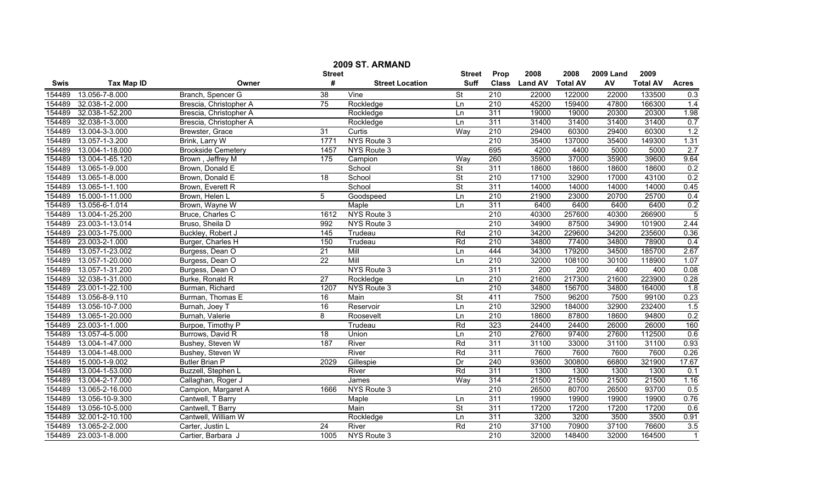|             | 2009 ST. ARMAND                                                                           |                           |                 |                        |                  |                  |                |                 |       |                 |                  |  |
|-------------|-------------------------------------------------------------------------------------------|---------------------------|-----------------|------------------------|------------------|------------------|----------------|-----------------|-------|-----------------|------------------|--|
|             | 2008<br>2009<br>2008<br><b>2009 Land</b><br><b>Street</b><br><b>Street</b><br><b>Prop</b> |                           |                 |                        |                  |                  |                |                 |       |                 |                  |  |
| <b>Swis</b> | <b>Tax Map ID</b>                                                                         | Owner                     | #               | <b>Street Location</b> | <b>Suff</b>      | <b>Class</b>     | <b>Land AV</b> | <b>Total AV</b> | AV    | <b>Total AV</b> | <b>Acres</b>     |  |
| 154489      | 13.056-7-8.000                                                                            | Branch, Spencer G         | 38              | Vine                   | <b>St</b>        | 210              | 22000          | 122000          | 22000 | 133500          | 0.3              |  |
| 154489      | 32.038-1-2.000                                                                            | Brescia, Christopher A    | 75              | Rockledge              | $\overline{\ln}$ | 210              | 45200          | 159400          | 47800 | 166300          | 1.4              |  |
| 154489      | 32.038-1-52.200                                                                           | Brescia, Christopher A    |                 | Rockledge              | Ln               | 311              | 19000          | 19000           | 20300 | 20300           | 1.98             |  |
| 154489      | 32.038-1-3.000                                                                            | Brescia, Christopher A    |                 | Rockledge              | Ln               | 311              | 31400          | 31400           | 31400 | 31400           | 0.7              |  |
| 154489      | 13.004-3-3.000                                                                            | Brewster, Grace           | 31              | Curtis                 | Way              | 210              | 29400          | 60300           | 29400 | 60300           | 1.2              |  |
| 154489      | 13.057-1-3.200                                                                            | Brink, Larry W            | 1771            | NYS Route 3            |                  | 210              | 35400          | 137000          | 35400 | 149300          | 1.31             |  |
| 154489      | 13.004-1-18.000                                                                           | <b>Brookside Cemetery</b> | 1457            | NYS Route 3            |                  | 695              | 4200           | 4400            | 5000  | 5000            | 2.7              |  |
| 154489      | 13.004-1-65.120                                                                           | Brown, Jeffrey M          | 175             | Campion                | Way              | 260              | 35900          | 37000           | 35900 | 39600           | 9.64             |  |
| 154489      | 13.065-1-9.000                                                                            | Brown, Donald E           |                 | School                 | St               | 311              | 18600          | 18600           | 18600 | 18600           | 0.2              |  |
| 154489      | 13.065-1-8.000                                                                            | Brown, Donald E           | $\overline{18}$ | School                 | St               | 210              | 17100          | 32900           | 17000 | 43100           | 0.2              |  |
| 154489      | 13.065-1-1.100                                                                            | Brown, Everett R          |                 | School                 | St               | 311              | 14000          | 14000           | 14000 | 14000           | 0.45             |  |
| 154489      | 15.000-1-11.000                                                                           | Brown, Helen L            | 5               | Goodspeed              | Ln               | $\overline{210}$ | 21900          | 23000           | 20700 | 25700           | 0.4              |  |
| 154489      | 13.056-6-1.014                                                                            | Brown, Wayne W            |                 | Maple                  | Ln               | 311              | 6400           | 6400            | 6400  | 6400            | 0.2              |  |
| 154489      | 13.004-1-25.200                                                                           | Bruce, Charles C          | 1612            | NYS Route 3            |                  | 210              | 40300          | 257600          | 40300 | 266900          | $\overline{5}$   |  |
| 154489      | 23.003-1-13.014                                                                           | Bruso, Sheila D           | 992             | NYS Route 3            |                  | $\overline{210}$ | 34900          | 87500           | 34900 | 101900          | 2.44             |  |
| 154489      | 23.003-1-75.000                                                                           | Buckley, Robert J         | 145             | Trudeau                | Rd               | $\overline{210}$ | 34200          | 229600          | 34200 | 235600          | 0.36             |  |
| 154489      | 23.003-2-1.000                                                                            | Burger, Charles H         | 150             | Trudeau                | Rd               | 210              | 34800          | 77400           | 34800 | 78900           | 0.4              |  |
| 154489      | 13.057-1-23.002                                                                           | Burgess, Dean O           | 21              | Mill                   | Ln               | 444              | 34300          | 179200          | 34500 | 185700          | 2.67             |  |
| 154489      | 13.057-1-20.000                                                                           | Burgess, Dean O           | 22              | Mill                   | Ln               | 210              | 32000          | 108100          | 30100 | 118900          | 1.07             |  |
| 154489      | 13.057-1-31.200                                                                           | Burgess, Dean O           |                 | NYS Route 3            |                  | 311              | 200            | 200             | 400   | 400             | 0.08             |  |
| 154489      | 32.038-1-31.000                                                                           | Burke, Ronald R           | 27              | Rockledge              | Ln               | 210              | 21600          | 217300          | 21600 | 223900          | 0.28             |  |
| 154489      | 23.001-1-22.100                                                                           | Burman, Richard           | 1207            | NYS Route 3            |                  | $\overline{210}$ | 34800          | 156700          | 34800 | 164000          | $\overline{1.8}$ |  |
| 154489      | 13.056-8-9.110                                                                            | Burman, Thomas E          | 16              | Main                   | St               | 411              | 7500           | 96200           | 7500  | 99100           | 0.23             |  |
| 154489      | 13.056-10-7.000                                                                           | Burnah, Joey T            | 16              | Reservoir              | Ln               | 210              | 32900          | 184000          | 32900 | 232400          | 1.5              |  |
| 154489      | 13.065-1-20.000                                                                           | Burnah, Valerie           | 8               | Roosevelt              | Ln               | 210              | 18600          | 87800           | 18600 | 94800           | 0.2              |  |
| 154489      | 23.003-1-1.000                                                                            | Burpoe, Timothy P         |                 | Trudeau                | Rd               | 323              | 24400          | 24400           | 26000 | 26000           | 160              |  |
| 154489      | 13.057-4-5.000                                                                            | Burrows, David R          | 18              | Union                  | Ln               | $\overline{210}$ | 27600          | 97400           | 27600 | 112500          | 0.6              |  |
| 154489      | 13.004-1-47.000                                                                           | Bushey, Steven W          | 187             | River                  | Rd               | 311              | 31100          | 33000           | 31100 | 31100           | 0.93             |  |
| 154489      | 13.004-1-48.000                                                                           | Bushey, Steven W          |                 | River                  | Rd               | 311              | 7600           | 7600            | 7600  | 7600            | 0.26             |  |
| 154489      | 15.000-1-9.002                                                                            | <b>Butler Brian P</b>     | 2029            | Gillespie              | Dr               | 240              | 93600          | 300800          | 66800 | 321900          | 17.67            |  |
| 154489      | 13.004-1-53.000                                                                           | Buzzell, Stephen L        |                 | River                  | Rd               | 311              | 1300           | 1300            | 1300  | 1300            | 0.1              |  |
| 154489      | 13.004-2-17.000                                                                           | Callaghan, Roger J        |                 | James                  | Way              | 314              | 21500          | 21500           | 21500 | 21500           | 1.16             |  |
| 154489      | 13.065-2-16.000                                                                           | Campion, Margaret A       | 1666            | NYS Route 3            |                  | 210              | 26500          | 80700           | 26500 | 93700           | 0.5              |  |
| 154489      | 13.056-10-9.300                                                                           | Cantwell, T Barry         |                 | Maple                  | Ln               | 311              | 19900          | 19900           | 19900 | 19900           | 0.76             |  |
| 154489      | 13.056-10-5.000                                                                           | Cantwell, T Barry         |                 | Main                   | St               | 311              | 17200          | 17200           | 17200 | 17200           | 0.6              |  |
| 154489      | 32.001-2-10.100                                                                           | Cantwell, William W       |                 | Rockledge              | Ln               | 311              | 3200           | 3200            | 3500  | 3500            | 0.91             |  |
| 154489      | 13.065-2-2.000                                                                            | Carter, Justin L          | 24              | River                  | Rd               | $\overline{210}$ | 37100          | 70900           | 37100 | 76600           | 3.5              |  |
| 154489      | 23.003-1-8.000                                                                            | Cartier, Barbara J        | 1005            | NYS Route 3            |                  | $\overline{210}$ | 32000          | 148400          | 32000 | 164500          | $\mathbf{1}$     |  |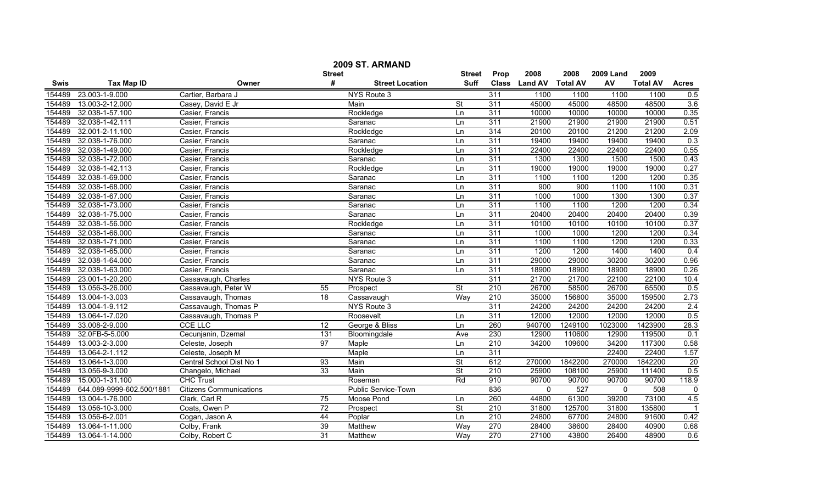| 2009 ST. ARMAND |                           |                                |                 |                        |                          |                  |                |                 |                  |                 |              |  |
|-----------------|---------------------------|--------------------------------|-----------------|------------------------|--------------------------|------------------|----------------|-----------------|------------------|-----------------|--------------|--|
|                 |                           |                                | <b>Street</b>   |                        | <b>Street</b>            | Prop             | 2008           | 2008            | <b>2009 Land</b> | 2009            |              |  |
| <b>Swis</b>     | <b>Tax Map ID</b>         | Owner                          | #               | <b>Street Location</b> | <b>Suff</b>              | <b>Class</b>     | <b>Land AV</b> | <b>Total AV</b> | AV               | <b>Total AV</b> | <b>Acres</b> |  |
| 154489          | 23.003-1-9.000            | Cartier, Barbara J             |                 | NYS Route 3            |                          | 311              | 1100           | 1100            | 1100             | 1100            | 0.5          |  |
| 154489          | 13.003-2-12.000           | Casey, David E Jr              |                 | Main                   | St                       | 311              | 45000          | 45000           | 48500            | 48500           | 3.6          |  |
| 154489          | 32.038-1-57.100           | Casier, Francis                |                 | Rockledge              | Ln                       | $\overline{311}$ | 10000          | 10000           | 10000            | 10000           | 0.35         |  |
| 154489          | 32.038-1-42.111           | Casier, Francis                |                 | Saranac                | Ln                       | 311              | 21900          | 21900           | 21900            | 21900           | 0.51         |  |
| 154489          | 32.001-2-11.100           | Casier, Francis                |                 | Rockledge              | Ln                       | 314              | 20100          | 20100           | 21200            | 21200           | 2.09         |  |
| 154489          | 32.038-1-76.000           | Casier, Francis                |                 | Saranac                | Ln                       | 311              | 19400          | 19400           | 19400            | 19400           | 0.3          |  |
| 154489          | 32.038-1-49.000           | Casier, Francis                |                 | Rockledge              | Ln                       | 311              | 22400          | 22400           | 22400            | 22400           | 0.55         |  |
| 154489          | 32.038-1-72.000           | Casier, Francis                |                 | Saranac                | Ln                       | 311              | 1300           | 1300            | 1500             | 1500            | 0.43         |  |
| 154489          | 32.038-1-42.113           | Casier, Francis                |                 | Rockledge              | Ln                       | 311              | 19000          | 19000           | 19000            | 19000           | 0.27         |  |
| 154489          | 32.038-1-69.000           | Casier, Francis                |                 | Saranac                | Ln                       | 311              | 1100           | 1100            | 1200             | 1200            | 0.35         |  |
| 154489          | 32.038-1-68.000           | Casier, Francis                |                 | Saranac                | Ln                       | $\overline{311}$ | 900            | 900             | 1100             | 1100            | 0.31         |  |
| 154489          | 32.038-1-67.000           | Casier, Francis                |                 | Saranac                | Ln                       | $\overline{311}$ | 1000           | 1000            | 1300             | 1300            | 0.37         |  |
| 154489          | 32.038-1-73.000           | Casier, Francis                |                 | Saranac                | Ln                       | 311              | 1100           | 1100            | 1200             | 1200            | 0.34         |  |
| 154489          | 32.038-1-75.000           | Casier, Francis                |                 | Saranac                | Ln                       | 311              | 20400          | 20400           | 20400            | 20400           | 0.39         |  |
| 154489          | 32.038-1-56.000           | Casier, Francis                |                 | Rockledge              | Ln                       | 311              | 10100          | 10100           | 10100            | 10100           | 0.37         |  |
| 154489          | 32.038-1-66.000           | Casier, Francis                |                 | Saranac                | Ln                       | 311              | 1000           | 1000            | 1200             | 1200            | 0.34         |  |
| 154489          | 32.038-1-71.000           | Casier, Francis                |                 | Saranac                | Ln                       | 311              | 1100           | 1100            | 1200             | 1200            | 0.33         |  |
| 154489          | 32.038-1-65.000           | Casier, Francis                |                 | Saranac                | Ln                       | 311              | 1200           | 1200            | 1400             | 1400            | 0.4          |  |
| 154489          | 32.038-1-64.000           | Casier, Francis                |                 | Saranac                | Ln                       | 311              | 29000          | 29000           | 30200            | 30200           | 0.96         |  |
| 154489          | 32.038-1-63.000           | Casier, Francis                |                 | Saranac                | Ln                       | 311              | 18900          | 18900           | 18900            | 18900           | 0.26         |  |
| 154489          | 23.001-1-20.200           | Cassavaugh, Charles            |                 | NYS Route 3            |                          | 311              | 21700          | 21700           | 22100            | 22100           | 10.4         |  |
| 154489          | 13.056-3-26.000           | Cassavaugh, Peter W            | 55              | Prospect               | St                       | 210              | 26700          | 58500           | 26700            | 65500           | 0.5          |  |
| 154489          | 13.004-1-3.003            | Cassavaugh, Thomas             | $\overline{18}$ | Cassavaugh             | Way                      | $\overline{210}$ | 35000          | 156800          | 35000            | 159500          | 2.73         |  |
| 154489          | 13.004-1-9.112            | Cassavaugh, Thomas P           |                 | NYS Route 3            |                          | $\overline{311}$ | 24200          | 24200           | 24200            | 24200           | 2.4          |  |
| 154489          | 13.064-1-7.020            | Cassavaugh, Thomas P           |                 | Roosevelt              | Ln                       | 311              | 12000          | 12000           | 12000            | 12000           | 0.5          |  |
| 154489          | 33.008-2-9.000            | <b>CCE LLC</b>                 | 12              | George & Bliss         | Ln                       | 260              | 940700         | 1249100         | 1023000          | 1423900         | 28.3         |  |
| 154489          | 32.0FB-5-5.000            | Cecunjanin, Dzemal             | 131             | Bloomingdale           | Ave                      | 230              | 12900          | 110600          | 12900            | 119500          | 0.1          |  |
| 154489          | 13.003-2-3.000            | Celeste, Joseph                | 97              | Maple                  | Ln                       | $\overline{210}$ | 34200          | 109600          | 34200            | 117300          | 0.58         |  |
| 154489          | 13.064-2-1.112            | Celeste, Joseph M              |                 | Maple                  | Ln                       | 311              |                |                 | 22400            | 22400           | 1.57         |  |
| 154489          | 13.064-1-3.000            | Central School Dist No 1       | 93              | Main                   | St                       | 612              | 270000         | 1842200         | 270000           | 1842200         | 20           |  |
| 154489          | 13.056-9-3.000            | Changelo, Michael              | 33              | Main                   | St                       | 210              | 25900          | 108100          | 25900            | 111400          | 0.5          |  |
| 154489          | 15.000-1-31.100           | <b>CHC Trust</b>               |                 | Roseman                | Rd                       | 910              | 90700          | 90700           | 90700            | 90700           | 118.9        |  |
| 154489          | 644.089-9999-602.500/1881 | <b>Citizens Communications</b> |                 | Public Service-Town    |                          | 836              | $\mathbf{0}$   | 527             | $\mathbf 0$      | 508             | $\Omega$     |  |
| 154489          | 13.004-1-76.000           | Clark, Carl R                  | 75              | Moose Pond             | Ln                       | 260              | 44800          | 61300           | 39200            | 73100           | 4.5          |  |
| 154489          | 13.056-10-3.000           | Coats, Owen P                  | $\overline{72}$ | Prospect               | $\overline{\mathsf{St}}$ | 210              | 31800          | 125700          | 31800            | 135800          |              |  |
| 154489          | 13.056-6-2.001            | Cogan, Jason A                 | 44              | Poplar                 | Ln                       | $\overline{210}$ | 24800          | 67700           | 24800            | 91600           | 0.42         |  |
| 154489          | 13.064-1-11.000           | Colby, Frank                   | 39              | Matthew                | Way                      | 270              | 28400          | 38600           | 28400            | 40900           | 0.68         |  |
| 154489          | 13.064-1-14.000           | Colby, Robert C                | 31              | Matthew                | Way                      | 270              | 27100          | 43800           | 26400            | 48900           | 0.6          |  |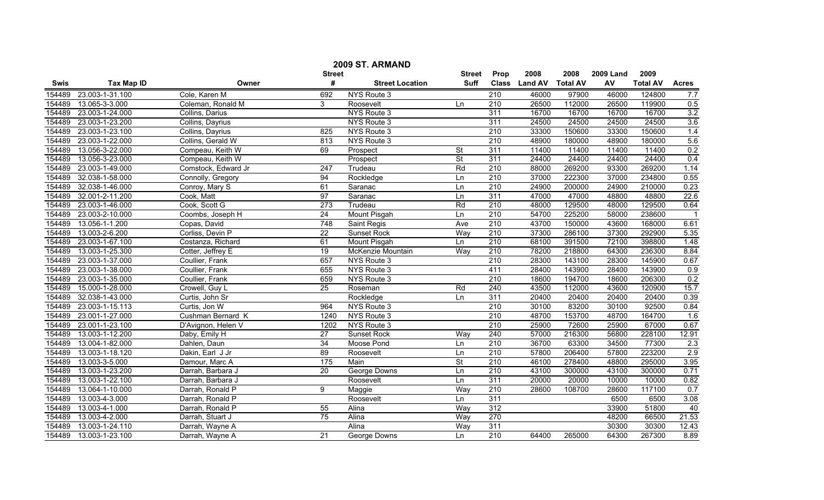|             | 2009 ST. ARMAND<br>2008<br>2009<br><b>Street</b><br><b>Street</b><br>Prop<br>2008<br><b>2009 Land</b> |                     |                  |                        |                          |                  |                  |        |       |                 |                  |
|-------------|-------------------------------------------------------------------------------------------------------|---------------------|------------------|------------------------|--------------------------|------------------|------------------|--------|-------|-----------------|------------------|
| <b>Swis</b> | <b>Tax Map ID</b>                                                                                     | Owner               | #                | <b>Street Location</b> | <b>Suff</b>              | <b>Class</b>     | Land AV Total AV |        | AV    | <b>Total AV</b> | <b>Acres</b>     |
| 154489      | 23.003-1-31.100                                                                                       | Cole, Karen M       | 692              | NYS Route 3            |                          | 210              | 46000            | 97900  | 46000 | 124800          | 7.7              |
| 154489      | 13.065-3-3.000                                                                                        | Coleman, Ronald M   | 3                | Roosevelt              | Ln                       | 210              | 26500            | 112000 | 26500 | 119900          | 0.5              |
| 154489      | 23.003-1-24.000                                                                                       | Collins, Darius     |                  | NYS Route 3            |                          | 311              | 16700            | 16700  | 16700 | 16700           | 3.2              |
| 154489      | 23.003-1-23.200                                                                                       | Collins, Dayrius    |                  | NYS Route 3            |                          | 311              | 24500            | 24500  | 24500 | 24500           | 3.6              |
| 154489      | 23.003-1-23.100                                                                                       | Collins, Dayrius    | 825              | NYS Route 3            |                          | 210              | 33300            | 150600 | 33300 | 150600          | 1.4              |
| 154489      | 23.003-1-22.000                                                                                       | Collins, Gerald W   | 813              | NYS Route 3            |                          | 210              | 48900            | 180000 | 48900 | 180000          | 5.6              |
| 154489      | 13.056-3-22.000                                                                                       | Compeau, Keith W    | 69               | Prospect               | $\overline{\mathsf{St}}$ | 311              | 11400            | 11400  | 11400 | 11400           | 0.2              |
| 154489      | 13.056-3-23.000                                                                                       | Compeau, Keith W    |                  | Prospect               | <b>St</b>                | 311              | 24400            | 24400  | 24400 | 24400           | 0.4              |
| 154489      | 23.003-1-49.000                                                                                       | Comstock, Edward Jr | $\overline{247}$ | Trudeau                | Rd                       | 210              | 88000            | 269200 | 93300 | 269200          | 1.14             |
| 154489      | 32.038-1-58.000                                                                                       | Connolly, Gregory   | 94               | Rockledge              | Ln                       | 210              | 37000            | 222300 | 37000 | 234800          | 0.55             |
| 154489      | 32.038-1-46.000                                                                                       | Conroy, Mary S      | 61               | Saranac                | Ln                       | $\overline{210}$ | 24900            | 200000 | 24900 | 210000          | 0.23             |
| 154489      | 32.001-2-11.200                                                                                       | Cook, Matt          | $\overline{97}$  | Saranac                | Ln                       | 311              | 47000            | 47000  | 48800 | 48800           | 22.6             |
| 154489      | 23.003-1-46.000                                                                                       | Cook, Scott G       | $\overline{273}$ | Trudeau                | Rd                       | $\overline{210}$ | 48000            | 129500 | 48000 | 129500          | 0.64             |
| 154489      | 23.003-2-10.000                                                                                       | Coombs, Joseph H    | $\overline{24}$  | Mount Pisgah           | Ln                       | $\overline{210}$ | 54700            | 225200 | 58000 | 238600          | $\overline{1}$   |
| 154489      | 13.056-1-1.200                                                                                        | Copas, David        | 748              | Saint Regis            | Ave                      | 210              | 43700            | 150000 | 43600 | 168000          | 6.61             |
| 154489      | 13.003-2-6.200                                                                                        | Corliss, Devin P    | $\overline{22}$  | <b>Sunset Rock</b>     | Way                      | 210              | 37300            | 286100 | 37300 | 292900          | 5.35             |
| 154489      | 23.003-1-67.100                                                                                       | Costanza, Richard   | 61               | <b>Mount Pisgah</b>    | Ln                       | 210              | 68100            | 391500 | 72100 | 398800          | 1.48             |
| 154489      | 13.003-1-25.300                                                                                       | Cotter, Jeffrey E   | 19               | McKenzie Mountain      | Way                      | 210              | 78200            | 218800 | 64300 | 236300          | 8.84             |
| 154489      | 23.003-1-37.000                                                                                       | Coullier, Frank     | 657              | NYS Route 3            |                          | 210              | 28300            | 143100 | 28300 | 145900          | 0.67             |
| 154489      | 23.003-1-38.000                                                                                       | Coullier, Frank     | 655              | NYS Route 3            |                          | 411              | 28400            | 143900 | 28400 | 143900          | 0.9              |
| 154489      | 23.003-1-35.000                                                                                       | Coullier, Frank     | 659              | NYS Route 3            |                          | 210              | 18600            | 194700 | 18600 | 206300          | 0.2              |
| 154489      | 15.000-1-28.000                                                                                       | Crowell, Guy L      | $\overline{25}$  | Roseman                | Rd                       | 240              | 43500            | 112000 | 43600 | 120900          | 15.7             |
| 154489      | 32.038-1-43.000                                                                                       | Curtis, John Sr     |                  | Rockledge              | Ln                       | 311              | 20400            | 20400  | 20400 | 20400           | 0.39             |
| 154489      | 23.003-1-15.113                                                                                       | Curtis, Jon W       | 964              | NYS Route 3            |                          | $\overline{210}$ | 30100            | 83200  | 30100 | 92500           | 0.84             |
| 154489      | 23.001-1-27.000                                                                                       | Cushman Bernard K   | 1240             | NYS Route 3            |                          | 210              | 48700            | 153700 | 48700 | 164700          | 1.6              |
| 154489      | 23.001-1-23.100                                                                                       | D'Avignon, Helen V  | 1202             | NYS Route 3            |                          | 210              | 25900            | 72600  | 25900 | 67000           | 0.67             |
| 154489      | 13.003-1-12.200                                                                                       | Daby, Emily H       | $\overline{27}$  | <b>Sunset Rock</b>     | Way                      | 240              | 57000            | 216300 | 56800 | 228100          | 12.91            |
| 154489      | 13.004-1-82.000                                                                                       | Dahlen, Daun        | $\overline{34}$  | Moose Pond             | Ln                       | 210              | 36700            | 63300  | 34500 | 77300           | $\overline{2.3}$ |
| 154489      | 13.003-1-18.120                                                                                       | Dakin, Earl J Jr    | 89               | Roosevelt              | Ln                       | 210              | 57800            | 206400 | 57800 | 223200          | 2.9              |
| 154489      | 13.003-3-5.000                                                                                        | Damour, Marc A      | 175              | Main                   | <b>St</b>                | 210              | 46100            | 278400 | 48800 | 295000          | 3.95             |
| 154489      | 13.003-1-23.200                                                                                       | Darrah, Barbara J   | 20               | George Downs           | Ln                       | 210              | 43100            | 300000 | 43100 | 300000          | 0.71             |
| 154489      | 13.003-1-22.100                                                                                       | Darrah, Barbara J   |                  | Roosevelt              | Ln                       | 311              | 20000            | 20000  | 10000 | 10000           | 0.82             |
| 154489      | 13.064-1-10.000                                                                                       | Darrah, Ronald P    | 9                | Maggie                 | Way                      | 210              | 28600            | 108700 | 28600 | 117100          | 0.7              |
| 154489      | 13.003-4-3.000                                                                                        | Darrah, Ronald P    |                  | Roosevelt              | Ln                       | 311              |                  |        | 6500  | 6500            | 3.08             |
| 154489      | 13.003-4-1.000                                                                                        | Darrah, Ronald P    | 55               | Alina                  | Way                      | 312              |                  |        | 33900 | 51800           | 40               |
| 154489      | 13.003-4-2.000                                                                                        | Darrah, Stuart J    | $\overline{75}$  | Alina                  | Way                      | 270              |                  |        | 48200 | 66500           | 21.53            |
| 154489      | 13.003-1-24.110                                                                                       | Darrah, Wayne A     |                  | Alina                  | Way                      | 311              |                  |        | 30300 | 30300           | 12.43            |
| 154489      | 13.003-1-23.100                                                                                       | Darrah, Wayne A     | 21               | George Downs           | Ln                       | 210              | 64400            | 265000 | 64300 | 267300          | 8.89             |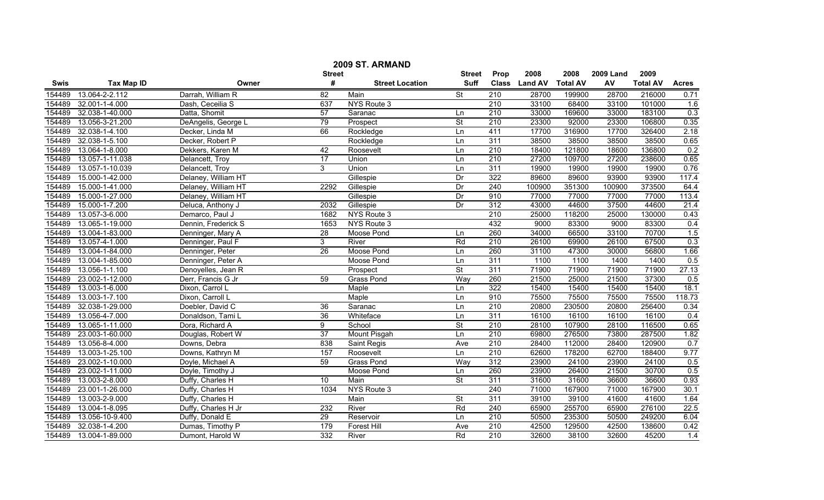|             | 2009 ST. ARMAND<br>2008<br>2009<br><b>Street</b><br><b>Street</b><br>Prop<br>2008<br><b>2009 Land</b> |                     |                 |                        |                          |                  |                |                 |        |                 |                  |
|-------------|-------------------------------------------------------------------------------------------------------|---------------------|-----------------|------------------------|--------------------------|------------------|----------------|-----------------|--------|-----------------|------------------|
| <b>Swis</b> | <b>Tax Map ID</b>                                                                                     | Owner               | #               | <b>Street Location</b> | <b>Suff</b>              | <b>Class</b>     | <b>Land AV</b> | <b>Total AV</b> | AV     | <b>Total AV</b> | <b>Acres</b>     |
| 154489      | 13.064-2-2.112                                                                                        | Darrah, William R   | 82              | Main                   | <b>St</b>                | 210              | 28700          | 199900          | 28700  | 216000          | 0.71             |
| 154489      | 32.001-1-4.000                                                                                        | Dash, Ceceilia S    | 637             | NYS Route 3            |                          | 210              | 33100          | 68400           | 33100  | 101000          | 1.6              |
| 154489      | 32.038-1-40.000                                                                                       | Datta, Shomit       | 57              | Saranac                | Ln                       | 210              | 33000          | 169600          | 33000  | 183100          | 0.3              |
| 154489      | 13.056-3-21.200                                                                                       | DeAngelis, George L | 79              | Prospect               | $\overline{\mathsf{St}}$ | 210              | 23300          | 92000           | 23300  | 106800          | 0.35             |
| 154489      | 32.038-1-4.100                                                                                        | Decker, Linda M     | 66              | Rockledge              | Ln                       | 411              | 17700          | 316900          | 17700  | 326400          | 2.18             |
| 154489      | 32.038-1-5.100                                                                                        | Decker, Robert P    |                 | Rockledge              | Ln                       | 311              | 38500          | 38500           | 38500  | 38500           | 0.65             |
| 154489      | 13.064-1-8.000                                                                                        | Dekkers, Karen M    | 42              | Roosevelt              | Ln                       | 210              | 18400          | 121800          | 18600  | 136800          | 0.2              |
| 154489      | 13.057-1-11.038                                                                                       | Delancett, Troy     | $\overline{17}$ | Union                  | Ln                       | 210              | 27200          | 109700          | 27200  | 238600          | 0.65             |
| 154489      | 13.057-1-10.039                                                                                       | Delancett, Troy     | 3               | Union                  | Ln                       | 311              | 19900          | 19900           | 19900  | 19900           | 0.76             |
| 154489      | 15.000-1-42.000                                                                                       | Delaney, William HT |                 | Gillespie              | Dr                       | 322              | 89600          | 89600           | 93900  | 93900           | 117.4            |
| 154489      | 15.000-1-41.000                                                                                       | Delaney, William HT | 2292            | Gillespie              | Dr                       | 240              | 100900         | 351300          | 100900 | 373500          | 64.4             |
| 154489      | 15.000-1-27.000                                                                                       | Delaney, William HT |                 | Gillespie              | Dr                       | 910              | 77000          | 77000           | 77000  | 77000           | 113.4            |
| 154489      | 15.000-1-7.200                                                                                        | Deluca, Anthony J   | 2032            | Gillespie              | Dr                       | 312              | 43000          | 44600           | 37500  | 44600           | 21.4             |
| 154489      | 13.057-3-6.000                                                                                        | Demarco, Paul J     | 1682            | NYS Route 3            |                          | 210              | 25000          | 118200          | 25000  | 130000          | 0.43             |
| 154489      | 13.065-1-19.000                                                                                       | Dennin, Frederick S | 1653            | NYS Route 3            |                          | 432              | 9000           | 83300           | 9000   | 83300           | 0.4              |
| 154489      | 13.004-1-83.000                                                                                       | Denninger, Mary A   | 28              | Moose Pond             | Ln                       | 260              | 34000          | 66500           | 33100  | 70700           | 1.5              |
| 154489      | 13.057-4-1.000                                                                                        | Denninger, Paul F   | 3               | River                  | Rd                       | 210              | 26100          | 69900           | 26100  | 67500           | 0.3              |
| 154489      | 13.004-1-84.000                                                                                       | Denninger, Peter    | 26              | Moose Pond             | Ln                       | 260              | 31100          | 47300           | 30000  | 56800           | 1.66             |
| 154489      | 13.004-1-85.000                                                                                       | Denninger, Peter A  |                 | Moose Pond             | Ln                       | 311              | 1100           | 1100            | 1400   | 1400            | 0.5              |
| 154489      | 13.056-1-1.100                                                                                        | Denoyelles, Jean R  |                 | Prospect               | $\overline{\mathsf{St}}$ | 311              | 71900          | 71900           | 71900  | 71900           | 27.13            |
| 154489      | 23.002-1-12.000                                                                                       | Derr, Francis G Jr  | 59              | <b>Grass Pond</b>      | Way                      | 260              | 21500          | 25000           | 21500  | 37300           | 0.5              |
| 154489      | 13.003-1-6.000                                                                                        | Dixon, Carrol L     |                 | Maple                  | Ln                       | 322              | 15400          | 15400           | 15400  | 15400           | 18.1             |
| 154489      | 13.003-1-7.100                                                                                        | Dixon, Carroll L    |                 | Maple                  | Ln                       | 910              | 75500          | 75500           | 75500  | 75500           | 118.73           |
| 154489      | 32.038-1-29.000                                                                                       | Doebler, David C    | 36              | Saranac                | Ln                       | 210              | 20800          | 230500          | 20800  | 256400          | 0.34             |
| 154489      | 13.056-4-7.000                                                                                        | Donaldson, Tami L   | $\overline{36}$ | Whiteface              | Ln                       | 311              | 16100          | 16100           | 16100  | 16100           | 0.4              |
| 154489      | 13.065-1-11.000                                                                                       | Dora, Richard A     | 9               | School                 | St                       | 210              | 28100          | 107900          | 28100  | 116500          | 0.65             |
| 154489      | 23.003-1-60.000                                                                                       | Douglas, Robert W   | 37              | Mount Pisgah           | Ln                       | 210              | 69800          | 276500          | 73800  | 287500          | 1.82             |
| 154489      | 13.056-8-4.000                                                                                        | Downs, Debra        | 838             | Saint Regis            | Ave                      | 210              | 28400          | 112000          | 28400  | 120900          | 0.7              |
| 154489      | 13.003-1-25.100                                                                                       | Downs, Kathryn M    | 157             | Roosevelt              | Ln                       | 210              | 62600          | 178200          | 62700  | 188400          | 9.77             |
| 154489      | 23.002-1-10.000                                                                                       | Doyle, Michael A    | 59              | Grass Pond             | Way                      | 312              | 23900          | 24100           | 23900  | 24100           | 0.5              |
| 154489      | 23.002-1-11.000                                                                                       | Doyle, Timothy J    |                 | Moose Pond             | Ln                       | 260              | 23900          | 26400           | 21500  | 30700           | 0.5              |
| 154489      | 13.003-2-8.000                                                                                        | Duffy, Charles H    | 10              | Main                   | $\overline{\mathsf{St}}$ | 311              | 31600          | 31600           | 36600  | 36600           | 0.93             |
| 154489      | 23.001-1-26.000                                                                                       | Duffy, Charles H    | 1034            | NYS Route 3            |                          | 240              | 71000          | 167900          | 71000  | 167900          | 30.1             |
| 154489      | 13.003-2-9.000                                                                                        | Duffy, Charles H    |                 | Main                   | St                       | 311              | 39100          | 39100           | 41600  | 41600           | 1.64             |
| 154489      | 13.004-1-8.095                                                                                        | Duffy, Charles H Jr | 232             | River                  | Rd                       | $\overline{240}$ | 65900          | 255700          | 65900  | 276100          | 22.5             |
| 154489      | 13.056-10-9.400                                                                                       | Duffy, Donald E     | $\overline{29}$ | Reservoir              | Ln                       | 210              | 50500          | 235300          | 50500  | 249200          | 6.04             |
| 154489      | 32.038-1-4.200                                                                                        | Dumas, Timothy P    | 179             | <b>Forest Hill</b>     | Ave                      | 210              | 42500          | 129500          | 42500  | 138600          | 0.42             |
| 154489      | 13.004-1-89.000                                                                                       | Dumont, Harold W    | 332             | River                  | Rd                       | $\overline{210}$ | 32600          | 38100           | 32600  | 45200           | $\overline{1.4}$ |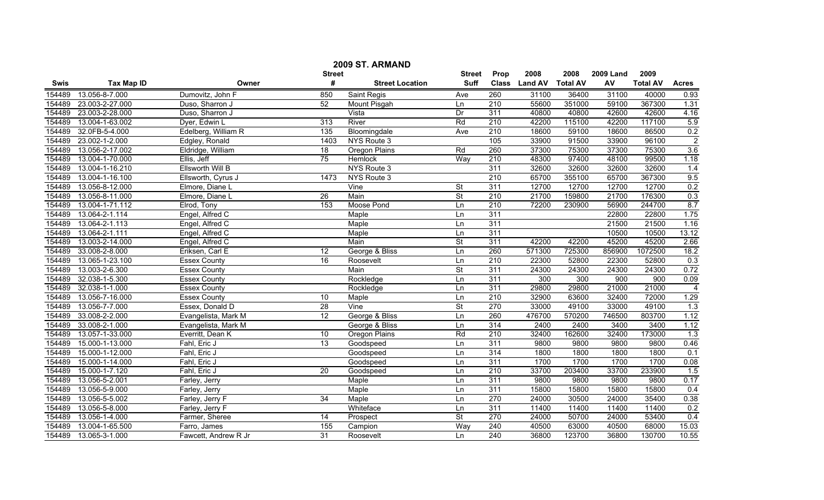|             | 2009 ST. ARMAND      |                         |                 |                        |                          |                  |                  |        |                  |                 |                |  |
|-------------|----------------------|-------------------------|-----------------|------------------------|--------------------------|------------------|------------------|--------|------------------|-----------------|----------------|--|
|             |                      |                         | <b>Street</b>   |                        | <b>Street</b>            | Prop             | 2008             | 2008   | <b>2009 Land</b> | 2009            |                |  |
| <b>Swis</b> | <b>Tax Map ID</b>    | Owner                   | #               | <b>Street Location</b> | <b>Suff</b>              | <b>Class</b>     | Land AV Total AV |        | AV               | <b>Total AV</b> | <b>Acres</b>   |  |
| 154489      | 13.056-8-7.000       | Dumovitz, John F        | 850             | Saint Regis            | Ave                      | 260              | 31100            | 36400  | 31100            | 40000           | 0.93           |  |
| 154489      | 23.003-2-27.000      | Duso, Sharron J         | 52              | Mount Pisgah           | Ln                       | 210              | 55600            | 351000 | 59100            | 367300          | 1.31           |  |
| 154489      | 23.003-2-28.000      | Duso, Sharron J         |                 | Vista                  | Dr                       | 311              | 40800            | 40800  | 42600            | 42600           | 4.16           |  |
| 154489      | 13.004-1-63.002      | Dyer, Edwin L           | 313             | River                  | Rd                       | 210              | 42200            | 115100 | 42200            | 117100          | 5.9            |  |
| 154489      | 32.0FB-5-4.000       | Edelberg, William R     | 135             | Bloomingdale           | Ave                      | 210              | 18600            | 59100  | 18600            | 86500           | 0.2            |  |
| 154489      | 23.002-1-2.000       | Edgley, Ronald          | 1403            | NYS Route 3            |                          | 105              | 33900            | 91500  | 33900            | 96100           | $\overline{2}$ |  |
| 154489      | 13.056-2-17.002      | Eldridge, William       | 18              | Oregon Plains          | Rd                       | 260              | 37300            | 75300  | 37300            | 75300           | 3.6            |  |
| 154489      | 13.004-1-70.000      | Ellis, Jeff             | $\overline{75}$ | Hemlock                | Way                      | 210              | 48300            | 97400  | 48100            | 99500           | 1.18           |  |
| 154489      | 13.004-1-16.210      | <b>Ellsworth Will B</b> |                 | NYS Route 3            |                          | 311              | 32600            | 32600  | 32600            | 32600           | 1.4            |  |
| 154489      | 13.004-1-16.100      | Ellsworth, Cyrus J      | 1473            | NYS Route 3            |                          | 210              | 65700            | 355100 | 65700            | 367300          | 9.5            |  |
| 154489      | 13.056-8-12.000      | Elmore, Diane L         |                 | Vine                   | <b>St</b>                | $\overline{311}$ | 12700            | 12700  | 12700            | 12700           | 0.2            |  |
| 154489      | 13.056-8-11.000      | Elmore, Diane L         | 26              | Main                   | $\overline{\mathsf{St}}$ | 210              | 21700            | 159800 | 21700            | 176300          | 0.3            |  |
| 154489      | 13.004-1-71.112      | Elrod, Tony             | 153             | Moose Pond             | $\overline{\ln}$         | 210              | 72200            | 230900 | 56900            | 244700          | 8.7            |  |
| 154489      | 13.064-2-1.114       | Engel, Alfred C         |                 | Maple                  | Ln                       | 311              |                  |        | 22800            | 22800           | 1.75           |  |
| 154489      | 13.064-2-1.113       | Engel, Alfred C         |                 | Maple                  | Ln                       | 311              |                  |        | 21500            | 21500           | 1.16           |  |
| 154489      | 13.064-2-1.111       | Engel, Alfred C         |                 | Maple                  | Ln                       | 311              |                  |        | 10500            | 10500           | 13.12          |  |
| 154489      | 13.003-2-14.000      | Engel, Alfred C         |                 | Main                   | <b>St</b>                | 311              | 42200            | 42200  | 45200            | 45200           | 2.66           |  |
| 154489      | 33.008-2-8.000       | Eriksen, Carl E         | $\overline{12}$ | George & Bliss         | Ln                       | 260              | 571300           | 725300 | 856900           | 1072500         | 18.2           |  |
| 154489      | 13.065-1-23.100      | <b>Essex County</b>     | 16              | Roosevelt              | Ln                       | 210              | 22300            | 52800  | 22300            | 52800           | 0.3            |  |
| 154489      | 13.003-2-6.300       | <b>Essex County</b>     |                 | Main                   | $\overline{\mathsf{St}}$ | 311              | 24300            | 24300  | 24300            | 24300           | 0.72           |  |
| 154489      | 32.038-1-5.300       | <b>Essex County</b>     |                 | Rockledge              | Ln                       | 311              | 300              | 300    | 900              | 900             | 0.09           |  |
| 154489      | 32.038-1-1.000       | <b>Essex County</b>     |                 | Rockledge              | Ln                       | 311              | 29800            | 29800  | 21000            | 21000           | $\overline{4}$ |  |
| 154489      | 13.056-7-16.000      | <b>Essex County</b>     | 10              | Maple                  | Ln                       | 210              | 32900            | 63600  | 32400            | 72000           | 1.29           |  |
| 154489      | 13.056-7-7.000       | Essex, Donald D         | 28              | Vine                   | $\overline{\mathsf{St}}$ | 270              | 33000            | 49100  | 33000            | 49100           | 1.3            |  |
| 154489      | 33.008-2-2.000       | Evangelista, Mark M     | $\overline{12}$ | George & Bliss         | Ln                       | 260              | 476700           | 570200 | 746500           | 803700          | 1.12           |  |
| 154489      | 33.008-2-1.000       | Evangelista, Mark M     |                 | George & Bliss         | Ln                       | 314              | 2400             | 2400   | 3400             | 3400            | 1.12           |  |
| 154489      | 13.057-1-33.000      | Everritt, Dean K        | 10              | <b>Oregon Plains</b>   | Rd                       | 210              | 32400            | 162600 | 32400            | 173000          | 1.3            |  |
| 154489      | 15.000-1-13.000      | Fahl, Eric J            | $\overline{13}$ | Goodspeed              | Ln                       | $\overline{311}$ | 9800             | 9800   | 9800             | 9800            | 0.46           |  |
| 154489      | 15.000-1-12.000      | Fahl, Eric J            |                 | Goodspeed              | Ln                       | 314              | 1800             | 1800   | 1800             | 1800            | 0.1            |  |
| 154489      | 15.000-1-14.000      | Fahl, Eric J            |                 | Goodspeed              | Ln                       | 311              | 1700             | 1700   | 1700             | 1700            | 0.08           |  |
| 154489      | 15.000-1-7.120       | Fahl, Eric J            | $\overline{20}$ | Goodspeed              | Ln                       | 210              | 33700            | 203400 | 33700            | 233900          | 1.5            |  |
| 154489      | 13.056-5-2.001       | Farley, Jerry           |                 | Maple                  | Ln                       | 311              | 9800             | 9800   | 9800             | 9800            | 0.17           |  |
| 154489      | 13.056-5-9.000       | Farley, Jerry           |                 | Maple                  | Ln                       | 311              | 15800            | 15800  | 15800            | 15800           | 0.4            |  |
| 154489      | 13.056-5-5.002       | Farley, Jerry F         | 34              | Maple                  | Ln                       | 270              | 24000            | 30500  | 24000            | 35400           | 0.38           |  |
| 154489      | 13.056-5-8.000       | Farley, Jerry F         |                 | Whiteface              | Ln                       | 311              | 11400            | 11400  | 11400            | 11400           | 0.2            |  |
| 154489      | $13.056 - 1 - 4.000$ | Farmer, Sheree          | 14              | Prospect               | St                       | 270              | 24000            | 50700  | 24000            | 53400           | 0.4            |  |
| 154489      | 13.004-1-65.500      | Farro, James            | 155             | Campion                | Way                      | 240              | 40500            | 63000  | 40500            | 68000           | 15.03          |  |
| 154489      | 13.065-3-1.000       | Fawcett, Andrew R Jr    | 31              | Roosevelt              | Ln                       | 240              | 36800            | 123700 | 36800            | 130700          | 10.55          |  |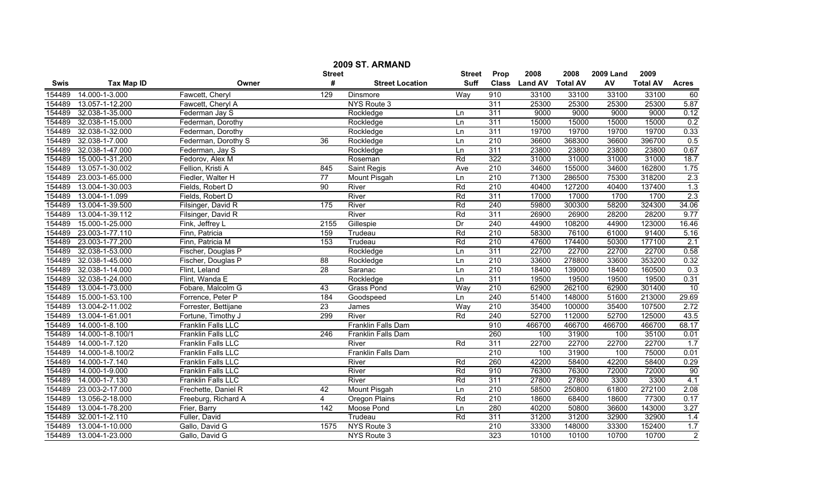|             | 2009 ST. ARMAND   |                           |                  |                        |               |                  |                |                 |                  |                 |                  |  |
|-------------|-------------------|---------------------------|------------------|------------------------|---------------|------------------|----------------|-----------------|------------------|-----------------|------------------|--|
|             |                   |                           | <b>Street</b>    |                        | <b>Street</b> | <b>Prop</b>      | 2008           | 2008            | <b>2009 Land</b> | 2009            |                  |  |
| <b>Swis</b> | <b>Tax Map ID</b> | Owner                     | #                | <b>Street Location</b> | <b>Suff</b>   | <b>Class</b>     | <b>Land AV</b> | <b>Total AV</b> | AV               | <b>Total AV</b> | <b>Acres</b>     |  |
| 154489      | 14.000-1-3.000    | Fawcett, Cheryl           | 129              | Dinsmore               | Way           | 910              | 33100          | 33100           | 33100            | 33100           | 60               |  |
| 154489      | 13.057-1-12.200   | Fawcett, Cheryl A         |                  | NYS Route 3            |               | 311              | 25300          | 25300           | 25300            | 25300           | 5.87             |  |
| 154489      | 32.038-1-35.000   | Federman Jay S            |                  | Rockledge              | Ln            | $\overline{311}$ | 9000           | 9000            | 9000             | 9000            | 0.12             |  |
| 154489      | 32.038-1-15.000   | Federman, Dorothy         |                  | Rockledge              | Ln            | 311              | 15000          | 15000           | 15000            | 15000           | 0.2              |  |
| 154489      | 32.038-1-32.000   | Federman, Dorothy         |                  | Rockledge              | Ln            | 311              | 19700          | 19700           | 19700            | 19700           | 0.33             |  |
| 154489      | 32.038-1-7.000    | Federman, Dorothy S       | 36               | Rockledge              | Ln            | 210              | 36600          | 368300          | 36600            | 396700          | 0.5              |  |
| 154489      | 32.038-1-47.000   | Federman, Jay S           |                  | Rockledge              | Ln            | 311              | 23800          | 23800           | 23800            | 23800           | 0.67             |  |
| 154489      | 15.000-1-31.200   | Fedorov, Alex M           |                  | Roseman                | Rd            | 322              | 31000          | 31000           | 31000            | 31000           | 18.7             |  |
| 154489      | 13.057-1-30.002   | Fellion, Kristi A         | 845              | Saint Regis            | Ave           | 210              | 34600          | 155000          | 34600            | 162800          | 1.75             |  |
| 154489      | 23.003-1-65.000   | Fiedler, Walter H         | 77               | <b>Mount Pisgah</b>    | Ln            | 210              | 71300          | 286500          | 75300            | 318200          | 2.3              |  |
| 154489      | 13.004-1-30.003   | Fields, Robert D          | $\overline{90}$  | River                  | Rd            | 210              | 40400          | 127200          | 40400            | 137400          | 1.3              |  |
| 154489      | 13.004-1-1.099    | Fields, Robert D          |                  | River                  | Rd            | 311              | 17000          | 17000           | 1700             | 1700            | 2.3              |  |
| 154489      | 13.004-1-39.500   | Filsinger, David R        | $\frac{175}{2}$  | River                  | Rd            | $\overline{240}$ | 59800          | 300300          | 58200            | 324300          | 34.06            |  |
| 154489      | 13.004-1-39.112   | Filsinger, David R        |                  | River                  | Rd            | 311              | 26900          | 26900           | 28200            | 28200           | 9.77             |  |
| 154489      | 15.000-1-25.000   | Fink, Jeffrey L           | 2155             | Gillespie              | Dr            | 240              | 44900          | 108200          | 44900            | 123000          | 16.46            |  |
| 154489      | 23.003-1-77.110   | Finn, Patricia            | 159              | Trudeau                | Rd            | $\overline{210}$ | 58300          | 76100           | 61000            | 91400           | 5.16             |  |
| 154489      | 23.003-1-77.200   | Finn, Patricia M          | 153              | Trudeau                | Rd            | 210              | 47600          | 174400          | 50300            | 177100          | 2.1              |  |
| 154489      | 32.038-1-53.000   | Fischer, Douglas P        |                  | Rockledge              | Ln            | 311              | 22700          | 22700           | 22700            | 22700           | 0.58             |  |
| 154489      | 32.038-1-45.000   | Fischer, Douglas P        | 88               | Rockledge              | Ln            | 210              | 33600          | 278800          | 33600            | 353200          | 0.32             |  |
| 154489      | 32.038-1-14.000   | Flint, Leland             | 28               | Saranac                | Ln            | 210              | 18400          | 139000          | 18400            | 160500          | 0.3              |  |
| 154489      | 32.038-1-24.000   | Flint, Wanda E            |                  | Rockledge              | Ln            | 311              | 19500          | 19500           | 19500            | 19500           | 0.31             |  |
| 154489      | 13.004-1-73.000   | Fobare, Malcolm G         | 43               | Grass Pond             | Way           | 210              | 62900          | 262100          | 62900            | 301400          | 10               |  |
| 154489      | 15.000-1-53.100   | Forrence, Peter P         | 184              | Goodspeed              | Ln            | 240              | 51400          | 148000          | 51600            | 213000          | 29.69            |  |
| 154489      | 13.004-2-11.002   | Forrester, Bettijane      | $\overline{23}$  | James                  | Way           | 210              | 35400          | 100000          | 35400            | 107500          | 2.72             |  |
| 154489      | 13.004-1-61.001   | Fortune, Timothy J        | 299              | River                  | Rd            | 240              | 52700          | 112000          | 52700            | 125000          | 43.5             |  |
| 154489      | 14.000-1-8.100    | Franklin Falls LLC        |                  | Franklin Falls Dam     |               | 910              | 466700         | 466700          | 466700           | 466700          | 68.17            |  |
| 154489      | 14.000-1-8.100/1  | Franklin Falls LLC        | $\overline{246}$ | Franklin Falls Dam     |               | 260              | 100            | 31900           | 100              | 35100           | 0.01             |  |
| 154489      | 14.000-1-7.120    | <b>Franklin Falls LLC</b> |                  | River                  | Rd            | 311              | 22700          | 22700           | 22700            | 22700           | $\overline{1.7}$ |  |
| 154489      | 14.000-1-8.100/2  | <b>Franklin Falls LLC</b> |                  | Franklin Falls Dam     |               | 210              | 100            | 31900           | 100              | 75000           | 0.01             |  |
| 154489      | 14.000-1-7.140    | <b>Franklin Falls LLC</b> |                  | River                  | Rd            | 260              | 42200          | 58400           | 42200            | 58400           | 0.29             |  |
| 154489      | 14.000-1-9.000    | Franklin Falls LLC        |                  | River                  | Rd            | 910              | 76300          | 76300           | 72000            | 72000           | 90               |  |
| 154489      | 14.000-1-7.130    | Franklin Falls LLC        |                  | River                  | Rd            | 311              | 27800          | 27800           | 3300             | 3300            | 4.1              |  |
| 154489      | 23.003-2-17.000   | Frechette, Daniel R       | 42               | <b>Mount Pisgah</b>    | Ln            | 210              | 58500          | 250800          | 61800            | 272100          | 2.08             |  |
| 154489      | 13.056-2-18.000   | Freeburg, Richard A       | 4                | <b>Oregon Plains</b>   | Rd            | 210              | 18600          | 68400           | 18600            | 77300           | 0.17             |  |
| 154489      | 13.004-1-78.200   | Frier, Barry              | 142              | Moose Pond             | Ln            | 280              | 40200          | 50800           | 36600            | 143000          | 3.27             |  |
| 154489      | 32.001-1-2.110    | Fuller, David             |                  | Trudeau                | Rd            | 311              | 31200          | 31200           | 32900            | 32900           | 1.4              |  |
| 154489      | 13.004-1-10.000   | Gallo, David G            | 1575             | NYS Route 3            |               | $\overline{210}$ | 33300          | 148000          | 33300            | 152400          | 1.7              |  |
| 154489      | 13.004-1-23.000   | Gallo, David G            |                  | NYS Route 3            |               | 323              | 10100          | 10100           | 10700            | 10700           | $\overline{2}$   |  |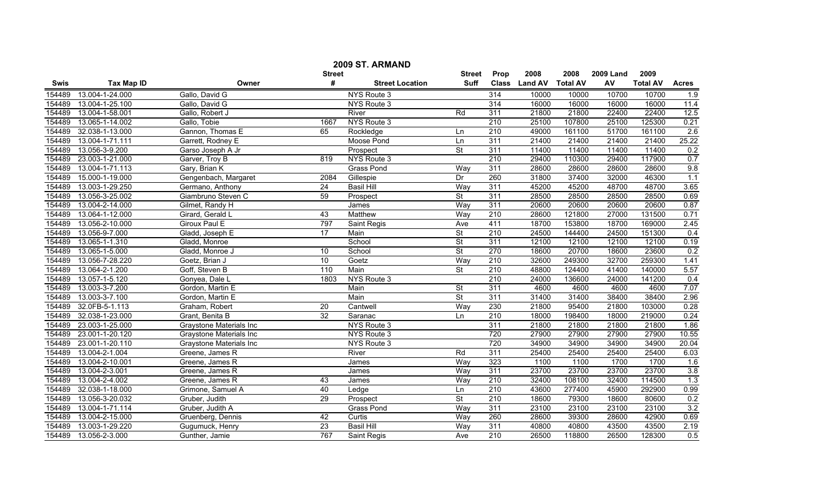|             | 2009 ST. ARMAND                                                                    |                         |                 |                        |                          |                  |                |                 |       |                 |                  |  |
|-------------|------------------------------------------------------------------------------------|-------------------------|-----------------|------------------------|--------------------------|------------------|----------------|-----------------|-------|-----------------|------------------|--|
|             | 2008<br>2009<br><b>Street</b><br>2008<br><b>2009 Land</b><br><b>Street</b><br>Prop |                         |                 |                        |                          |                  |                |                 |       |                 |                  |  |
| <b>Swis</b> | <b>Tax Map ID</b>                                                                  | Owner                   | #               | <b>Street Location</b> | <b>Suff</b>              | <b>Class</b>     | <b>Land AV</b> | <b>Total AV</b> | AV    | <b>Total AV</b> | <b>Acres</b>     |  |
| 154489      | 13.004-1-24.000                                                                    | Gallo, David G          |                 | NYS Route 3            |                          | 314              | 10000          | 10000           | 10700 | 10700           | 1.9              |  |
| 154489      | 13.004-1-25.100                                                                    | Gallo, David G          |                 | NYS Route 3            |                          | 314              | 16000          | 16000           | 16000 | 16000           | 11.4             |  |
| 154489      | 13.004-1-58.001                                                                    | Gallo, Robert J         |                 | River                  | Rd                       | $\overline{311}$ | 21800          | 21800           | 22400 | 22400           | 12.5             |  |
| 154489      | 13.065-1-14.002                                                                    | Gallo, Tobie            | 1667            | NYS Route 3            |                          | 210              | 25100          | 107800          | 25100 | 125300          | 0.21             |  |
| 154489      | 32.038-1-13.000                                                                    | Gannon, Thomas E        | 65              | Rockledge              | Ln                       | 210              | 49000          | 161100          | 51700 | 161100          | 2.6              |  |
| 154489      | 13.004-1-71.111                                                                    | Garrett, Rodney E       |                 | Moose Pond             | Ln                       | 311              | 21400          | 21400           | 21400 | 21400           | 25.22            |  |
| 154489      | 13.056-3-9.200                                                                     | Garso Joseph A Jr       |                 | Prospect               | St                       | 311              | 11400          | 11400           | 11400 | 11400           | 0.2              |  |
| 154489      | 23.003-1-21.000                                                                    | Garver, Troy B          | 819             | NYS Route 3            |                          | 210              | 29400          | 110300          | 29400 | 117900          | 0.7              |  |
| 154489      | 13.004-1-71.113                                                                    | Gary, Brian K           |                 | <b>Grass Pond</b>      | Way                      | 311              | 28600          | 28600           | 28600 | 28600           | 9.8              |  |
| 154489      | 15.000-1-19.000                                                                    | Gengenbach, Margaret    | 2084            | Gillespie              | $\overline{Dr}$          | 260              | 31800          | 37400           | 32000 | 46300           | 1.1              |  |
| 154489      | 13.003-1-29.250                                                                    | Germano, Anthony        | 24              | <b>Basil Hill</b>      | Way                      | 311              | 45200          | 45200           | 48700 | 48700           | 3.65             |  |
| 154489      | 13.056-3-25.002                                                                    | Giambruno Steven C      | 59              | Prospect               | $\overline{\mathsf{St}}$ | $\overline{311}$ | 28500          | 28500           | 28500 | 28500           | 0.69             |  |
| 154489      | 13.004-2-14.000                                                                    | Gilmet, Randy H         |                 | James                  | Way                      | 311              | 20600          | 20600           | 20600 | 20600           | 0.87             |  |
| 154489      | 13.064-1-12.000                                                                    | Girard, Gerald L        | 43              | Matthew                | Way                      | 210              | 28600          | 121800          | 27000 | 131500          | 0.71             |  |
| 154489      | 13.056-2-10.000                                                                    | Giroux Paul E           | 797             | Saint Regis            | Ave                      | 411              | 18700          | 153800          | 18700 | 169000          | 2.45             |  |
| 154489      | 13.056-9-7.000                                                                     | Gladd, Joseph E         | $\overline{17}$ | Main                   | $\overline{\mathsf{St}}$ | 210              | 24500          | 144400          | 24500 | 151300          | $\overline{0.4}$ |  |
| 154489      | 13.065-1-1.310                                                                     | Gladd, Monroe           |                 | School                 | <b>St</b>                | 311              | 12100          | 12100           | 12100 | 12100           | 0.19             |  |
| 154489      | 13.065-1-5.000                                                                     | Gladd, Monroe J         | 10              | School                 | <b>St</b>                | 270              | 18600          | 20700           | 18600 | 23600           | 0.2              |  |
| 154489      | 13.056-7-28.220                                                                    | Goetz, Brian J          | 10              | Goetz                  | Way                      | 210              | 32600          | 249300          | 32700 | 259300          | 1.41             |  |
| 154489      | 13.064-2-1.200                                                                     | Goff, Steven B          | 110             | Main                   | St                       | 210              | 48800          | 124400          | 41400 | 140000          | 5.57             |  |
| 154489      | 13.057-1-5.120                                                                     | Gonyea, Dale L          | 1803            | NYS Route 3            |                          | 210              | 24000          | 136600          | 24000 | 141200          | 0.4              |  |
| 154489      | 13.003-3-7.200                                                                     | Gordon, Martin E        |                 | Main                   | St                       | 311              | 4600           | 4600            | 4600  | 4600            | 7.07             |  |
| 154489      | 13.003-3-7.100                                                                     | Gordon, Martin E        |                 | Main                   | $\overline{\mathsf{St}}$ | 311              | 31400          | 31400           | 38400 | 38400           | 2.96             |  |
| 154489      | 32.0FB-5-1.113                                                                     | Graham, Robert          | 20              | Cantwell               | Way                      | 230              | 21800          | 95400           | 21800 | 103000          | 0.28             |  |
| 154489      | 32.038-1-23.000                                                                    | Grant, Benita B         | $\overline{32}$ | Saranac                | Ln                       | $\overline{210}$ | 18000          | 198400          | 18000 | 219000          | 0.24             |  |
| 154489      | 23.003-1-25.000                                                                    | Graystone Materials Inc |                 | NYS Route 3            |                          | 311              | 21800          | 21800           | 21800 | 21800           | 1.86             |  |
| 154489      | 23.001-1-20.120                                                                    | Graystone Materials Inc |                 | NYS Route 3            |                          | 720              | 27900          | 27900           | 27900 | 27900           | 10.55            |  |
| 154489      | 23.001-1-20.110                                                                    | Graystone Materials Inc |                 | NYS Route 3            |                          | 720              | 34900          | 34900           | 34900 | 34900           | 20.04            |  |
| 154489      | 13.004-2-1.004                                                                     | Greene, James R         |                 | River                  | Rd                       | 311              | 25400          | 25400           | 25400 | 25400           | 6.03             |  |
| 154489      | 13.004-2-10.001                                                                    | Greene, James R         |                 | James                  | Way                      | 323              | 1100           | 1100            | 1700  | 1700            | 1.6              |  |
| 154489      | 13.004-2-3.001                                                                     | Greene, James R         |                 | James                  | Way                      | 311              | 23700          | 23700           | 23700 | 23700           | 3.8              |  |
| 154489      | 13.004-2-4.002                                                                     | Greene, James R         | 43              | James                  | Way                      | 210              | 32400          | 108100          | 32400 | 114500          | 1.3              |  |
| 154489      | 32.038-1-18.000                                                                    | Grimone, Samuel A       | 40              | Ledge                  | Ln                       | 210              | 43600          | 277400          | 45900 | 292900          | 0.99             |  |
| 154489      | 13.056-3-20.032                                                                    | Gruber, Judith          | 29              | Prospect               | $\overline{\mathsf{St}}$ | 210              | 18600          | 79300           | 18600 | 80600           | 0.2              |  |
| 154489      | 13.004-1-71.114                                                                    | Gruber, Judith A        |                 | <b>Grass Pond</b>      | Way                      | 311              | 23100          | 23100           | 23100 | 23100           | 3.2              |  |
| 154489      | 13.004-2-15.000                                                                    | Gruenberg, Dennis       | 42              | Curtis                 | Way                      | 260              | 28600          | 39300           | 28600 | 42900           | 0.69             |  |
| 154489      | 13.003-1-29.220                                                                    | Gugumuck, Henry         | $\overline{23}$ | <b>Basil Hill</b>      | Way                      | $\overline{311}$ | 40800          | 40800           | 43500 | 43500           | 2.19             |  |
| 154489      | 13.056-2-3.000                                                                     | Gunther, Jamie          | 767             | Saint Regis            | Ave                      | 210              | 26500          | 118800          | 26500 | 128300          | 0.5              |  |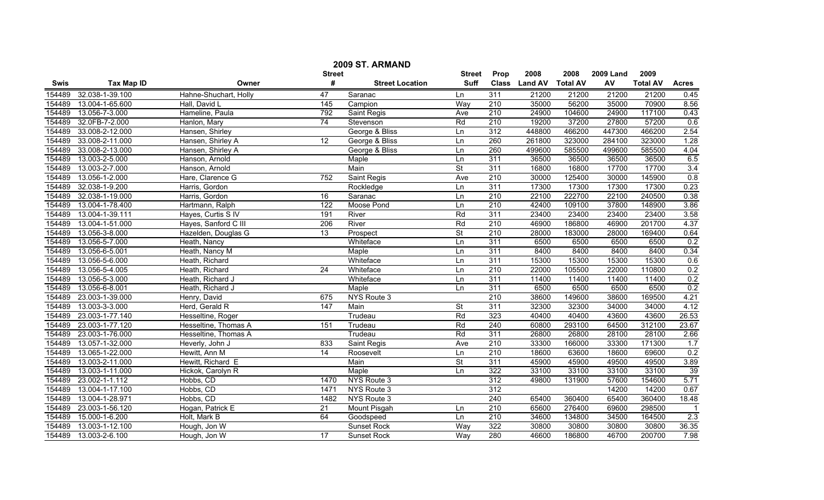|             | 2009 ST. ARMAND   |                       |                  |                        |                          |                  |                |                 |                  |                 |                  |  |
|-------------|-------------------|-----------------------|------------------|------------------------|--------------------------|------------------|----------------|-----------------|------------------|-----------------|------------------|--|
|             |                   |                       | <b>Street</b>    |                        | <b>Street</b>            | Prop             | 2008           | 2008            | <b>2009 Land</b> | 2009            |                  |  |
| <b>Swis</b> | <b>Tax Map ID</b> | Owner                 | #                | <b>Street Location</b> | <b>Suff</b>              | <b>Class</b>     | <b>Land AV</b> | <b>Total AV</b> | AV               | <b>Total AV</b> | <b>Acres</b>     |  |
| 154489      | 32.038-1-39.100   | Hahne-Shuchart, Holly | 47               | Saranac                | Ln                       | 311              | 21200          | 21200           | 21200            | 21200           | 0.45             |  |
| 154489      | 13.004-1-65.600   | Hall, David L         | $\overline{145}$ | Campion                | Way                      | 210              | 35000          | 56200           | 35000            | 70900           | 8.56             |  |
| 154489      | 13.056-7-3.000    | Hameline, Paula       | 792              | Saint Regis            | Ave                      | $\overline{210}$ | 24900          | 104600          | 24900            | 117100          | 0.43             |  |
| 154489      | 32.0FB-7-2.000    | Hanlon, Mary          | 74               | Stevenson              | Rd                       | 210              | 19200          | 37200           | 27800            | 57200           | 0.6              |  |
| 154489      | 33.008-2-12.000   | Hansen, Shirley       |                  | George & Bliss         | Ln                       | 312              | 448800         | 466200          | 447300           | 466200          | 2.54             |  |
| 154489      | 33.008-2-11.000   | Hansen, Shirley A     | $\overline{12}$  | George & Bliss         | Ln                       | 260              | 261800         | 323000          | 284100           | 323000          | 1.28             |  |
| 154489      | 33.008-2-13.000   | Hansen, Shirley A     |                  | George & Bliss         | Ln                       | 260              | 499600         | 585500          | 499600           | 585500          | 4.04             |  |
| 154489      | 13.003-2-5.000    | Hanson, Arnold        |                  | Maple                  | Ln                       | 311              | 36500          | 36500           | 36500            | 36500           | 6.5              |  |
| 154489      | 13.003-2-7.000    | Hanson, Arnold        |                  | Main                   | $\overline{\mathsf{St}}$ | 311              | 16800          | 16800           | 17700            | 17700           | 3.4              |  |
| 154489      | 13.056-1-2.000    | Hare, Clarence G      | 752              | Saint Regis            | Ave                      | 210              | 30000          | 125400          | 30000            | 145900          | 0.8              |  |
| 154489      | 32.038-1-9.200    | Harris, Gordon        |                  | Rockledge              | Ln                       | 311              | 17300          | 17300           | 17300            | 17300           | 0.23             |  |
| 154489      | 32.038-1-19.000   | Harris, Gordon        | 16               | Saranac                | Ln                       | 210              | 22100          | 222700          | 22100            | 240500          | 0.38             |  |
| 154489      | 13.004-1-78.400   | Hartmann, Ralph       | 122              | Moose Pond             | Ln                       | 210              | 42400          | 109100          | 37800            | 148900          | 3.86             |  |
| 154489      | 13.004-1-39.111   | Hayes, Curtis S IV    | 191              | River                  | Rd                       | 311              | 23400          | 23400           | 23400            | 23400           | 3.58             |  |
| 154489      | 13.004-1-51.000   | Hayes, Sanford C III  | 206              | River                  | Rd                       | 210              | 46900          | 186800          | 46900            | 201700          | 4.37             |  |
| 154489      | 13.056-3-8.000    | Hazelden, Douglas G   | 13               | Prospect               | St                       | 210              | 28000          | 183000          | 28000            | 169400          | 0.64             |  |
| 154489      | 13.056-5-7.000    | Heath, Nancy          |                  | Whiteface              | Ln                       | 311              | 6500           | 6500            | 6500             | 6500            | 0.2              |  |
| 154489      | 13.056-6-5.001    | Heath, Nancy M        |                  | Maple                  | Ln                       | 311              | 8400           | 8400            | 8400             | 8400            | 0.34             |  |
| 154489      | 13.056-5-6.000    | Heath, Richard        |                  | Whiteface              | Ln                       | 311              | 15300          | 15300           | 15300            | 15300           | 0.6              |  |
| 154489      | 13.056-5-4.005    | Heath, Richard        | 24               | Whiteface              | Ln                       | 210              | 22000          | 105500          | 22000            | 110800          | 0.2              |  |
| 154489      | 13.056-5-3.000    | Heath, Richard J      |                  | Whiteface              | Ln                       | 311              | 11400          | 11400           | 11400            | 11400           | 0.2              |  |
| 154489      | 13.056-6-8.001    | Heath, Richard J      |                  | Maple                  | Ln                       | 311              | 6500           | 6500            | 6500             | 6500            | 0.2              |  |
| 154489      | 23.003-1-39.000   | Henry, David          | 675              | NYS Route 3            |                          | 210              | 38600          | 149600          | 38600            | 169500          | 4.21             |  |
| 154489      | 13.003-3-3.000    | Herd, Gerald R        | 147              | Main                   | <b>St</b>                | 311              | 32300          | 32300           | 34000            | 34000           | 4.12             |  |
| 154489      | 23.003-1-77.140   | Hesseltine, Roger     |                  | Trudeau                | Rd                       | 323              | 40400          | 40400           | 43600            | 43600           | 26.53            |  |
| 154489      | 23.003-1-77.120   | Hesseltine, Thomas A  | 151              | Trudeau                | Rd                       | $\overline{240}$ | 60800          | 293100          | 64500            | 312100          | 23.67            |  |
| 154489      | 23.003-1-76.000   | Hesseltine, Thomas A  |                  | Trudeau                | Rd                       | 311              | 26800          | 26800           | 28100            | 28100           | 2.66             |  |
| 154489      | 13.057-1-32.000   | Heverly, John J       | 833              | Saint Regis            | Ave                      | $\overline{210}$ | 33300          | 166000          | 33300            | 171300          | 1.7              |  |
| 154489      | 13.065-1-22.000   | Hewitt, Ann M         | 14               | Roosevelt              | Ln                       | 210              | 18600          | 63600           | 18600            | 69600           | 0.2              |  |
| 154489      | 13.003-2-11.000   | Hewitt, Richard E     |                  | Main                   | $\overline{\mathsf{St}}$ | 311              | 45900          | 45900           | 49500            | 49500           | 3.89             |  |
| 154489      | 13.003-1-11.000   | Hickok, Carolyn R     |                  | Maple                  | Ln                       | 322              | 33100          | 33100           | 33100            | 33100           | 39               |  |
| 154489      | 23.002-1-1.112    | Hobbs, CD             | 1470             | NYS Route 3            |                          | 312              | 49800          | 131900          | 57600            | 154600          | 5.71             |  |
| 154489      | 13.004-1-17.100   | Hobbs, CD             | 1471             | NYS Route 3            |                          | 312              |                |                 | 14200            | 14200           | 0.67             |  |
| 154489      | 13.004-1-28.971   | Hobbs, CD             | 1482             | NYS Route 3            |                          | 240              | 65400          | 360400          | 65400            | 360400          | 18.48            |  |
| 154489      | 23.003-1-56.120   | Hogan, Patrick E      | 21               | Mount Pisgah           | Ln                       | 210              | 65600          | 276400          | 69600            | 298500          |                  |  |
| 154489      | 15.000-1-6.200    | Holt, Mark B          | 64               | Goodspeed              | Ln                       | 210              | 34600          | 134800          | 34500            | 164500          | $\overline{2.3}$ |  |
| 154489      | 13.003-1-12.100   | Hough, Jon W          |                  | <b>Sunset Rock</b>     | Way                      | 322              | 30800          | 30800           | 30800            | 30800           | 36.35            |  |
| 154489      | 13.003-2-6.100    | Hough, Jon W          | 17               | <b>Sunset Rock</b>     | Way                      | 280              | 46600          | 186800          | 46700            | 200700          | 7.98             |  |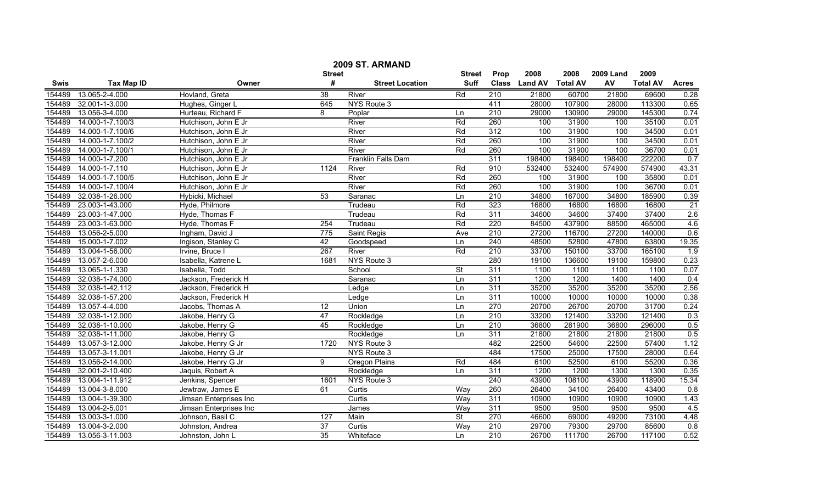|        | 2009 ST. ARMAND   |                        |                 |                        |                          |                  |                |                 |                  |                 |                 |  |
|--------|-------------------|------------------------|-----------------|------------------------|--------------------------|------------------|----------------|-----------------|------------------|-----------------|-----------------|--|
|        |                   |                        | <b>Street</b>   |                        | <b>Street</b>            | Prop             | 2008           | 2008            | <b>2009 Land</b> | 2009            |                 |  |
| Swis   | <b>Tax Map ID</b> | Owner                  | #               | <b>Street Location</b> | Suff                     | <b>Class</b>     | <b>Land AV</b> | <b>Total AV</b> | AV               | <b>Total AV</b> | <b>Acres</b>    |  |
| 154489 | 13.065-2-4.000    | Hovland, Greta         | $\overline{38}$ | River                  | Rd                       | 210              | 21800          | 60700           | 21800            | 69600           | 0.28            |  |
| 154489 | 32.001-1-3.000    | Hughes, Ginger L       | 645             | NYS Route 3            |                          | 411              | 28000          | 107900          | 28000            | 113300          | 0.65            |  |
| 154489 | 13.056-3-4.000    | Hurteau, Richard F     | 8               | Poplar                 | Ln                       | $\overline{210}$ | 29000          | 130900          | 29000            | 145300          | 0.74            |  |
| 154489 | 14.000-1-7.100/3  | Hutchison, John E Jr   |                 | River                  | Rd                       | 260              | 100            | 31900           | 100              | 35100           | 0.01            |  |
| 154489 | 14.000-1-7.100/6  | Hutchison, John E Jr   |                 | River                  | Rd                       | 312              | 100            | 31900           | 100              | 34500           | 0.01            |  |
| 154489 | 14.000-1-7.100/2  | Hutchison, John E Jr   |                 | River                  | Rd                       | 260              | 100            | 31900           | 100              | 34500           | 0.01            |  |
| 154489 | 14.000-1-7.100/1  | Hutchison, John E Jr   |                 | River                  | Rd                       | 260              | 100            | 31900           | 100              | 36700           | 0.01            |  |
| 154489 | 14.000-1-7.200    | Hutchison, John E Jr   |                 | Franklin Falls Dam     |                          | 311              | 198400         | 198400          | 198400           | 222200          | 0.7             |  |
| 154489 | 14.000-1-7.110    | Hutchison, John E Jr   | 1124            | River                  | Rd                       | 910              | 532400         | 532400          | 574900           | 574900          | 43.31           |  |
| 154489 | 14.000-1-7.100/5  | Hutchison, John E Jr   |                 | River                  | Rd                       | 260              | 100            | 31900           | 100              | 35800           | 0.01            |  |
| 154489 | 14.000-1-7.100/4  | Hutchison, John E Jr   |                 | River                  | Rd                       | 260              | 100            | 31900           | 100              | 36700           | 0.01            |  |
| 154489 | 32.038-1-26.000   | Hybicki, Michael       | 53              | Saranac                | Ln                       | 210              | 34800          | 167000          | 34800            | 185900          | 0.39            |  |
| 154489 | 23.003-1-43.000   | Hyde, Philmore         |                 | Trudeau                | Rd                       | 323              | 16800          | 16800           | 16800            | 16800           | $\overline{21}$ |  |
| 154489 | 23.003-1-47.000   | Hyde, Thomas F         |                 | Trudeau                | Rd                       | 311              | 34600          | 34600           | 37400            | 37400           | 2.6             |  |
| 154489 | 23.003-1-63.000   | Hyde, Thomas F         | 254             | Trudeau                | Rd                       | 220              | 84500          | 437900          | 88500            | 465000          | 4.6             |  |
| 154489 | 13.056-2-5.000    | Ingham, David J        | 775             | Saint Regis            | Ave                      | 210              | 27200          | 116700          | 27200            | 140000          | 0.6             |  |
| 154489 | 15.000-1-7.002    | Ingison, Stanley C     | 42              | Goodspeed              | Ln                       | 240              | 48500          | 52800           | 47800            | 63800           | 19.35           |  |
| 154489 | 13.004-1-56.000   | Irvine, Bruce I        | 267             | River                  | Rd                       | 210              | 33700          | 150100          | 33700            | 165100          | 1.9             |  |
| 154489 | 13.057-2-6.000    | Isabella, Katrene L    | 1681            | NYS Route 3            |                          | 280              | 19100          | 136600          | 19100            | 159800          | 0.23            |  |
| 154489 | 13.065-1-1.330    | Isabella, Todd         |                 | School                 | <b>St</b>                | 311              | 1100           | 1100            | 1100             | 1100            | 0.07            |  |
| 154489 | 32.038-1-74.000   | Jackson, Frederick H   |                 | Saranac                | Ln                       | 311              | 1200           | 1200            | 1400             | 1400            | 0.4             |  |
| 154489 | 32.038-1-42.112   | Jackson, Frederick H   |                 | Ledge                  | Ln                       | 311              | 35200          | 35200           | 35200            | 35200           | 2.56            |  |
| 154489 | 32.038-1-57.200   | Jackson, Frederick H   |                 | Ledge                  | Ln                       | 311              | 10000          | 10000           | 10000            | 10000           | 0.38            |  |
| 154489 | 13.057-4-4.000    | Jacobs, Thomas A       | 12              | Union                  | Ln                       | 270              | 20700          | 26700           | 20700            | 31700           | 0.24            |  |
| 154489 | 32.038-1-12.000   | Jakobe, Henry G        | 47              | Rockledge              | Ln                       | 210              | 33200          | 121400          | 33200            | 121400          | 0.3             |  |
| 154489 | 32.038-1-10.000   | Jakobe, Henry G        | 45              | Rockledge              | Ln                       | 210              | 36800          | 281900          | 36800            | 296000          | 0.5             |  |
| 154489 | 32.038-1-11.000   | Jakobe, Henry G        |                 | Rockledge              | Ln                       | 311              | 21800          | 21800           | 21800            | 21800           | 0.5             |  |
| 154489 | 13.057-3-12.000   | Jakobe, Henry G Jr     | 1720            | NYS Route 3            |                          | 482              | 22500          | 54600           | 22500            | 57400           | 1.12            |  |
| 154489 | 13.057-3-11.001   | Jakobe, Henry G Jr     |                 | NYS Route 3            |                          | 484              | 17500          | 25000           | 17500            | 28000           | 0.64            |  |
| 154489 | 13.056-2-14.000   | Jakobe, Henry G Jr     | 9               | <b>Oregon Plains</b>   | Rd                       | 484              | 6100           | 52500           | 6100             | 55200           | 0.36            |  |
| 154489 | 32.001-2-10.400   | Jaquis, Robert A       |                 | Rockledge              | Ln                       | 311              | 1200           | 1200            | 1300             | 1300            | 0.35            |  |
| 154489 | 13.004-1-11.912   | Jenkins, Spencer       | 1601            | NYS Route 3            |                          | 240              | 43900          | 108100          | 43900            | 118900          | 15.34           |  |
| 154489 | 13.004-3-8.000    | Jewtraw, James E       | 61              | Curtis                 | Way                      | 260              | 26400          | 34100           | 26400            | 43400           | 0.8             |  |
| 154489 | 13.004-1-39.300   | Jimsan Enterprises Inc |                 | Curtis                 | Way                      | 311              | 10900          | 10900           | 10900            | 10900           | 1.43            |  |
| 154489 | 13.004-2-5.001    | Jimsan Enterprises Inc |                 | James                  | Way                      | 311              | 9500           | 9500            | 9500             | 9500            | 4.5             |  |
| 154489 | 13.003-3-1.000    | Johnson, Basil C       | 127             | Main                   | $\overline{\mathsf{St}}$ | 270              | 46600          | 69000           | 49200            | 73100           | 4.48            |  |
| 154489 | 13.004-3-2.000    | Johnston, Andrea       | 37              | Curtis                 | Way                      | 210              | 29700          | 79300           | 29700            | 85600           | 0.8             |  |
| 154489 | 13.056-3-11.003   | Johnston, John L       | 35              | Whiteface              | Ln                       | 210              | 26700          | 111700          | 26700            | 117100          | 0.52            |  |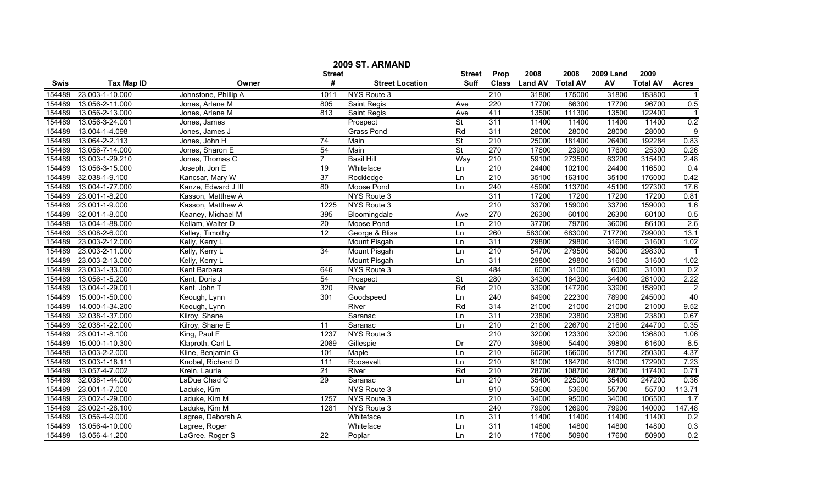| 2009 ST. ARMAND |                                                                                           |                      |                 |                        |                          |                  |                |                 |        |                 |                         |
|-----------------|-------------------------------------------------------------------------------------------|----------------------|-----------------|------------------------|--------------------------|------------------|----------------|-----------------|--------|-----------------|-------------------------|
|                 | 2008<br>2009<br>2008<br><b>2009 Land</b><br><b>Street</b><br><b>Street</b><br><b>Prop</b> |                      |                 |                        |                          |                  |                |                 |        |                 |                         |
| <b>Swis</b>     | <b>Tax Map ID</b>                                                                         | Owner                | #               | <b>Street Location</b> | <b>Suff</b>              | <b>Class</b>     | <b>Land AV</b> | <b>Total AV</b> | AV     | <b>Total AV</b> | <b>Acres</b>            |
| 154489          | 23.003-1-10.000                                                                           | Johnstone, Phillip A | 1011            | NYS Route 3            |                          | 210              | 31800          | 175000          | 31800  | 183800          |                         |
| 154489          | 13.056-2-11.000                                                                           | Jones, Arlene M      | 805             | Saint Regis            | Ave                      | 220              | 17700          | 86300           | 17700  | 96700           | 0.5                     |
| 154489          | 13.056-2-13.000                                                                           | Jones, Arlene M      | 813             | Saint Regis            | Ave                      | 411              | 13500          | 111300          | 13500  | 122400          | $\mathbf{1}$            |
| 154489          | 13.056-3-24.001                                                                           | Jones, James         |                 | Prospect               | $\overline{\mathsf{St}}$ | 311              | 11400          | 11400           | 11400  | 11400           | 0.2                     |
| 154489          | 13.004-1-4.098                                                                            | Jones, James J       |                 | <b>Grass Pond</b>      | Rd                       | 311              | 28000          | 28000           | 28000  | 28000           | $\overline{9}$          |
| 154489          | 13.064-2-2.113                                                                            | Jones, John H        | 74              | Main                   | <b>St</b>                | 210              | 25000          | 181400          | 26400  | 192284          | 0.83                    |
| 154489          | 13.056-7-14.000                                                                           | Jones, Sharon E      | 54              | Main                   | <b>St</b>                | 270              | 17600          | 23900           | 17600  | 25300           | 0.26                    |
| 154489          | 13.003-1-29.210                                                                           | Jones, Thomas C      | $\overline{7}$  | <b>Basil Hill</b>      | Way                      | 210              | 59100          | 273500          | 63200  | 315400          | 2.48                    |
| 154489          | 13.056-3-15.000                                                                           | Joseph, Jon E        | $\overline{19}$ | Whiteface              | Ln                       | $\overline{210}$ | 24400          | 102100          | 24400  | 116500          | $\overline{0.4}$        |
| 154489          | 32.038-1-9.100                                                                            | Kancsar, Mary W      | 37              | Rockledge              | Ln                       | $\overline{210}$ | 35100          | 163100          | 35100  | 176000          | 0.42                    |
| 154489          | 13.004-1-77.000                                                                           | Kanze, Edward J III  | 80              | Moose Pond             | Ln                       | 240              | 45900          | 113700          | 45100  | 127300          | 17.6                    |
| 154489          | 23.001-1-8.200                                                                            | Kasson, Matthew A    |                 | NYS Route 3            |                          | $\overline{311}$ | 17200          | 17200           | 17200  | 17200           | 0.81                    |
| 154489          | 23.001-1-9.000                                                                            | Kasson, Matthew A    | 1225            | NYS Route 3            |                          | $\overline{210}$ | 33700          | 159000          | 33700  | 159000          | 1.6                     |
| 154489          | 32.001-1-8.000                                                                            | Keaney, Michael M    | 395             | Bloomingdale           | Ave                      | 270              | 26300          | 60100           | 26300  | 60100           | 0.5                     |
| 154489          | 13.004-1-88.000                                                                           | Kellam, Walter D     | 20              | Moose Pond             | Ln                       | 210              | 37700          | 79700           | 36000  | 86100           | 2.6                     |
| 154489          | 33.008-2-6.000                                                                            | Kelley, Timothy      | $\overline{12}$ | George & Bliss         | Ln                       | 260              | 583000         | 683000          | 717700 | 799000          | 13.1                    |
| 154489          | 23.003-2-12.000                                                                           | Kelly, Kerry L       |                 | <b>Mount Pisgah</b>    | Ln                       | 311              | 29800          | 29800           | 31600  | 31600           | 1.02                    |
| 154489          | 23.003-2-11.000                                                                           | Kelly, Kerry L       | 34              | <b>Mount Pisgah</b>    | Ln                       | 210              | 54700          | 279500          | 58000  | 298300          | $\overline{\mathbf{1}}$ |
| 154489          | 23.003-2-13.000                                                                           | Kelly, Kerry L       |                 | Mount Pisgah           | Ln                       | 311              | 29800          | 29800           | 31600  | 31600           | 1.02                    |
| 154489          | 23.003-1-33.000                                                                           | Kent Barbara         | 646             | NYS Route 3            |                          | 484              | 6000           | 31000           | 6000   | 31000           | 0.2                     |
| 154489          | 13.056-1-5.200                                                                            | Kent, Doris J        | 54              | Prospect               | St                       | 280              | 34300          | 184300          | 34400  | 261000          | 2.22                    |
| 154489          | 13.004-1-29.001                                                                           | Kent, John T         | 320             | River                  | Rd                       | 210              | 33900          | 147200          | 33900  | 158900          | $\overline{2}$          |
| 154489          | 15.000-1-50.000                                                                           | Keough, Lynn         | 301             | Goodspeed              | Ln                       | 240              | 64900          | 222300          | 78900  | 245000          | 40                      |
| 154489          | 14.000-1-34.200                                                                           | Keough, Lynn         |                 | River                  | Rd                       | 314              | 21000          | 21000           | 21000  | 21000           | 9.52                    |
| 154489          | 32.038-1-37.000                                                                           | Kilroy, Shane        |                 | Saranac                | Ln                       | 311              | 23800          | 23800           | 23800  | 23800           | 0.67                    |
| 154489          | 32.038-1-22.000                                                                           | Kilroy, Shane E      | 11              | Saranac                | Ln                       | 210              | 21600          | 226700          | 21600  | 244700          | 0.35                    |
| 154489          | 23.001-1-8.100                                                                            | King, Paul F         | 1237            | NYS Route 3            |                          | 210              | 32000          | 123300          | 32000  | 136800          | 1.06                    |
| 154489          | 15.000-1-10.300                                                                           | Klaproth, Carl L     | 2089            | Gillespie              | Dr                       | 270              | 39800          | 54400           | 39800  | 61600           | 8.5                     |
| 154489          | 13.003-2-2.000                                                                            | Kline, Benjamin G    | 101             | Maple                  | Ln                       | 210              | 60200          | 166000          | 51700  | 250300          | 4.37                    |
| 154489          | 13.003-1-18.111                                                                           | Knobel, Richard D    | 111             | Roosevelt              | Ln                       | 210              | 61000          | 164700          | 61000  | 172900          | 7.23                    |
| 154489          | 13.057-4-7.002                                                                            | Krein, Laurie        | 21              | River                  | Rd                       | 210              | 28700          | 108700          | 28700  | 117400          | 0.71                    |
| 154489          | 32.038-1-44.000                                                                           | LaDue Chad C         | 29              | Saranac                | Ln                       | 210              | 35400          | 225000          | 35400  | 247200          | 0.36                    |
| 154489          | 23.001-1-7.000                                                                            | Laduke, Kim          |                 | NYS Route 3            |                          | 910              | 53600          | 53600           | 55700  | 55700           | 113.71                  |
| 154489          | 23.002-1-29.000                                                                           | Laduke, Kim M        | 1257            | NYS Route 3            |                          | $\overline{210}$ | 34000          | 95000           | 34000  | 106500          | 1.7                     |
| 154489          | 23.002-1-28.100                                                                           | Laduke, Kim M        | 1281            | NYS Route 3            |                          | 240              | 79900          | 126900          | 79900  | 140000          | 147.48                  |
| 154489          | 13.056-4-9.000                                                                            | Lagree, Deborah A    |                 | Whiteface              | Ln                       | 311              | 11400          | 11400           | 11400  | 11400           | 0.2                     |
| 154489          | 13.056-4-10.000                                                                           | Lagree, Roger        |                 | Whiteface              | Ln                       | 311              | 14800          | 14800           | 14800  | 14800           | 0.3                     |
| 154489          | 13.056-4-1.200                                                                            | LaGree, Roger S      | 22              | Poplar                 | Ln                       | 210              | 17600          | 50900           | 17600  | 50900           | 0.2                     |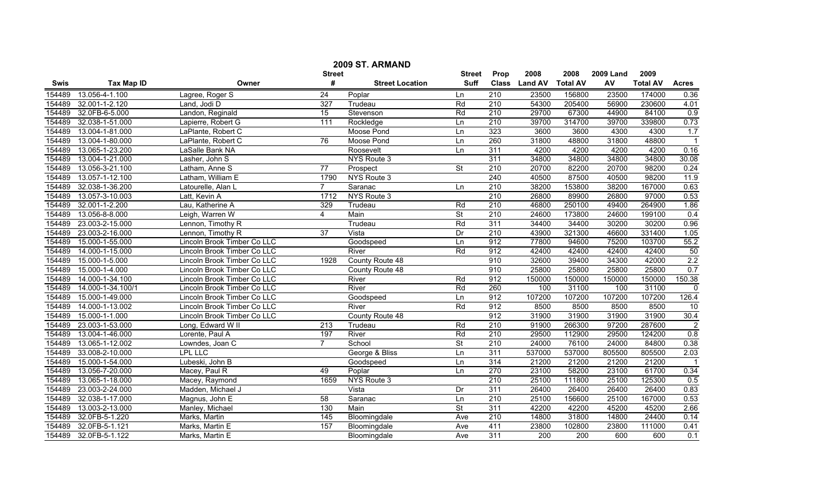| 2009 ST. ARMAND |                   |                             |                 |                        |                          |                  |                |                 |                  |                 |                |
|-----------------|-------------------|-----------------------------|-----------------|------------------------|--------------------------|------------------|----------------|-----------------|------------------|-----------------|----------------|
|                 |                   |                             | <b>Street</b>   |                        | <b>Street</b>            | <b>Prop</b>      | 2008           | 2008            | <b>2009 Land</b> | 2009            |                |
| Swis            | <b>Tax Map ID</b> | Owner                       | #               | <b>Street Location</b> | <b>Suff</b>              | <b>Class</b>     | <b>Land AV</b> | <b>Total AV</b> | AV               | <b>Total AV</b> | <b>Acres</b>   |
| 154489          | 13.056-4-1.100    | Lagree, Roger S             | $\overline{24}$ | Poplar                 | Ln                       | 210              | 23500          | 156800          | 23500            | 174000          | 0.36           |
| 154489          | 32.001-1-2.120    | Land. Jodi D                | 327             | Trudeau                | Rd                       | 210              | 54300          | 205400          | 56900            | 230600          | 4.01           |
| 154489          | 32.0FB-6-5.000    | Landon, Reginald            | 15              | Stevenson              | Rd                       | 210              | 29700          | 67300           | 44900            | 84100           | 0.9            |
| 154489          | 32.038-1-51.000   | Lapierre, Robert G          | 111             | Rockledge              | Ln                       | 210              | 39700          | 314700          | 39700            | 339800          | 0.73           |
| 154489          | 13.004-1-81.000   | LaPlante, Robert C          |                 | Moose Pond             | Ln                       | 323              | 3600           | 3600            | 4300             | 4300            | 1.7            |
| 154489          | 13.004-1-80.000   | LaPlante, Robert C          | 76              | Moose Pond             | Ln                       | 260              | 31800          | 48800           | 31800            | 48800           |                |
| 154489          | 13.065-1-23.200   | LaSalle Bank NA             |                 | Roosevelt              | Ln                       | 311              | 4200           | 4200            | 4200             | 4200            | 0.16           |
| 154489          | 13.004-1-21.000   | Lasher, John S              |                 | NYS Route 3            |                          | 311              | 34800          | 34800           | 34800            | 34800           | 30.08          |
| 154489          | 13.056-3-21.100   | Latham, Anne S              | $\overline{77}$ | Prospect               | <b>St</b>                | $\overline{210}$ | 20700          | 82200           | 20700            | 98200           | 0.24           |
| 154489          | 13.057-1-12.100   | Latham, William E           | 1790            | NYS Route 3            |                          | 240              | 40500          | 87500           | 40500            | 98200           | 11.9           |
| 154489          | 32.038-1-36.200   | Latourelle, Alan L          | $\overline{7}$  | Saranac                | Ln                       | 210              | 38200          | 153800          | 38200            | 167000          | 0.63           |
| 154489          | 13.057-3-10.003   | Latt, Kevin A               | 1712            | NYS Route 3            |                          | 210              | 26800          | 89900           | 26800            | 97000           | 0.53           |
| 154489          | 32.001-1-2.200    | Lau, Katherine A            | 329             | Trudeau                | Rd                       | 210              | 46800          | 250100          | 49400            | 264900          | 1.86           |
| 154489          | 13.056-8-8.000    | Leigh, Warren W             | 4               | Main                   | St                       | 210              | 24600          | 173800          | 24600            | 199100          | 0.4            |
| 154489          | 23.003-2-15.000   | Lennon, Timothy R           |                 | Trudeau                | Rd                       | 311              | 34400          | 34400           | 30200            | 30200           | 0.96           |
| 154489          | 23.003-2-16.000   | Lennon, Timothy R           | 37              | Vista                  | Dr                       | 210              | 43900          | 321300          | 46600            | 331400          | 1.05           |
| 154489          | 15.000-1-55.000   | Lincoln Brook Timber Co LLC |                 | Goodspeed              | Ln                       | 912              | 77800          | 94600           | 75200            | 103700          | 55.2           |
| 154489          | 14.000-1-15.000   | Lincoln Brook Timber Co LLC |                 | River                  | Rd                       | 912              | 42400          | 42400           | 42400            | 42400           | 50             |
| 154489          | 15.000-1-5.000    | Lincoln Brook Timber Co LLC | 1928            | County Route 48        |                          | 910              | 32600          | 39400           | 34300            | 42000           | 2.2            |
| 154489          | 15.000-1-4.000    | Lincoln Brook Timber Co LLC |                 | County Route 48        |                          | 910              | 25800          | 25800           | 25800            | 25800           | 0.7            |
| 154489          | 14.000-1-34.100   | Lincoln Brook Timber Co LLC |                 | River                  | Rd                       | 912              | 150000         | 150000          | 150000           | 150000          | 150.38         |
| 154489          | 14.000-1-34.100/1 | Lincoln Brook Timber Co LLC |                 | River                  | Rd                       | 260              | 100            | 31100           | 100              | 31100           | $\Omega$       |
| 154489          | 15.000-1-49.000   | Lincoln Brook Timber Co LLC |                 | Goodspeed              | Ln                       | 912              | 107200         | 107200          | 107200           | 107200          | 126.4          |
| 154489          | 14.000-1-13.002   | Lincoln Brook Timber Co LLC |                 | River                  | Rd                       | 912              | 8500           | 8500            | 8500             | 8500            | 10             |
| 154489          | 15.000-1-1.000    | Lincoln Brook Timber Co LLC |                 | County Route 48        |                          | 912              | 31900          | 31900           | 31900            | 31900           | 30.4           |
| 154489          | 23.003-1-53.000   | Long, Edward W II           | 213             | Trudeau                | Rd                       | 210              | 91900          | 266300          | 97200            | 287600          | $\overline{2}$ |
| 154489          | 13.004-1-46.000   | Lorente, Paul A             | 197             | River                  | Rd                       | 210              | 29500          | 112900          | 29500            | 124200          | 0.8            |
| 154489          | 13.065-1-12.002   | Lowndes, Joan C             | $\overline{7}$  | School                 | $\overline{\mathsf{St}}$ | 210              | 24000          | 76100           | 24000            | 84800           | 0.38           |
| 154489          | 33.008-2-10.000   | <b>LPL LLC</b>              |                 | George & Bliss         | Ln                       | 311              | 537000         | 537000          | 805500           | 805500          | 2.03           |
| 154489          | 15.000-1-54.000   | Lubeski, John B             |                 | Goodspeed              | Ln                       | 314              | 21200          | 21200           | 21200            | 21200           |                |
| 154489          | 13.056-7-20.000   | Macey, Paul R               | 49              | Poplar                 | Ln                       | 270              | 23100          | 58200           | 23100            | 61700           | 0.34           |
| 154489          | 13.065-1-18.000   | Macey, Raymond              | 1659            | NYS Route 3            |                          | 210              | 25100          | 111800          | 25100            | 125300          | 0.5            |
| 154489          | 23.003-2-24.000   | Madden, Michael J           |                 | Vista                  | Dr                       | 311              | 26400          | 26400           | 26400            | 26400           | 0.83           |
| 154489          | 32.038-1-17.000   | Magnus, John E              | 58              | Saranac                | Ln                       | 210              | 25100          | 156600          | 25100            | 167000          | 0.53           |
| 154489          | 13.003-2-13.000   | Manley, Michael             | 130             | Main                   | St                       | 311              | 42200          | 42200           | 45200            | 45200           | 2.66           |
| 154489          | 32.0FB-5-1.220    | Marks, Martin               | 145             | Bloomingdale           | Ave                      | 210              | 14800          | 31800           | 14800            | 24400           | 0.14           |
| 154489          | 32.0FB-5-1.121    | Marks, Martin E             | 157             | Bloomingdale           | Ave                      | 411              | 23800          | 102800          | 23800            | 111000          | 0.41           |
| 154489          | 32.0FB-5-1.122    | Marks, Martin E             |                 | Bloomingdale           | Ave                      | 311              | 200            | 200             | 600              | 600             | 0.1            |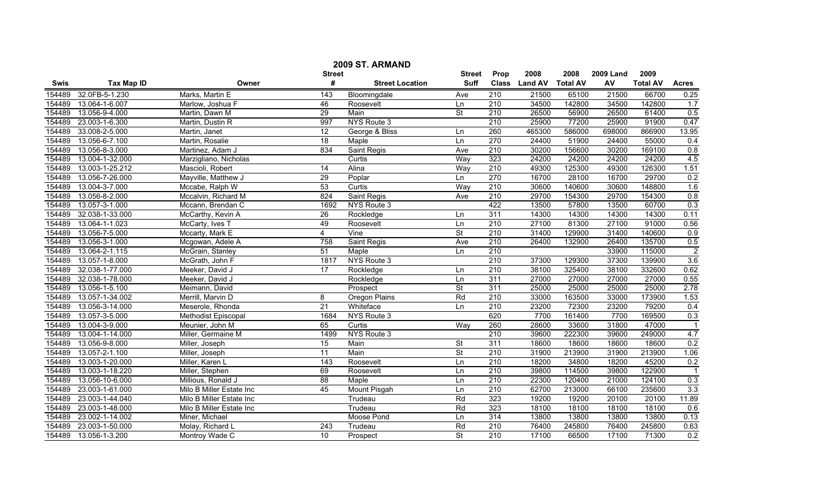|             | 2009 ST. ARMAND<br>2008<br>2009<br><b>Street</b><br><b>Street</b><br>Prop<br>2008<br><b>2009 Land</b> |                            |                 |                        |                          |                  |                |                 |        |                 |                         |
|-------------|-------------------------------------------------------------------------------------------------------|----------------------------|-----------------|------------------------|--------------------------|------------------|----------------|-----------------|--------|-----------------|-------------------------|
| <b>Swis</b> | <b>Tax Map ID</b>                                                                                     | Owner                      | #               | <b>Street Location</b> | <b>Suff</b>              | <b>Class</b>     | <b>Land AV</b> | <b>Total AV</b> | AV     | <b>Total AV</b> | <b>Acres</b>            |
| 154489      | 32.0FB-5-1.230                                                                                        | Marks, Martin E            | 143             | Bloomingdale           | Ave                      | 210              | 21500          | 65100           | 21500  | 66700           | 0.25                    |
| 154489      | 13.064-1-6.007                                                                                        | Marlow, Joshua F           | 46              | Roosevelt              | Ln                       | $\overline{210}$ | 34500          | 142800          | 34500  | 142800          | 1.7                     |
| 154489      | 13.056-9-4.000                                                                                        | Martin, Dawn M             | 29              | Main                   | <b>St</b>                | $\overline{210}$ | 26500          | 56900           | 26500  | 61400           | 0.5                     |
| 154489      | 23.003-1-6.300                                                                                        | Martin, Dustin R           | 997             | NYS Route 3            |                          | 210              | 25900          | 77200           | 25900  | 91900           | 0.47                    |
| 154489      | 33.008-2-5.000                                                                                        | Martin, Janet              | $\overline{12}$ | George & Bliss         | Ln                       | 260              | 465300         | 586000          | 698000 | 866900          | 13.95                   |
| 154489      | 13.056-6-7.100                                                                                        | Martin, Rosalie            | 18              | Maple                  | Ln                       | 270              | 24400          | 51900           | 24400  | 55000           | 0.4                     |
| 154489      | 13.056-8-3.000                                                                                        | Martinez, Adam J           | 834             | Saint Regis            | Ave                      | 210              | 30200          | 156600          | 30200  | 169100          | 0.8                     |
| 154489      | 13.004-1-32.000                                                                                       | Marzigliano, Nicholas      |                 | Curtis                 | Way                      | 323              | 24200          | 24200           | 24200  | 24200           | 4.5                     |
| 154489      | 13.003-1-25.212                                                                                       | Mascioli, Robert           | $\overline{14}$ | Alina                  | Way                      | $\overline{210}$ | 49300          | 125300          | 49300  | 126300          | 1.51                    |
| 154489      | 13.056-7-26.000                                                                                       | Mayville, Matthew J        | $\overline{29}$ | Poplar                 | Ln                       | 270              | 16700          | 28100           | 16700  | 29700           | 0.2                     |
| 154489      | 13.004-3-7.000                                                                                        | Mccabe, Ralph W            | 53              | Curtis                 | Way                      | $\overline{210}$ | 30600          | 140600          | 30600  | 148800          | 1.6                     |
| 154489      | 13.056-8-2.000                                                                                        | Mccalvin, Richard M        | 824             | Saint Regis            | Ave                      | $\overline{210}$ | 29700          | 154300          | 29700  | 154300          | 0.8                     |
| 154489      | 13.057-3-1.000                                                                                        | Mccann, Brendan C          | 1692            | NYS Route 3            |                          | 422              | 13500          | 57800           | 13500  | 60700           | 0.3                     |
| 154489      | 32.038-1-33.000                                                                                       | McCarthy, Kevin A          | $\overline{26}$ | Rockledge              | Ln                       | 311              | 14300          | 14300           | 14300  | 14300           | 0.11                    |
| 154489      | 13.064-1-1.023                                                                                        | McCarty, Ives T            | 49              | Roosevelt              | Ln                       | $\overline{210}$ | 27100          | 81300           | 27100  | 91000           | 0.56                    |
| 154489      | 13.056-7-5.000                                                                                        | Mccarty, Mark E            | 4               | Vine                   | <b>St</b>                | $\overline{210}$ | 31400          | 129900          | 31400  | 140600          | 0.9                     |
| 154489      | 13.056-3-1.000                                                                                        | Mcgowan, Adele A           | 758             | Saint Regis            | Ave                      | 210              | 26400          | 132900          | 26400  | 135700          | 0.5                     |
| 154489      | 13.064-2-1.115                                                                                        | McGrain, Stanley           | 51              | Maple                  | Ln                       | 210              |                |                 | 33900  | 115000          | $\overline{2}$          |
| 154489      | 13.057-1-8.000                                                                                        | McGrath, John F            | 1817            | NYS Route 3            |                          | 210              | 37300          | 129300          | 37300  | 139900          | 3.6                     |
| 154489      | 32.038-1-77.000                                                                                       | Meeker, David J            | 17              | Rockledge              | Ln                       | 210              | 38100          | 325400          | 38100  | 332600          | 0.62                    |
| 154489      | 32.038-1-78.000                                                                                       | Meeker, David J            |                 | Rockledge              | Ln                       | 311              | 27000          | 27000           | 27000  | 27000           | 0.55                    |
| 154489      | 13.056-1-5.100                                                                                        | Meimann, David             |                 | Prospect               | <b>St</b>                | 311              | 25000          | 25000           | 25000  | 25000           | 2.78                    |
| 154489      | 13.057-1-34.002                                                                                       | Merrill, Marvin D          | 8               | <b>Oregon Plains</b>   | Rd                       | $\overline{210}$ | 33000          | 163500          | 33000  | 173900          | 1.53                    |
| 154489      | 13.056-3-14.000                                                                                       | Meserole, Rhonda           | $\overline{21}$ | Whiteface              | Ln                       | $\overline{210}$ | 23200          | 72300           | 23200  | 79200           | 0.4                     |
| 154489      | 13.057-3-5.000                                                                                        | <b>Methodist Episcopal</b> | 1684            | NYS Route 3            |                          | 620              | 7700           | 161400          | 7700   | 169500          | 0.3                     |
| 154489      | 13.004-3-9.000                                                                                        | Meunier, John M            | 65              | Curtis                 | Wav                      | 260              | 28600          | 33600           | 31800  | 47000           | $\overline{\mathbf{1}}$ |
| 154489      | 13.004-1-14.000                                                                                       | Miller, Germaine M         | 1499            | NYS Route 3            |                          | $\overline{210}$ | 39600          | 222300          | 39600  | 249000          | 4.7                     |
| 154489      | 13.056-9-8.000                                                                                        | Miller, Joseph             | $\overline{15}$ | Main                   | $\overline{\mathsf{St}}$ | 311              | 18600          | 18600           | 18600  | 18600           | 0.2                     |
| 154489      | 13.057-2-1.100                                                                                        | Miller, Joseph             | 11              | Main                   | <b>St</b>                | 210              | 31900          | 213900          | 31900  | 213900          | 1.06                    |
| 154489      | 13.003-1-20.000                                                                                       | Miller, Karen L            | 143             | Roosevelt              | Ln                       | 210              | 18200          | 34800           | 18200  | 45200           | 0.2                     |
| 154489      | 13.003-1-18.220                                                                                       | Miller, Stephen            | 69              | Roosevelt              | Ln                       | 210              | 39800          | 114500          | 39800  | 122900          | $\overline{1}$          |
| 154489      | 13.056-10-6.000                                                                                       | Millious, Ronald J         | 88              | Maple                  | Ln                       | 210              | 22300          | 120400          | 21000  | 124100          | 0.3                     |
| 154489      | 23.003-1-61.000                                                                                       | Milo B Miller Estate Inc   | 45              | Mount Pisgah           | Ln                       | 210              | 62700          | 213000          | 66100  | 235600          | 3.3                     |
| 154489      | 23.003-1-44.040                                                                                       | Milo B Miller Estate Inc   |                 | Trudeau                | Rd                       | 323              | 19200          | 19200           | 20100  | 20100           | 11.89                   |
| 154489      | 23.003-1-48.000                                                                                       | Milo B Miller Estate Inc   |                 | Trudeau                | Rd                       | 323              | 18100          | 18100           | 18100  | 18100           | 0.6                     |
| 154489      | 23.002-1-14.002                                                                                       | Miner, Michael             |                 | Moose Pond             | Ln                       | 314              | 13800          | 13800           | 13800  | 13800           | 0.13                    |
| 154489      | 23.003-1-50.000                                                                                       | Molay, Richard L           | 243             | Trudeau                | Rd                       | $\overline{210}$ | 76400          | 245800          | 76400  | 245800          | 0.63                    |
| 154489      | 13.056-1-3.200                                                                                        | Montroy Wade C             | 10              | Prospect               | <b>St</b>                | 210              | 17100          | 66500           | 17100  | 71300           | 0.2                     |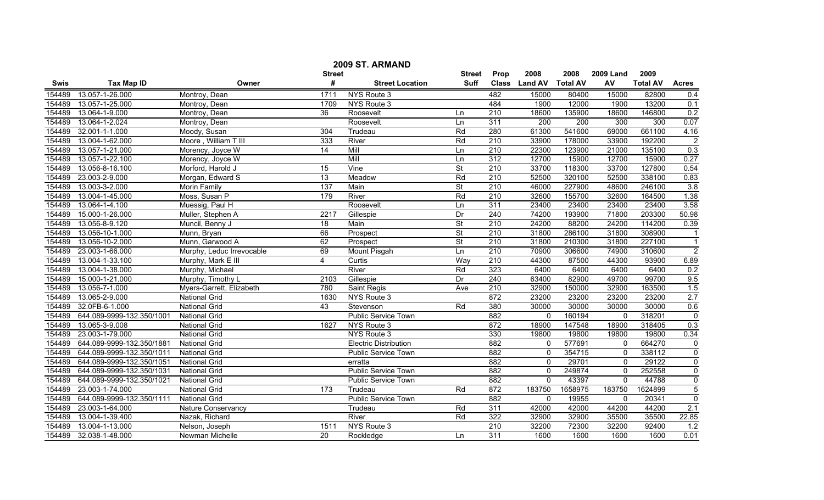| 2009 ST. ARMAND |                           |                           |                  |                              |                  |                  |                  |         |                  |                 |                  |  |
|-----------------|---------------------------|---------------------------|------------------|------------------------------|------------------|------------------|------------------|---------|------------------|-----------------|------------------|--|
|                 |                           |                           | <b>Street</b>    |                              | <b>Street</b>    | <b>Prop</b>      | 2008             | 2008    | <b>2009 Land</b> | 2009            |                  |  |
| <b>Swis</b>     | <b>Tax Map ID</b>         | Owner                     | #                | <b>Street Location</b>       | Suff             | <b>Class</b>     | Land AV Total AV |         | AV               | <b>Total AV</b> | <b>Acres</b>     |  |
| 154489          | 13.057-1-26.000           | Montroy, Dean             | 1711             | NYS Route 3                  |                  | 482              | 15000            | 80400   | 15000            | 82800           | 0.4              |  |
| 154489          | 13.057-1-25.000           | Montroy, Dean             | 1709             | NYS Route 3                  |                  | 484              | 1900             | 12000   | 1900             | 13200           | 0.1              |  |
| 154489          | 13.064-1-9.000            | Montroy, Dean             | $\overline{36}$  | Roosevelt                    | Ln               | $\overline{210}$ | 18600            | 135900  | 18600            | 146800          | 0.2              |  |
| 154489          | 13.064-1-2.024            | Montroy, Dean             |                  | Roosevelt                    | Ln               | 311              | 200              | 200     | 300              | 300             | 0.07             |  |
| 154489          | 32.001-1-1.000            | Moody, Susan              | 304              | Trudeau                      | Rd               | 280              | 61300            | 541600  | 69000            | 661100          | 4.16             |  |
| 154489          | 13.004-1-62.000           | Moore, William T III      | 333              | River                        | Rd               | 210              | 33900            | 178000  | 33900            | 192200          | $\overline{2}$   |  |
| 154489          | 13.057-1-21.000           | Morency, Joyce W          | 14               | Mill                         | Ln               | 210              | 22300            | 123900  | 21000            | 135100          | 0.3              |  |
| 154489          | 13.057-1-22.100           | Morency, Joyce W          |                  | Mill                         | Ln               | 312              | 12700            | 15900   | 12700            | 15900           | 0.27             |  |
| 154489          | 13.056-8-16.100           | Morford, Harold J         | $\overline{15}$  | Vine                         | St               | 210              | 33700            | 118300  | 33700            | 127800          | 0.54             |  |
| 154489          | 23.003-2-9.000            | Morgan, Edward S          | $\overline{13}$  | Meadow                       | Rd               | $\overline{210}$ | 52500            | 320100  | 52500            | 338100          | 0.83             |  |
| 154489          | 13.003-3-2.000            | Morin Family              | $\overline{137}$ | Main                         | <b>St</b>        | 210              | 46000            | 227900  | 48600            | 246100          | 3.8              |  |
| 154489          | 13.004-1-45.000           | Moss, Susan P             | 179              | River                        | Rd               | $\overline{210}$ | 32600            | 155700  | 32600            | 164500          | 1.38             |  |
| 154489          | 13.064-1-4.100            | Muessig, Paul H           |                  | Roosevelt                    | Ln               | 311              | 23400            | 23400   | 23400            | 23400           | 3.58             |  |
| 154489          | 15.000-1-26.000           | Muller, Stephen A         | 2217             | Gillespie                    | Dr               | 240              | 74200            | 193900  | 71800            | 203300          | 50.98            |  |
| 154489          | 13.056-8-9.120            | Muncil, Benny J           | 18               | Main                         | St               | 210              | 24200            | 88200   | 24200            | 114200          | 0.39             |  |
| 154489          | 13.056-10-1.000           | Munn, Bryan               | 66               | Prospect                     | St               | 210              | 31800            | 286100  | 31800            | 308900          | $\mathbf 1$      |  |
| 154489          | 13.056-10-2.000           | Munn, Garwood A           | 62               | Prospect                     | <b>St</b>        | 210              | 31800            | 210300  | 31800            | 227100          | $\mathbf{1}$     |  |
| 154489          | 23.003-1-66.000           | Murphy, Leduc Irrevocable | 69               | <b>Mount Pisgah</b>          | $\overline{\ln}$ | 210              | 70900            | 306600  | 74900            | 310600          | $\overline{2}$   |  |
| 154489          | 13.004-1-33.100           | Murphy, Mark E III        | $\overline{4}$   | Curtis                       | Way              | 210              | 44300            | 87500   | 44300            | 93900           | 6.89             |  |
| 154489          | 13.004-1-38.000           | Murphy, Michael           |                  | River                        | Rd               | 323              | 6400             | 6400    | 6400             | 6400            | 0.2              |  |
| 154489          | 15.000-1-21.000           | Murphy, Timothy L         | 2103             | Gillespie                    | Dr               | 240              | 63400            | 82900   | 49700            | 99700           | 9.5              |  |
| 154489          | 13.056-7-1.000            | Myers-Garrett, Elizabeth  | 780              | Saint Regis                  | Ave              | 210              | 32900            | 150000  | 32900            | 163500          | 1.5              |  |
| 154489          | 13.065-2-9.000            | National Grid             | 1630             | NYS Route 3                  |                  | 872              | 23200            | 23200   | 23200            | 23200           | 2.7              |  |
| 154489          | 32.0FB-6-1.000            | <b>National Grid</b>      | 43               | Stevenson                    | Rd               | 380              | 30000            | 30000   | 30000            | 30000           | 0.6              |  |
| 154489          | 644.089-9999-132.350/1001 | <b>National Grid</b>      |                  | Public Service Town          |                  | 882              | $\Omega$         | 160194  | 0                | 318201          | $\pmb{0}$        |  |
| 154489          | 13.065-3-9.008            | National Grid             | 1627             | NYS Route 3                  |                  | 872              | 18900            | 147548  | 18900            | 318405          | 0.3              |  |
| 154489          | 23.003-1-79.000           | <b>National Grid</b>      |                  | NYS Route 3                  |                  | 330              | 19800            | 19800   | 19800            | 19800           | 0.34             |  |
| 154489          | 644.089-9999-132.350/1881 | <b>National Grid</b>      |                  | <b>Electric Distribution</b> |                  | 882              | $\mathbf{0}$     | 577691  | 0                | 664270          | $\mathbf 0$      |  |
| 154489          | 644.089-9999-132.350/1011 | <b>National Grid</b>      |                  | <b>Public Service Town</b>   |                  | 882              | $\mathbf{0}$     | 354715  | $\mathbf{0}$     | 338112          | $\overline{0}$   |  |
| 154489          | 644.089-9999-132.350/1051 | <b>National Grid</b>      |                  | erratta                      |                  | 882              | $\Omega$         | 29701   | $\mathbf{0}$     | 29122           | $\overline{0}$   |  |
| 154489          | 644.089-9999-132.350/1031 | <b>National Grid</b>      |                  | Public Service Town          |                  | 882              | $\Omega$         | 249874  | 0                | 252558          | $\overline{0}$   |  |
| 154489          | 644.089-9999-132.350/1021 | <b>National Grid</b>      |                  | <b>Public Service Town</b>   |                  | 882              | $\mathbf 0$      | 43397   | 0                | 44788           | $\overline{0}$   |  |
| 154489          | 23.003-1-74.000           | <b>National Grid</b>      | $\overline{173}$ | Trudeau                      | Rd               | 872              | 183750           | 1658975 | 183750           | 1624899         | $\overline{5}$   |  |
| 154489          | 644.089-9999-132.350/1111 | <b>National Grid</b>      |                  | <b>Public Service Town</b>   |                  | 882              | $\mathbf{0}$     | 19955   | $\mathbf{0}$     | 20341           | $\overline{0}$   |  |
| 154489          | 23.003-1-64.000           | Nature Conservancy        |                  | Trudeau                      | Rd               | 311              | 42000            | 42000   | 44200            | 44200           | $\overline{2.1}$ |  |
| 154489          | 13.004-1-39.400           | Nazak, Richard            |                  | River                        | Rd               | 322              | 32900            | 32900   | 35500            | 35500           | 22.85            |  |
| 154489          | 13.004-1-13.000           | Nelson, Joseph            | 1511             | NYS Route 3                  |                  | $\overline{210}$ | 32200            | 72300   | 32200            | 92400           | 1.2              |  |
| 154489          | 32.038-1-48.000           | Newman Michelle           | 20               | Rockledge                    | Ln               | 311              | 1600             | 1600    | 1600             | 1600            | 0.01             |  |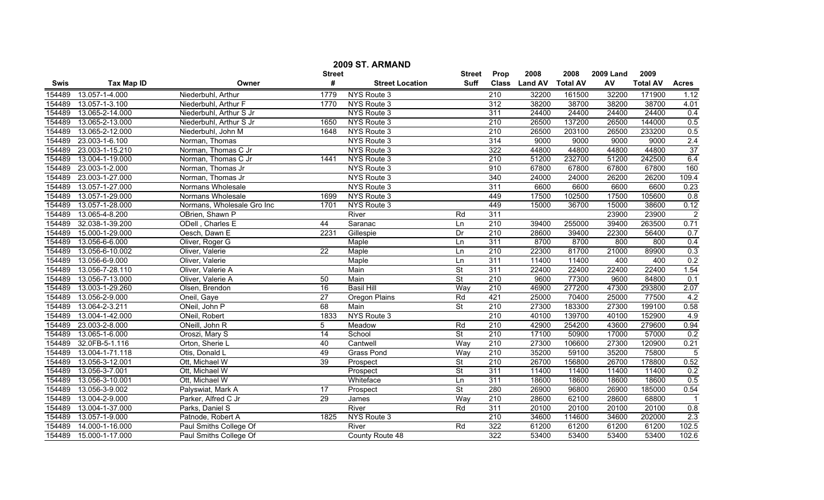|             | 2009 ST. ARMAND                                                                           |                            |                 |                        |                          |                  |                |                 |       |                 |                |  |
|-------------|-------------------------------------------------------------------------------------------|----------------------------|-----------------|------------------------|--------------------------|------------------|----------------|-----------------|-------|-----------------|----------------|--|
|             | 2008<br>2009<br>2008<br><b>2009 Land</b><br><b>Street</b><br><b>Street</b><br><b>Prop</b> |                            |                 |                        |                          |                  |                |                 |       |                 |                |  |
| <b>Swis</b> | <b>Tax Map ID</b>                                                                         | Owner                      | #               | <b>Street Location</b> | <b>Suff</b>              | <b>Class</b>     | <b>Land AV</b> | <b>Total AV</b> | AV    | <b>Total AV</b> | <b>Acres</b>   |  |
| 154489      | 13.057-1-4.000                                                                            | Niederbuhl, Arthur         | 1779            | NYS Route 3            |                          | 210              | 32200          | 161500          | 32200 | 171900          | 1.12           |  |
| 154489      | 13.057-1-3.100                                                                            | Niederbuhl, Arthur F       | 1770            | NYS Route 3            |                          | 312              | 38200          | 38700           | 38200 | 38700           | 4.01           |  |
| 154489      | 13.065-2-14.000                                                                           | Niederbuhl, Arthur S Jr    |                 | NYS Route 3            |                          | $\overline{311}$ | 24400          | 24400           | 24400 | 24400           | 0.4            |  |
| 154489      | 13.065-2-13.000                                                                           | Niederbuhl, Arthur S Jr    | 1650            | NYS Route 3            |                          | 210              | 26500          | 137200          | 26500 | 144000          | 0.5            |  |
| 154489      | 13.065-2-12.000                                                                           | Niederbuhl, John M         | 1648            | NYS Route 3            |                          | 210              | 26500          | 203100          | 26500 | 233200          | 0.5            |  |
| 154489      | 23.003-1-6.100                                                                            | Norman, Thomas             |                 | NYS Route 3            |                          | 314              | 9000           | 9000            | 9000  | 9000            | 2.4            |  |
| 154489      | 23.003-1-15.210                                                                           | Norman, Thomas C Jr        |                 | NYS Route 3            |                          | 322              | 44800          | 44800           | 44800 | 44800           | 37             |  |
| 154489      | 13.004-1-19.000                                                                           | Norman, Thomas C Jr        | 1441            | NYS Route 3            |                          | 210              | 51200          | 232700          | 51200 | 242500          | 6.4            |  |
| 154489      | 23.003-1-2.000                                                                            | Norman, Thomas Jr          |                 | NYS Route 3            |                          | 910              | 67800          | 67800           | 67800 | 67800           | 160            |  |
| 154489      | 23.003-1-27.000                                                                           | Norman, Thomas Jr          |                 | NYS Route 3            |                          | 340              | 24000          | 24000           | 26200 | 26200           | 109.4          |  |
| 154489      | 13.057-1-27.000                                                                           | Normans Wholesale          |                 | NYS Route 3            |                          | 311              | 6600           | 6600            | 6600  | 6600            | 0.23           |  |
| 154489      | 13.057-1-29.000                                                                           | Normans Wholesale          | 1699            | NYS Route 3            |                          | 449              | 17500          | 102500          | 17500 | 105600          | 0.8            |  |
| 154489      | 13.057-1-28.000                                                                           | Normans, Wholesale Gro Inc | 1701            | NYS Route 3            |                          | 449              | 15000          | 36700           | 15000 | 38600           | 0.12           |  |
| 154489      | 13.065-4-8.200                                                                            | OBrien, Shawn P            |                 | River                  | Rd                       | 311              |                |                 | 23900 | 23900           | $\overline{2}$ |  |
| 154489      | 32.038-1-39.200                                                                           | ODell, Charles E           | 44              | Saranac                | Ln                       | 210              | 39400          | 255000          | 39400 | 263500          | 0.71           |  |
| 154489      | 15.000-1-29.000                                                                           | Oesch, Dawn E              | 2231            | Gillespie              | Dr                       | $\overline{210}$ | 28600          | 39400           | 22300 | 56400           | 0.7            |  |
| 154489      | 13.056-6-6.000                                                                            | Oliver, Roger G            |                 | Maple                  | Ln                       | 311              | 8700           | 8700            | 800   | 800             | 0.4            |  |
| 154489      | 13.056-6-10.002                                                                           | Oliver, Valerie            | 22              | Maple                  | Ln                       | 210              | 22300          | 81700           | 21000 | 89900           | 0.3            |  |
| 154489      | 13.056-6-9.000                                                                            | Oliver, Valerie            |                 | Maple                  | Ln                       | 311              | 11400          | 11400           | 400   | 400             | 0.2            |  |
| 154489      | 13.056-7-28.110                                                                           | Oliver, Valerie A          |                 | Main                   | <b>St</b>                | 311              | 22400          | 22400           | 22400 | 22400           | 1.54           |  |
| 154489      | 13.056-7-13.000                                                                           | Oliver, Valerie A          | 50              | Main                   | St                       | 210              | 9600           | 77300           | 9600  | 84800           | 0.1            |  |
| 154489      | 13.003-1-29.260                                                                           | Olsen, Brendon             | 16              | <b>Basil Hill</b>      | Way                      | 210              | 46900          | 277200          | 47300 | 293800          | 2.07           |  |
| 154489      | 13.056-2-9.000                                                                            | Oneil, Gaye                | $\overline{27}$ | Oregon Plains          | Rd                       | 421              | 25000          | 70400           | 25000 | 77500           | 4.2            |  |
| 154489      | 13.064-2-3.211                                                                            | ONeil, John P              | 68              | Main                   | $\overline{\mathsf{St}}$ | 210              | 27300          | 183300          | 27300 | 199100          | 0.58           |  |
| 154489      | 13.004-1-42.000                                                                           | ONeil, Robert              | 1833            | NYS Route 3            |                          | $\overline{210}$ | 40100          | 139700          | 40100 | 152900          | 4.9            |  |
| 154489      | 23.003-2-8.000                                                                            | ONeill, John R             | 5               | Meadow                 | Rd                       | 210              | 42900          | 254200          | 43600 | 279600          | 0.94           |  |
| 154489      | 13.065-1-6.000                                                                            | Oroszi, Mary S             | 14              | School                 | <b>St</b>                | 210              | 17100          | 50900           | 17000 | 57000           | 0.2            |  |
| 154489      | 32.0FB-5-1.116                                                                            | Orton, Sherie L            | 40              | Cantwell               | Way                      | 210              | 27300          | 106600          | 27300 | 120900          | 0.21           |  |
| 154489      | 13.004-1-71.118                                                                           | Otis, Donald L             | 49              | Grass Pond             | Way                      | 210              | 35200          | 59100           | 35200 | 75800           | $\overline{5}$ |  |
| 154489      | 13.056-3-12.001                                                                           | Ott, Michael W             | 39              | Prospect               | <b>St</b>                | 210              | 26700          | 156800          | 26700 | 178800          | 0.52           |  |
| 154489      | 13.056-3-7.001                                                                            | Ott, Michael W             |                 | Prospect               | St                       | 311              | 11400          | 11400           | 11400 | 11400           | 0.2            |  |
| 154489      | 13.056-3-10.001                                                                           | Ott, Michael W             |                 | Whiteface              | Ln                       | 311              | 18600          | 18600           | 18600 | 18600           | 0.5            |  |
| 154489      | 13.056-3-9.002                                                                            | Palyswiat, Mark A          | 17              | Prospect               | <b>St</b>                | 280              | 26900          | 96800           | 26900 | 185000          | 0.54           |  |
| 154489      | 13.004-2-9.000                                                                            | Parker, Alfred C Jr        | 29              | James                  | Way                      | $\overline{210}$ | 28600          | 62100           | 28600 | 68800           |                |  |
| 154489      | 13.004-1-37.000                                                                           | Parks, Daniel S            |                 | River                  | Rd                       | 311              | 20100          | 20100           | 20100 | 20100           | 0.8            |  |
| 154489      | 13.057-1-9.000                                                                            | Patnode, Robert A          | 1825            | NYS Route 3            |                          | 210              | 34600          | 114600          | 34600 | 202000          | 2.3            |  |
| 154489      | 14.000-1-16.000                                                                           | Paul Smiths College Of     |                 | River                  | Rd                       | 322              | 61200          | 61200           | 61200 | 61200           | 102.5          |  |
| 154489      | 15.000-1-17.000                                                                           | Paul Smiths College Of     |                 | County Route 48        |                          | 322              | 53400          | 53400           | 53400 | 53400           | 102.6          |  |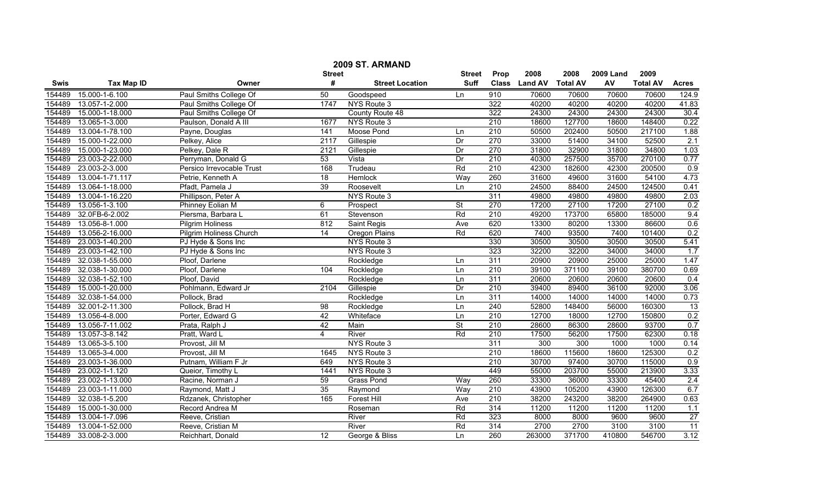| 2009 ST. ARMAND |                   |                           |                   |                        |               |                  |                  |        |                  |                 |              |  |
|-----------------|-------------------|---------------------------|-------------------|------------------------|---------------|------------------|------------------|--------|------------------|-----------------|--------------|--|
|                 |                   |                           | <b>Street</b>     |                        | <b>Street</b> | <b>Prop</b>      | 2008             | 2008   | <b>2009 Land</b> | 2009            |              |  |
| <b>Swis</b>     | <b>Tax Map ID</b> | Owner                     | #                 | <b>Street Location</b> | <b>Suff</b>   | <b>Class</b>     | Land AV Total AV |        | AV               | <b>Total AV</b> | <b>Acres</b> |  |
| 154489          | 15.000-1-6.100    | Paul Smiths College Of    | 50                | Goodspeed              | Ln            | 910              | 70600            | 70600  | 70600            | 70600           | 124.9        |  |
| 154489          | 13.057-1-2.000    | Paul Smiths College Of    | 1747              | NYS Route 3            |               | 322              | 40200            | 40200  | 40200            | 40200           | 41.83        |  |
| 154489          | 15.000-1-18.000   | Paul Smiths College Of    |                   | County Route 48        |               | 322              | 24300            | 24300  | 24300            | 24300           | 30.4         |  |
| 154489          | 13.065-1-3.000    | Paulson, Donald A III     | 1677              | NYS Route 3            |               | 210              | 18600            | 127700 | 18600            | 148400          | 0.22         |  |
| 154489          | 13.004-1-78.100   | Payne, Douglas            | 141               | Moose Pond             | Ln            | 210              | 50500            | 202400 | 50500            | 217100          | 1.88         |  |
| 154489          | 15.000-1-22.000   | Pelkey, Alice             | 2117              | Gillespie              | Dr            | 270              | 33000            | 51400  | 34100            | 52500           | 2.1          |  |
| 154489          | 15.000-1-23.000   | Pelkey, Dale R            | 2121              | Gillespie              | Dr            | 270              | 31800            | 32900  | 31800            | 34800           | 1.03         |  |
| 154489          | 23.003-2-22.000   | Perryman, Donald G        | 53                | Vista                  | Dr            | 210              | 40300            | 257500 | 35700            | 270100          | 0.77         |  |
| 154489          | 23.003-2-3.000    | Persico Irrevocable Trust | 168               | Trudeau                | Rd            | 210              | 42300            | 182600 | 42300            | 200500          | 0.9          |  |
| 154489          | 13.004-1-71.117   | Petrie, Kenneth A         | $\overline{18}$   | Hemlock                | Way           | 260              | 31600            | 49600  | 31600            | 54100           | 4.73         |  |
| 154489          | 13.064-1-18.000   | Pfadt, Pamela J           | $\overline{39}$   | Roosevelt              | Ln            | 210              | 24500            | 88400  | 24500            | 124500          | 0.41         |  |
| 154489          | 13.004-1-16.220   | Phillipson, Peter A       |                   | NYS Route 3            |               | $\overline{311}$ | 49800            | 49800  | 49800            | 49800           | 2.03         |  |
| 154489          | 13.056-1-3.100    | Phinney Eolian M          | 6                 | Prospect               | <b>St</b>     | 270              | 17200            | 27100  | 17200            | 27100           | 0.2          |  |
| 154489          | 32.0FB-6-2.002    | Piersma, Barbara L        | 61                | Stevenson              | Rd            | 210              | 49200            | 173700 | 65800            | 185000          | 9.4          |  |
| 154489          | 13.056-8-1.000    | <b>Pilgrim Holiness</b>   | 812               | Saint Regis            | Ave           | 620              | 13300            | 80200  | 13300            | 86600           | 0.6          |  |
| 154489          | 13.056-2-16.000   | Pilgrim Holiness Church   | $\overline{14}$   | Oregon Plains          | Rd            | 620              | 7400             | 93500  | 7400             | 101400          | 0.2          |  |
| 154489          | 23.003-1-40.200   | PJ Hyde & Sons Inc        |                   | NYS Route 3            |               | 330              | 30500            | 30500  | 30500            | 30500           | 5.41         |  |
| 154489          | 23.003-1-42.100   | PJ Hyde & Sons Inc        |                   | NYS Route 3            |               | 323              | 32200            | 32200  | 34000            | 34000           | 1.7          |  |
| 154489          | 32.038-1-55.000   | Ploof, Darlene            |                   | Rockledge              | Ln            | 311              | 20900            | 20900  | 25000            | 25000           | 1.47         |  |
| 154489          | 32.038-1-30.000   | Ploof, Darlene            | 104               | Rockledge              | Ln            | 210              | 39100            | 371100 | 39100            | 380700          | 0.69         |  |
| 154489          | 32.038-1-52.100   | Ploof. David              |                   | Rockledge              | Ln            | 311              | 20600            | 20600  | 20600            | 20600           | 0.4          |  |
| 154489          | 15.000-1-20.000   | Pohlmann, Edward Jr       | 2104              | Gillespie              | Dr            | 210              | 39400            | 89400  | 36100            | 92000           | 3.06         |  |
| 154489          | 32.038-1-54.000   | Pollock, Brad             |                   | Rockledge              | Ln            | 311              | 14000            | 14000  | 14000            | 14000           | 0.73         |  |
| 154489          | 32.001-2-11.300   | Pollock, Brad H           | $\overline{98}$   | Rockledge              | Ln            | $\overline{240}$ | 52800            | 148400 | 56000            | 160300          | 13           |  |
| 154489          | 13.056-4-8.000    | Porter, Edward G          | 42                | Whiteface              | Ln            | $\overline{210}$ | 12700            | 18000  | 12700            | 150800          | 0.2          |  |
| 154489          | 13.056-7-11.002   | Prata, Ralph J            | 42                | Main                   | St            | $\overline{210}$ | 28600            | 86300  | 28600            | 93700           | 0.7          |  |
| 154489          | 13.057-3-8.142    | Pratt, Ward L             | $\overline{4}$    | River                  | Rd            | 210              | 17500            | 56200  | 17500            | 62300           | 0.18         |  |
| 154489          | 13.065-3-5.100    | Provost, Jill M           |                   | NYS Route 3            |               | 311              | 300              | 300    | 1000             | 1000            | 0.14         |  |
| 154489          | 13.065-3-4.000    | Provost, Jill M           | 1645              | NYS Route 3            |               | 210              | 18600            | 115600 | 18600            | 125300          | 0.2          |  |
| 154489          | 23.003-1-36.000   | Putnam, William F Jr      | 649               | NYS Route 3            |               | 210              | 30700            | 97400  | 30700            | 115000          | 0.9          |  |
| 154489          | 23.002-1-1.120    | Queior, Timothy L         | 1441              | NYS Route 3            |               | 449              | 55000            | 203700 | 55000            | 213900          | 3.33         |  |
| 154489          | 23.002-1-13.000   | Racine, Norman J          | 59                | <b>Grass Pond</b>      | Way           | 260              | 33300            | 36000  | 33300            | 45400           | 2.4          |  |
| 154489          | 23.003-1-11.000   | Raymond, Matt J           | 35                | Raymond                | Way           | 210              | 43900            | 105200 | 43900            | 126300          | 6.7          |  |
| 154489          | 32.038-1-5.200    | Rdzanek, Christopher      | 165               | <b>Forest Hill</b>     | Ave           | $\overline{210}$ | 38200            | 243200 | 38200            | 264900          | 0.63         |  |
| 154489          | 15.000-1-30.000   | Record Andrea M           |                   | Roseman                | Rd            | 314              | 11200            | 11200  | 11200            | 11200           | 1.1          |  |
| 154489          | 13.004-1-7.096    | Reeve, Cristian           |                   | River                  | Rd            | 323              | 8000             | 8000   | 9600             | 9600            | 27           |  |
| 154489          | 13.004-1-52.000   | Reeve, Cristian M         |                   | River                  | Rd            | 314              | 2700             | 2700   | 3100             | 3100            | 11           |  |
| 154489          | 33.008-2-3.000    | Reichhart, Donald         | $12 \overline{ }$ | George & Bliss         | Ln            | 260              | 263000           | 371700 | 410800           | 546700          | 3.12         |  |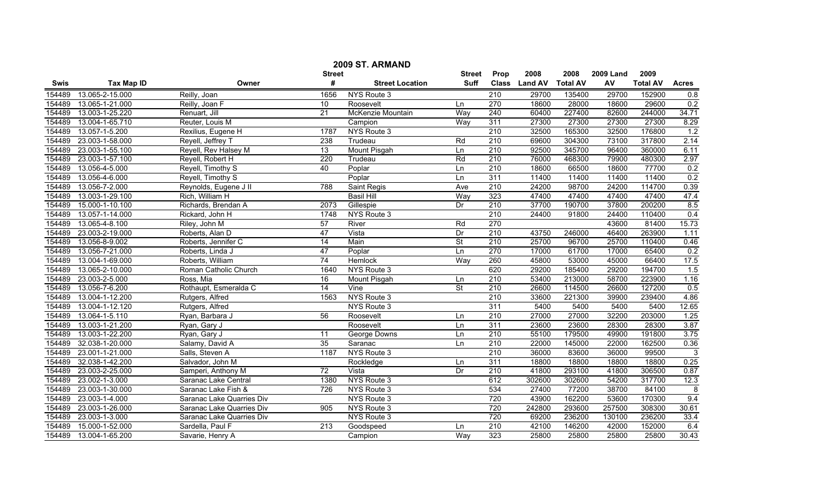|        | 2009 ST. ARMAND   |                           |                  |                        |                          |                  |                |                 |                  |                 |                |  |
|--------|-------------------|---------------------------|------------------|------------------------|--------------------------|------------------|----------------|-----------------|------------------|-----------------|----------------|--|
|        |                   |                           | <b>Street</b>    |                        | <b>Street</b>            | Prop             | 2008           | 2008            | <b>2009 Land</b> | 2009            |                |  |
| Swis   | <b>Tax Map ID</b> | Owner                     | #                | <b>Street Location</b> | <b>Suff</b>              | <b>Class</b>     | <b>Land AV</b> | <b>Total AV</b> | AV               | <b>Total AV</b> | <b>Acres</b>   |  |
| 154489 | 13.065-2-15.000   | Reilly, Joan              | 1656             | NYS Route 3            |                          | 210              | 29700          | 135400          | 29700            | 152900          | 0.8            |  |
| 154489 | 13.065-1-21.000   | Reilly, Joan F            | 10               | Roosevelt              | Ln                       | 270              | 18600          | 28000           | 18600            | 29600           | 0.2            |  |
| 154489 | 13.003-1-25.220   | Renuart, Jill             | 21               | McKenzie Mountain      | Way                      | 240              | 60400          | 227400          | 82600            | 244000          | 34.71          |  |
| 154489 | 13.004-1-65.710   | Reuter, Louis M           |                  | Campion                | Way                      | 311              | 27300          | 27300           | 27300            | 27300           | 8.29           |  |
| 154489 | 13.057-1-5.200    | Rexilius, Eugene H        | 1787             | NYS Route 3            |                          | 210              | 32500          | 165300          | 32500            | 176800          | 1.2            |  |
| 154489 | 23.003-1-58.000   | Reyell, Jeffrey T         | 238              | Trudeau                | Rd                       | 210              | 69600          | 304300          | 73100            | 317800          | 2.14           |  |
| 154489 | 23.003-1-55.100   | Reyell, Rev Halsey M      | 13               | <b>Mount Pisgah</b>    | Ln                       | 210              | 92500          | 345700          | 96400            | 360000          | 6.11           |  |
| 154489 | 23.003-1-57.100   | Reyell, Robert H          | 220              | Trudeau                | Rd                       | 210              | 76000          | 468300          | 79900            | 480300          | 2.97           |  |
| 154489 | 13.056-4-5.000    | Reyell, Timothy S         | 40               | Poplar                 | Ln                       | $\overline{210}$ | 18600          | 66500           | 18600            | 77700           | 0.2            |  |
| 154489 | 13.056-4-6.000    | Reyell, Timothy S         |                  | Poplar                 | Ln                       | 311              | 11400          | 11400           | 11400            | 11400           | 0.2            |  |
| 154489 | 13.056-7-2.000    | Reynolds, Eugene J II     | 788              | Saint Regis            | Ave                      | 210              | 24200          | 98700           | 24200            | 114700          | 0.39           |  |
| 154489 | 13.003-1-29.100   | Rich, William H           |                  | <b>Basil Hill</b>      | Way                      | 323              | 47400          | 47400           | 47400            | 47400           | 47.4           |  |
| 154489 | 15.000-1-10.100   | Richards, Brendan A       | 2073             | Gillespie              | Dr                       | 210              | 37700          | 190700          | 37800            | 200200          | 8.5            |  |
| 154489 | 13.057-1-14.000   | Rickard, John H           | 1748             | NYS Route 3            |                          | 210              | 24400          | 91800           | 24400            | 110400          | 0.4            |  |
| 154489 | 13.065-4-8.100    | Riley, John M             | 57               | River                  | Rd                       | 270              |                |                 | 43600            | 81400           | 15.73          |  |
| 154489 | 23.003-2-19.000   | Roberts, Alan D           | 47               | Vista                  | Dr                       | 210              | 43750          | 246000          | 46400            | 263900          | 1.11           |  |
| 154489 | 13.056-8-9.002    | Roberts, Jennifer C       | 14               | Main                   | <b>St</b>                | 210              | 25700          | 96700           | 25700            | 110400          | 0.46           |  |
| 154489 | 13.056-7-21.000   | Roberts, Linda J          | 47               | Poplar                 | $\overline{\ln}$         | 270              | 17000          | 61700           | 17000            | 65400           | 0.2            |  |
| 154489 | 13.004-1-69.000   | Roberts, William          | 74               | <b>Hemlock</b>         | Way                      | 260              | 45800          | 53000           | 45000            | 66400           | 17.5           |  |
| 154489 | 13.065-2-10.000   | Roman Catholic Church     | 1640             | NYS Route 3            |                          | 620              | 29200          | 185400          | 29200            | 194700          | 1.5            |  |
| 154489 | 23.003-2-5.000    | Ross, Mia                 | 16               | Mount Pisgah           | Ln                       | 210              | 53400          | 213000          | 58700            | 223900          | 1.16           |  |
| 154489 | 13.056-7-6.200    | Rothaupt, Esmeralda C     | 14               | Vine                   | $\overline{\mathsf{St}}$ | 210              | 26600          | 114500          | 26600            | 127200          | 0.5            |  |
| 154489 | 13.004-1-12.200   | Rutgers, Alfred           | 1563             | NYS Route 3            |                          | 210              | 33600          | 221300          | 39900            | 239400          | 4.86           |  |
| 154489 | 13.004-1-12.120   | Rutgers, Alfred           |                  | NYS Route 3            |                          | $\overline{311}$ | 5400           | 5400            | 5400             | 5400            | 12.65          |  |
| 154489 | 13.064-1-5.110    | Ryan, Barbara J           | 56               | Roosevelt              | Ln                       | 210              | 27000          | 27000           | 32200            | 203000          | 1.25           |  |
| 154489 | 13.003-1-21.200   | Ryan, Gary J              |                  | Roosevelt              | Ln                       | 311              | 23600          | 23600           | 28300            | 28300           | 3.87           |  |
| 154489 | 13.003-1-22.200   | Ryan, Gary J              | 11               | George Downs           | Ln                       | 210              | 55100          | 179500          | 49900            | 191800          | 3.75           |  |
| 154489 | 32.038-1-20.000   | Salamy, David A           | 35               | Saranac                | Ln                       | 210              | 22000          | 145000          | 22000            | 162500          | 0.36           |  |
| 154489 | 23.001-1-21.000   | Salls, Steven A           | 1187             | NYS Route 3            |                          | 210              | 36000          | 83600           | 36000            | 99500           | 3              |  |
| 154489 | 32.038-1-42.200   | Salvador, John M          |                  | Rockledge              | Ln                       | 311              | 18800          | 18800           | 18800            | 18800           | 0.25           |  |
| 154489 | 23.003-2-25.000   | Samperi, Anthony M        | 72               | Vista                  | Dr                       | 210              | 41800          | 293100          | 41800            | 306500          | 0.87           |  |
| 154489 | 23.002-1-3.000    | Saranac Lake Central      | 1380             | NYS Route 3            |                          | 612              | 302600         | 302600          | 54200            | 317700          | 12.3           |  |
| 154489 | 23.003-1-30.000   | Saranac Lake Fish &       | 726              | NYS Route 3            |                          | 534              | 27400          | 77200           | 38700            | 84100           | $\overline{8}$ |  |
| 154489 | 23.003-1-4.000    | Saranac Lake Quarries Div |                  | NYS Route 3            |                          | 720              | 43900          | 162200          | 53600            | 170300          | 9.4            |  |
| 154489 | 23.003-1-26.000   | Saranac Lake Quarries Div | 905              | NYS Route 3            |                          | 720              | 242800         | 293600          | 257500           | 308300          | 30.61          |  |
| 154489 | 23.003-1-3.000    | Saranac Lake Quarries Div |                  | NYS Route 3            |                          | 720              | 69200          | 236200          | 130100           | 236200          | 33.4           |  |
| 154489 | 15.000-1-52.000   | Sardella, Paul F          | $\overline{213}$ | Goodspeed              | Ln                       | 210              | 42100          | 146200          | 42000            | 152000          | 6.4            |  |
| 154489 | 13.004-1-65.200   | Savarie, Henry A          |                  | Campion                | Way                      | 323              | 25800          | 25800           | 25800            | 25800           | 30.43          |  |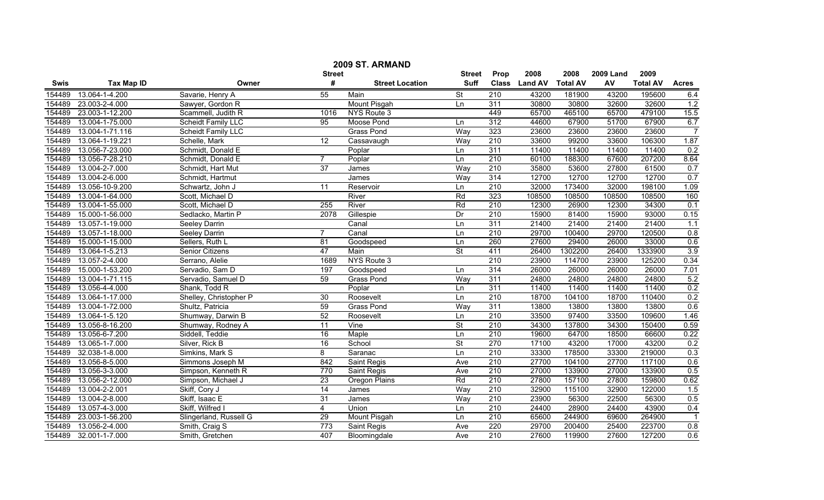| 2009 ST. ARMAND |                   |                           |                         |                        |                          |                  |                |                 |                  |                 |                |
|-----------------|-------------------|---------------------------|-------------------------|------------------------|--------------------------|------------------|----------------|-----------------|------------------|-----------------|----------------|
|                 |                   |                           | <b>Street</b>           |                        | <b>Street</b>            | Prop             | 2008           | 2008            | <b>2009 Land</b> | 2009            |                |
| Swis            | <b>Tax Map ID</b> | Owner                     | #                       | <b>Street Location</b> | Suff                     | <b>Class</b>     | <b>Land AV</b> | <b>Total AV</b> | AV               | <b>Total AV</b> | <b>Acres</b>   |
| 154489          | 13.064-1-4.200    | Savarie, Henry A          | 55                      | Main                   | St                       | 210              | 43200          | 181900          | 43200            | 195600          | 6.4            |
| 154489          | 23.003-2-4.000    | Sawyer, Gordon R          |                         | Mount Pisgah           | Ln                       | 311              | 30800          | 30800           | 32600            | 32600           | 1.2            |
| 154489          | 23.003-1-12.200   | Scammell, Judith R        | 1016                    | NYS Route 3            |                          | 449              | 65700          | 465100          | 65700            | 479100          | 15.5           |
| 154489          | 13.004-1-75.000   | Scheidt Family LLC        | 95                      | Moose Pond             | Ln                       | 312              | 44600          | 67900           | 51700            | 67900           | 6.7            |
| 154489          | 13.004-1-71.116   | <b>Scheidt Family LLC</b> |                         | <b>Grass Pond</b>      | Way                      | 323              | 23600          | 23600           | 23600            | 23600           | $\overline{7}$ |
| 154489          | 13.064-1-19.221   | Schelle, Mark             | $\overline{12}$         | Cassavaugh             | Way                      | 210              | 33600          | 99200           | 33600            | 106300          | 1.87           |
| 154489          | 13.056-7-23.000   | Schmidt, Donald E         |                         | Poplar                 | Ln                       | 311              | 11400          | 11400           | 11400            | 11400           | 0.2            |
| 154489          | 13.056-7-28.210   | Schmidt, Donald E         | $\overline{7}$          | Poplar                 | $\overline{\mathsf{Ln}}$ | 210              | 60100          | 188300          | 67600            | 207200          | 8.64           |
| 154489          | 13.004-2-7.000    | Schmidt, Hart Mut         | $\overline{37}$         | James                  | Way                      | $\overline{210}$ | 35800          | 53600           | 27800            | 61500           | 0.7            |
| 154489          | 13.004-2-6.000    | Schmidt, Hartmut          |                         | James                  | Way                      | 314              | 12700          | 12700           | 12700            | 12700           | 0.7            |
| 154489          | 13.056-10-9.200   | Schwartz, John J          | 11                      | Reservoir              | Ln                       | 210              | 32000          | 173400          | 32000            | 198100          | 1.09           |
| 154489          | 13.004-1-64.000   | Scott, Michael D          |                         | River                  | Rd                       | 323              | 108500         | 108500          | 108500           | 108500          | 160            |
| 154489          | 13.004-1-55.000   | Scott, Michael D          | $\overline{255}$        | River                  | Rd                       | 210              | 12300          | 26900           | 12300            | 34300           | 0.1            |
| 154489          | 15.000-1-56.000   | Sedlacko, Martin P        | 2078                    | Gillespie              | Dr                       | 210              | 15900          | 81400           | 15900            | 93000           | 0.15           |
| 154489          | 13.057-1-19.000   | Seeley Darrin             |                         | Canal                  | Ln                       | 311              | 21400          | 21400           | 21400            | 21400           | 1.1            |
| 154489          | 13.057-1-18.000   | Seeley Darrin             | $\overline{7}$          | Canal                  | Ln                       | 210              | 29700          | 100400          | 29700            | 120500          | 0.8            |
| 154489          | 15.000-1-15.000   | Sellers, Ruth L           | 81                      | Goodspeed              | Ln                       | 260              | 27600          | 29400           | 26000            | 33000           | 0.6            |
| 154489          | 13.064-1-5.213    | <b>Senior Citizens</b>    | 47                      | Main                   | <b>St</b>                | 411              | 26400          | 1302200         | 26400            | 1333900         | 3.9            |
| 154489          | 13.057-2-4.000    | Serrano, Alelie           | 1689                    | NYS Route 3            |                          | 210              | 23900          | 114700          | 23900            | 125200          | 0.34           |
| 154489          | 15.000-1-53.200   | Servadio, Sam D           | 197                     | Goodspeed              | Ln                       | 314              | 26000          | 26000           | 26000            | 26000           | 7.01           |
| 154489          | 13.004-1-71.115   | Servadio, Samuel D        | 59                      | <b>Grass Pond</b>      | Way                      | 311              | 24800          | 24800           | 24800            | 24800           | 5.2            |
| 154489          | 13.056-4-4.000    | Shank, Todd R             |                         | Poplar                 | Ln                       | 311              | 11400          | 11400           | 11400            | 11400           | 0.2            |
| 154489          | 13.064-1-17.000   | Shelley, Christopher P    | 30                      | Roosevelt              | Ln                       | 210              | 18700          | 104100          | 18700            | 110400          | 0.2            |
| 154489          | 13.004-1-72.000   | Shultz, Patricia          | 59                      | Grass Pond             | Way                      | 311              | 13800          | 13800           | 13800            | 13800           | 0.6            |
| 154489          | 13.064-1-5.120    | Shumway, Darwin B         | 52                      | Roosevelt              | Ln                       | 210              | 33500          | 97400           | 33500            | 109600          | 1.46           |
| 154489          | 13.056-8-16.200   | Shumway, Rodney A         | $\overline{11}$         | Vine                   | St                       | 210              | 34300          | 137800          | 34300            | 150400          | 0.59           |
| 154489          | 13.056-6-7.200    | Siddell, Teddie           | 16                      | Maple                  | Ln                       | 210              | 19600          | 64700           | 18500            | 66600           | 0.22           |
| 154489          | 13.065-1-7.000    | Silver, Rick B            | 16                      | School                 | $\overline{\mathsf{St}}$ | 270              | 17100          | 43200           | 17000            | 43200           | 0.2            |
| 154489          | 32.038-1-8.000    | Simkins, Mark S           | 8                       | Saranac                | Ln                       | 210              | 33300          | 178500          | 33300            | 219000          | 0.3            |
| 154489          | 13.056-8-5.000    | Simmons Joseph M          | 842                     | Saint Regis            | Ave                      | 210              | 27700          | 104100          | 27700            | 117100          | 0.6            |
| 154489          | 13.056-3-3.000    | Simpson, Kenneth R        | 770                     | Saint Regis            | Ave                      | 210              | 27000          | 133900          | 27000            | 133900          | 0.5            |
| 154489          | 13.056-2-12.000   | Simpson, Michael J        | 23                      | Oregon Plains          | Rd                       | 210              | 27800          | 157100          | 27800            | 159800          | 0.62           |
| 154489          | 13.004-2-2.001    | Skiff, Cory J             | 14                      | James                  | Way                      | 210              | 32900          | 115100          | 32900            | 122000          | 1.5            |
| 154489          | 13.004-2-8.000    | Skiff, Isaac E            | $\overline{31}$         | James                  | Way                      | 210              | 23900          | 56300           | 22500            | 56300           | 0.5            |
| 154489          | 13.057-4-3.000    | Skiff, Wilfred I          | $\overline{\mathbf{4}}$ | Union                  | Ln                       | 210              | 24400          | 28900           | 24400            | 43900           | 0.4            |
| 154489          | 23.003-1-56.200   | Slingerland, Russell G    | $\overline{29}$         | Mount Pisgah           | Ln                       | 210              | 65600          | 244900          | 69600            | 264900          |                |
| 154489          | 13.056-2-4.000    | Smith, Craig S            | 773                     | Saint Regis            | Ave                      | 220              | 29700          | 200400          | 25400            | 223700          | 0.8            |
| 154489          | 32.001-1-7.000    | Smith, Gretchen           | 407                     | Bloomingdale           | Ave                      | 210              | 27600          | 119900          | 27600            | 127200          | 0.6            |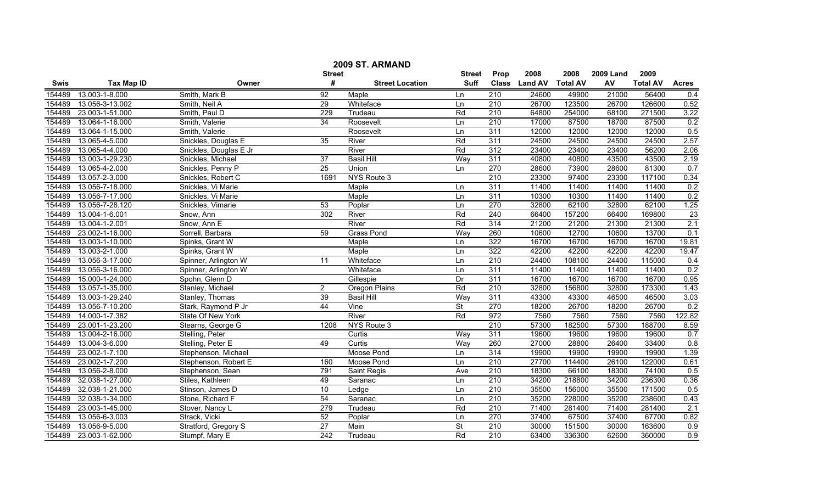|             | 2009 ST. ARMAND   |                        |                 |                        |                          |                  |                |                 |                  |                 |                   |  |
|-------------|-------------------|------------------------|-----------------|------------------------|--------------------------|------------------|----------------|-----------------|------------------|-----------------|-------------------|--|
|             |                   |                        | <b>Street</b>   |                        | <b>Street</b>            | Prop             | 2008           | 2008            | <b>2009 Land</b> | 2009            |                   |  |
| <b>Swis</b> | <b>Tax Map ID</b> | Owner                  | #               | <b>Street Location</b> | <b>Suff</b>              | <b>Class</b>     | <b>Land AV</b> | <b>Total AV</b> | AV               | <b>Total AV</b> | <b>Acres</b>      |  |
| 154489      | 13.003-1-8.000    | Smith, Mark B          | 92              | Maple                  | Ln                       | 210              | 24600          | 49900           | 21000            | 56400           | 0.4               |  |
| 154489      | 13.056-3-13.002   | Smith, Neil A          | 29              | Whiteface              | Ln                       | 210              | 26700          | 123500          | 26700            | 126600          | 0.52              |  |
| 154489      | 23.003-1-51.000   | Smith, Paul D          | 229             | Trudeau                | Rd                       | $\overline{210}$ | 64800          | 254000          | 68100            | 271500          | 3.22              |  |
| 154489      | 13.064-1-16.000   | Smith, Valerie         | 34              | Roosevelt              | Ln                       | 210              | 17000          | 87500           | 18700            | 87500           | 0.2               |  |
| 154489      | 13.064-1-15.000   | Smith, Valerie         |                 | Roosevelt              | Ln                       | 311              | 12000          | 12000           | 12000            | 12000           | 0.5               |  |
| 154489      | 13.065-4-5.000    | Snickles, Douglas E    | 35              | River                  | Rd                       | 311              | 24500          | 24500           | 24500            | 24500           | 2.57              |  |
| 154489      | 13.065-4-4.000    | Snickles, Douglas E Jr |                 | River                  | Rd                       | 312              | 23400          | 23400           | 23400            | 56200           | 2.06              |  |
| 154489      | 13.003-1-29.230   | Snickles, Michael      | 37              | <b>Basil Hill</b>      | Way                      | 311              | 40800          | 40800           | 43500            | 43500           | 2.19              |  |
| 154489      | 13.065-4-2.000    | Snickles, Penny P      | 25              | Union                  | Ln                       | 270              | 28600          | 73900           | 28600            | 81300           | 0.7               |  |
| 154489      | 13.057-2-3.000    | Snickles, Robert C     | 1691            | NYS Route 3            |                          | 210              | 23300          | 97400           | 23300            | 117100          | 0.34              |  |
| 154489      | 13.056-7-18.000   | Snickles, Vi Marie     |                 | Maple                  | Ln                       | $\overline{311}$ | 11400          | 11400           | 11400            | 11400           | 0.2               |  |
| 154489      | 13.056-7-17.000   | Snickles, Vi Marie     |                 | Maple                  | Ln                       | 311              | 10300          | 10300           | 11400            | 11400           | 0.2               |  |
| 154489      | 13.056-7-28.120   | Snickles, Vimarie      | 53              | Poplar                 | Ln                       | 270              | 32800          | 62100           | 32800            | 62100           | $\overline{1.25}$ |  |
| 154489      | 13.004-1-6.001    | Snow, Ann              | 302             | River                  | Rd                       | $\overline{240}$ | 66400          | 157200          | 66400            | 169800          | 23                |  |
| 154489      | 13.004-1-2.001    | Snow, Ann E            |                 | River                  | Rd                       | 314              | 21200          | 21200           | 21300            | 21300           | 2.1               |  |
| 154489      | 23.002-1-16.000   | Sorrell, Barbara       | 59              | <b>Grass Pond</b>      | Way                      | 260              | 10600          | 12700           | 10600            | 13700           | 0.1               |  |
| 154489      | 13.003-1-10.000   | Spinks, Grant W        |                 | Maple                  | Ln                       | 322              | 16700          | 16700           | 16700            | 16700           | 19.81             |  |
| 154489      | 13.003-2-1.000    | Spinks, Grant W        |                 | Maple                  | $\overline{\mathsf{Ln}}$ | 322              | 42200          | 42200           | 42200            | 42200           | 19.47             |  |
| 154489      | 13.056-3-17.000   | Spinner, Arlington W   | 11              | Whiteface              | Ln                       | 210              | 24400          | 108100          | 24400            | 115000          | 0.4               |  |
| 154489      | 13.056-3-16.000   | Spinner, Arlington W   |                 | Whiteface              | Ln                       | 311              | 11400          | 11400           | 11400            | 11400           | 0.2               |  |
| 154489      | 15.000-1-24.000   | Spohn, Glenn D         |                 | Gillespie              | Dr                       | 311              | 16700          | 16700           | 16700            | 16700           | 0.95              |  |
| 154489      | 13.057-1-35.000   | Stanley, Michael       | 2               | Oregon Plains          | Rd                       | 210              | 32800          | 156800          | 32800            | 173300          | 1.43              |  |
| 154489      | 13.003-1-29.240   | Stanley, Thomas        | 39              | <b>Basil Hill</b>      | Way                      | 311              | 43300          | 43300           | 46500            | 46500           | 3.03              |  |
| 154489      | 13.056-7-10.200   | Stark, Raymond P Jr    | 44              | Vine                   | $\overline{\mathsf{St}}$ | 270              | 18200          | 26700           | 18200            | 26700           | 0.2               |  |
| 154489      | 14.000-1-7.382    | State Of New York      |                 | River                  | Rd                       | 972              | 7560           | 7560            | 7560             | 7560            | 122.82            |  |
| 154489      | 23.001-1-23.200   | Stearns, George G      | 1208            | NYS Route 3            |                          | $\overline{210}$ | 57300          | 182500          | 57300            | 188700          | 8.59              |  |
| 154489      | 13.004-2-16.000   | Stelling, Peter        |                 | Curtis                 | Way                      | 311              | 19600          | 19600           | 19600            | 19600           | 0.7               |  |
| 154489      | 13.004-3-6.000    | Stelling, Peter E      | 49              | Curtis                 | Way                      | 260              | 27000          | 28800           | 26400            | 33400           | 0.8               |  |
| 154489      | 23.002-1-7.100    | Stephenson, Michael    |                 | Moose Pond             | Ln                       | 314              | 19900          | 19900           | 19900            | 19900           | 1.39              |  |
| 154489      | 23.002-1-7.200    | Stephenson, Robert E   | 160             | Moose Pond             | Ln                       | 210              | 27700          | 114400          | 26100            | 122000          | 0.61              |  |
| 154489      | 13.056-2-8.000    | Stephenson, Sean       | 791             | Saint Regis            | Ave                      | 210              | 18300          | 66100           | 18300            | 74100           | 0.5               |  |
| 154489      | 32.038-1-27.000   | Stiles, Kathleen       | 49              | Saranac                | Ln                       | 210              | 34200          | 218800          | 34200            | 236300          | 0.36              |  |
| 154489      | 32.038-1-21.000   | Stinson, James D       | 10              | Ledge                  | Ln                       | 210              | 35500          | 156000          | 35500            | 171500          | 0.5               |  |
| 154489      | 32.038-1-34.000   | Stone, Richard F       | 54              | Saranac                | Ln                       | 210              | 35200          | 228000          | 35200            | 238600          | 0.43              |  |
| 154489      | 23.003-1-45.000   | Stover, Nancy L        | 279             | Trudeau                | Rd                       | 210              | 71400          | 281400          | 71400            | 281400          | $\overline{2.1}$  |  |
| 154489      | 13.056-6-3.003    | Strack, Vicki          | 52              | Poplar                 | Ln                       | 270              | 37400          | 67500           | 37400            | 67700           | 0.82              |  |
| 154489      | 13.056-9-5.000    | Stratford, Gregory S   | $\overline{27}$ | Main                   | $\overline{\mathsf{St}}$ | $\overline{210}$ | 30000          | 151500          | 30000            | 163600          | $\overline{0.9}$  |  |
| 154489      | 23.003-1-62.000   | Stumpf, Mary E         | 242             | Trudeau                | Rd                       | 210              | 63400          | 336300          | 62600            | 360000          | $\overline{0.9}$  |  |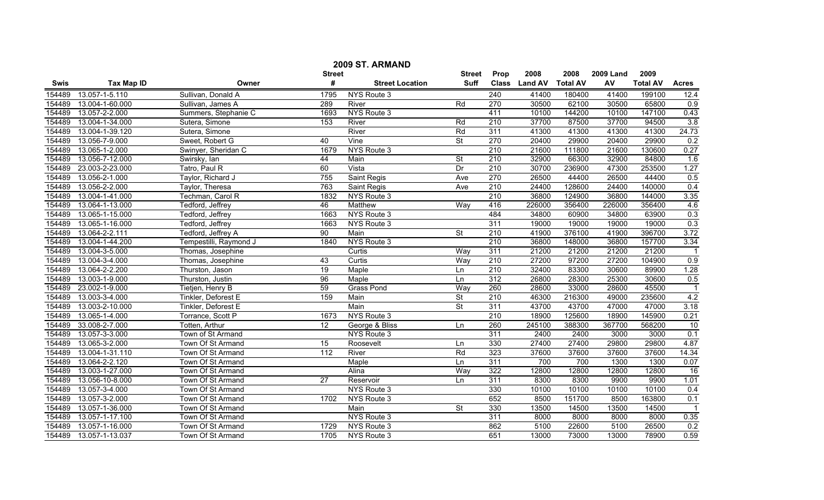|             | 2009 ST. ARMAND   |                        |                 |                        |                          |                  |                |                 |                  |                 |                  |  |
|-------------|-------------------|------------------------|-----------------|------------------------|--------------------------|------------------|----------------|-----------------|------------------|-----------------|------------------|--|
|             |                   |                        | <b>Street</b>   |                        | <b>Street</b>            | Prop             | 2008           | 2008            | <b>2009 Land</b> | 2009            |                  |  |
| <b>Swis</b> | <b>Tax Map ID</b> | Owner                  | #               | <b>Street Location</b> | <b>Suff</b>              | <b>Class</b>     | <b>Land AV</b> | <b>Total AV</b> | AV               | <b>Total AV</b> | <b>Acres</b>     |  |
| 154489      | 13.057-1-5.110    | Sullivan, Donald A     | 1795            | NYS Route 3            |                          | 240              | 41400          | 180400          | 41400            | 199100          | 12.4             |  |
| 154489      | 13.004-1-60.000   | Sullivan, James A      | 289             | River                  | Rd                       | 270              | 30500          | 62100           | 30500            | 65800           | 0.9              |  |
| 154489      | 13.057-2-2.000    | Summers, Stephanie C   | 1693            | NYS Route 3            |                          | 411              | 10100          | 144200          | 10100            | 147100          | 0.43             |  |
| 154489      | 13.004-1-34.000   | Sutera, Simone         | 153             | River                  | Rd                       | 210              | 37700          | 87500           | 37700            | 94500           | 3.8              |  |
| 154489      | 13.004-1-39.120   | Sutera, Simone         |                 | River                  | Rd                       | 311              | 41300          | 41300           | 41300            | 41300           | 24.73            |  |
| 154489      | 13.056-7-9.000    | Sweet, Robert G        | 40              | Vine                   | <b>St</b>                | 270              | 20400          | 29900           | 20400            | 29900           | 0.2              |  |
| 154489      | 13.065-1-2.000    | Swinyer, Sheridan C    | 1679            | NYS Route 3            |                          | 210              | 21600          | 111800          | 21600            | 130600          | 0.27             |  |
| 154489      | 13.056-7-12.000   | Swirsky, lan           | 44              | Main                   | St                       | 210              | 32900          | 66300           | 32900            | 84800           | 1.6              |  |
| 154489      | 23.003-2-23.000   | Tatro, Paul R          | 60              | Vista                  | $\overline{Dr}$          | 210              | 30700          | 236900          | 47300            | 253500          | 1.27             |  |
| 154489      | 13.056-2-1.000    | Taylor, Richard J      | 755             | <b>Saint Regis</b>     | Ave                      | 270              | 26500          | 44400           | 26500            | 44400           | 0.5              |  |
| 154489      | 13.056-2-2.000    | Taylor, Theresa        | 763             | Saint Regis            | Ave                      | 210              | 24400          | 128600          | 24400            | 140000          | 0.4              |  |
| 154489      | 13.004-1-41.000   | Techman, Carol R       | 1832            | NYS Route 3            |                          | 210              | 36800          | 124900          | 36800            | 144000          | 3.35             |  |
| 154489      | 13.064-1-13.000   | Tedford, Jeffrey       | 46              | Matthew                | Way                      | 416              | 226000         | 356400          | 226000           | 356400          | 4.6              |  |
| 154489      | 13.065-1-15.000   | Tedford, Jeffrey       | 1663            | NYS Route 3            |                          | 484              | 34800          | 60900           | 34800            | 63900           | 0.3              |  |
| 154489      | 13.065-1-16.000   | Tedford, Jeffrey       | 1663            | NYS Route 3            |                          | 311              | 19000          | 19000           | 19000            | 19000           | 0.3              |  |
| 154489      | 13.064-2-2.111    | Tedford, Jeffrey A     | 90              | Main                   | <b>St</b>                | 210              | 41900          | 376100          | 41900            | 396700          | 3.72             |  |
| 154489      | 13.004-1-44.200   | Tempestilli, Raymond J | 1840            | NYS Route 3            |                          | 210              | 36800          | 148000          | 36800            | 157700          | 3.34             |  |
| 154489      | 13.004-3-5.000    | Thomas, Josephine      |                 | Curtis                 | Way                      | 311              | 21200          | 21200           | 21200            | 21200           |                  |  |
| 154489      | 13.004-3-4.000    | Thomas, Josephine      | 43              | Curtis                 | Way                      | 210              | 27200          | 97200           | 27200            | 104900          | 0.9              |  |
| 154489      | 13.064-2-2.200    | Thurston, Jason        | 19              | Maple                  | Ln                       | 210              | 32400          | 83300           | 30600            | 89900           | 1.28             |  |
| 154489      | 13.003-1-9.000    | Thurston, Justin       | 96              | Maple                  | Ln                       | 312              | 26800          | 28300           | 25300            | 30600           | 0.5              |  |
| 154489      | 23.002-1-9.000    | Tietjen, Henry B       | 59              | <b>Grass Pond</b>      | Way                      | 260              | 28600          | 33000           | 28600            | 45500           | $\overline{1}$   |  |
| 154489      | 13.003-3-4.000    | Tinkler, Deforest E    | 159             | Main                   | $\overline{\mathsf{St}}$ | $\overline{210}$ | 46300          | 216300          | 49000            | 235600          | 4.2              |  |
| 154489      | 13.003-2-10.000   | Tinkler, Deforest E    |                 | Main                   | $\overline{\mathsf{St}}$ | 311              | 43700          | 43700           | 47000            | 47000           | 3.18             |  |
| 154489      | 13.065-1-4.000    | Torrance, Scott P      | 1673            | NYS Route 3            |                          | $\overline{210}$ | 18900          | 125600          | 18900            | 145900          | 0.21             |  |
| 154489      | 33.008-2-7.000    | Totten, Arthur         | 12              | George & Bliss         | Ln                       | 260              | 245100         | 388300          | 367700           | 568200          | $\overline{10}$  |  |
| 154489      | 13.057-3-3.000    | Town of St Armand      |                 | NYS Route 3            |                          | 311              | 2400           | 2400            | 3000             | 3000            | 0.1              |  |
| 154489      | 13.065-3-2.000    | Town Of St Armand      | 15              | Roosevelt              | Ln                       | 330              | 27400          | 27400           | 29800            | 29800           | 4.87             |  |
| 154489      | 13.004-1-31.110   | Town Of St Armand      | 112             | River                  | Rd                       | 323              | 37600          | 37600           | 37600            | 37600           | 14.34            |  |
| 154489      | 13.064-2-2.120    | Town Of St Armand      |                 | Maple                  | Ln                       | 311              | 700            | 700             | 1300             | 1300            | 0.07             |  |
| 154489      | 13.003-1-27.000   | Town Of St Armand      |                 | Alina                  | Way                      | 322              | 12800          | 12800           | 12800            | 12800           | 16               |  |
| 154489      | 13.056-10-8.000   | Town Of St Armand      | $\overline{27}$ | Reservoir              | Ln                       | 311              | 8300           | 8300            | 9900             | 9900            | 1.01             |  |
| 154489      | 13.057-3-4.000    | Town Of St Armand      |                 | NYS Route 3            |                          | 330              | 10100          | 10100           | 10100            | 10100           | 0.4              |  |
| 154489      | 13.057-3-2.000    | Town Of St Armand      | 1702            | NYS Route 3            |                          | 652              | 8500           | 151700          | 8500             | 163800          | 0.1              |  |
| 154489      | 13.057-1-36.000   | Town Of St Armand      |                 | Main                   | St                       | 330              | 13500          | 14500           | 13500            | 14500           | -1               |  |
| 154489      | 13.057-1-17.100   | Town Of St Armand      |                 | NYS Route 3            |                          | 311              | 8000           | 8000            | 8000             | 8000            | 0.35             |  |
| 154489      | 13.057-1-16.000   | Town Of St Armand      | 1729            | NYS Route 3            |                          | 862              | 5100           | 22600           | 5100             | 26500           | $\overline{0.2}$ |  |
| 154489      | 13.057-1-13.037   | Town Of St Armand      | 1705            | NYS Route 3            |                          | 651              | 13000          | 73000           | 13000            | 78900           | 0.59             |  |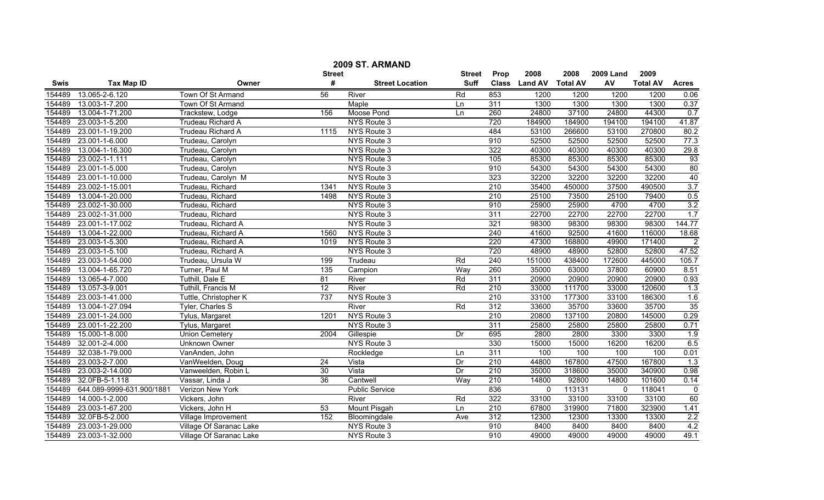| 2009 ST. ARMAND |                           |                          |                  |                        |               |                  |                  |        |                  |                 |                  |
|-----------------|---------------------------|--------------------------|------------------|------------------------|---------------|------------------|------------------|--------|------------------|-----------------|------------------|
|                 |                           |                          | <b>Street</b>    |                        | <b>Street</b> | <b>Prop</b>      | 2008             | 2008   | <b>2009 Land</b> | 2009            |                  |
| <b>Swis</b>     | <b>Tax Map ID</b>         | Owner                    | #                | <b>Street Location</b> | <b>Suff</b>   | <b>Class</b>     | Land AV Total AV |        | AV               | <b>Total AV</b> | <b>Acres</b>     |
| 154489          | 13.065-2-6.120            | Town Of St Armand        | 56               | River                  | Rd            | 853              | 1200             | 1200   | 1200             | 1200            | 0.06             |
| 154489          | 13.003-1-7.200            | Town Of St Armand        |                  | Maple                  | Ln            | $\overline{311}$ | 1300             | 1300   | 1300             | 1300            | 0.37             |
| 154489          | 13.004-1-71.200           | Trackstew, Lodge         | 156              | Moose Pond             | Ln            | 260              | 24800            | 37100  | 24800            | 44300           | 0.7              |
| 154489          | 23.003-1-5.200            | <b>Trudeau Richard A</b> |                  | NYS Route 3            |               | 720              | 184900           | 184900 | 194100           | 194100          | 41.87            |
| 154489          | 23.001-1-19.200           | <b>Trudeau Richard A</b> | 1115             | NYS Route 3            |               | 484              | 53100            | 266600 | 53100            | 270800          | 80.2             |
| 154489          | 23.001-1-6.000            | Trudeau, Carolyn         |                  | NYS Route 3            |               | 910              | 52500            | 52500  | 52500            | 52500           | 77.3             |
| 154489          | 13.004-1-16.300           | Trudeau, Carolyn         |                  | NYS Route 3            |               | 322              | 40300            | 40300  | 40300            | 40300           | 29.8             |
| 154489          | 23.002-1-1.111            | Trudeau, Carolyn         |                  | NYS Route 3            |               | 105              | 85300            | 85300  | 85300            | 85300           | 93               |
| 154489          | 23.001-1-5.000            | Trudeau, Carolyn         |                  | NYS Route 3            |               | 910              | 54300            | 54300  | 54300            | 54300           | 80               |
| 154489          | 23.001-1-10.000           | Trudeau, Carolyn M       |                  | NYS Route 3            |               | 323              | 32200            | 32200  | 32200            | 32200           | 40               |
| 154489          | 23.002-1-15.001           | Trudeau, Richard         | 1341             | NYS Route 3            |               | 210              | 35400            | 450000 | 37500            | 490500          | 3.7              |
| 154489          | 13.004-1-20.000           | Trudeau, Richard         | 1498             | NYS Route 3            |               | 210              | 25100            | 73500  | 25100            | 79400           | 0.5              |
| 154489          | 23.002-1-30.000           | Trudeau, Richard         |                  | NYS Route 3            |               | 910              | 25900            | 25900  | 4700             | 4700            | 3.2              |
| 154489          | 23.002-1-31.000           | Trudeau, Richard         |                  | NYS Route 3            |               | 311              | 22700            | 22700  | 22700            | 22700           | 1.7              |
| 154489          | 23.001-1-17.002           | Trudeau, Richard A       |                  | NYS Route 3            |               | 321              | 98300            | 98300  | 98300            | 98300           | 144.77           |
| 154489          | 13.004-1-22.000           | Trudeau, Richard A       | 1560             | NYS Route 3            |               | 240              | 41600            | 92500  | 41600            | 116000          | 18.68            |
| 154489          | 23.003-1-5.300            | Trudeau, Richard A       | 1019             | NYS Route 3            |               | 220              | 47300            | 168800 | 49900            | 171400          | $\overline{2}$   |
| 154489          | 23.003-1-5.100            | Trudeau, Richard A       |                  | NYS Route 3            |               | 720              | 48900            | 48900  | 52800            | 52800           | 47.52            |
| 154489          | 23.003-1-54.000           | Trudeau, Ursula W        | 199              | Trudeau                | Rd            | 240              | 151000           | 438400 | 172600           | 445000          | 105.7            |
| 154489          | 13.004-1-65.720           | Turner, Paul M           | 135              | Campion                | Way           | 260              | 35000            | 63000  | 37800            | 60900           | 8.51             |
| 154489          | 13.065-4-7.000            | Tuthill, Dale E          | 81               | River                  | Rd            | 311              | 20900            | 20900  | 20900            | 20900           | 0.93             |
| 154489          | 13.057-3-9.001            | Tuthill, Francis M       | 12               | River                  | Rd            | 210              | 33000            | 111700 | 33000            | 120600          | 1.3              |
| 154489          | 23.003-1-41.000           | Tuttle, Christopher K    | $\overline{737}$ | NYS Route 3            |               | $\overline{210}$ | 33100            | 177300 | 33100            | 186300          | 1.6              |
| 154489          | 13.004-1-27.094           | Tyler, Charles S         |                  | River                  | Rd            | 312              | 33600            | 35700  | 33600            | 35700           | 35               |
| 154489          | 23.001-1-24.000           | Tylus, Margaret          | 1201             | NYS Route 3            |               | $\overline{210}$ | 20800            | 137100 | 20800            | 145000          | 0.29             |
| 154489          | 23.001-1-22.200           | Tylus, Margaret          |                  | NYS Route 3            |               | 311              | 25800            | 25800  | 25800            | 25800           | 0.71             |
| 154489          | 15.000-1-8.000            | <b>Union Cemetery</b>    | 2004             | Gillespie              | Dr            | 695              | 2800             | 2800   | 3300             | 3300            | 1.9              |
| 154489          | 32.001-2-4.000            | <b>Unknown Owner</b>     |                  | NYS Route 3            |               | 330              | 15000            | 15000  | 16200            | 16200           | 6.5              |
| 154489          | 32.038-1-79.000           | VanAnden, John           |                  | Rockledge              | Ln            | 311              | 100              | 100    | 100              | 100             | 0.01             |
| 154489          | 23.003-2-7.000            | VanWeelden, Doug         | 24               | Vista                  | Dr            | 210              | 44800            | 167800 | 47500            | 167800          | $\overline{1.3}$ |
| 154489          | 23.003-2-14.000           | Vanweelden, Robin L      | 30               | Vista                  | Dr            | 210              | 35000            | 318600 | 35000            | 340900          | 0.98             |
| 154489          | 32.0FB-5-1.118            | Vassar, Linda J          | 36               | Cantwell               | Way           | 210              | 14800            | 92800  | 14800            | 101600          | 0.14             |
| 154489          | 644.089-9999-631.900/1881 | Verizon New York         |                  | <b>Public Service</b>  |               | 836              | 0                | 113131 | $\mathbf 0$      | 118041          | $\mathbf 0$      |
| 154489          | 14.000-1-2.000            | Vickers, John            |                  | River                  | Rd            | 322              | 33100            | 33100  | 33100            | 33100           | 60               |
| 154489          | 23.003-1-67.200           | Vickers, John H          | 53               | <b>Mount Pisgah</b>    | Ln            | $\overline{210}$ | 67800            | 319900 | 71800            | 323900          | 1.41             |
| 154489          | 32.0FB-5-2.000            | Village Improvement      | 152              | Bloomingdale           | Ave           | 312              | 12300            | 12300  | 13300            | 13300           | 2.2              |
| 154489          | 23.003-1-29.000           | Village Of Saranac Lake  |                  | NYS Route 3            |               | 910              | 8400             | 8400   | 8400             | 8400            | 4.2              |
| 154489          | 23.003-1-32.000           | Village Of Saranac Lake  |                  | NYS Route 3            |               | 910              | 49000            | 49000  | 49000            | 49000           | 49.1             |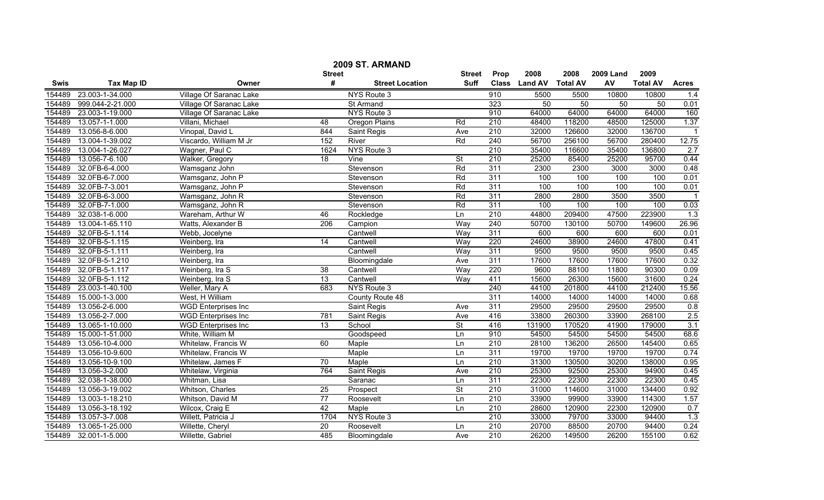| 2009 ST. ARMAND |                   |                            |                 |                        |                          |                  |                |                 |                  |                 |                  |
|-----------------|-------------------|----------------------------|-----------------|------------------------|--------------------------|------------------|----------------|-----------------|------------------|-----------------|------------------|
|                 |                   |                            | <b>Street</b>   |                        | <b>Street</b>            | Prop             | 2008           | 2008            | <b>2009 Land</b> | 2009            |                  |
| <b>Swis</b>     | <b>Tax Map ID</b> | Owner                      | #               | <b>Street Location</b> | <b>Suff</b>              | <b>Class</b>     | <b>Land AV</b> | <b>Total AV</b> | AV               | <b>Total AV</b> | <b>Acres</b>     |
| 154489          | 23.003-1-34.000   | Village Of Saranac Lake    |                 | NYS Route 3            |                          | 910              | 5500           | 5500            | 10800            | 10800           | 1.4              |
| 154489          | 999.044-2-21.000  | Village Of Saranac Lake    |                 | St Armand              |                          | 323              | 50             | 50              | 50               | 50              | 0.01             |
| 154489          | 23.003-1-19.000   | Village Of Saranac Lake    |                 | NYS Route 3            |                          | 910              | 64000          | 64000           | 64000            | 64000           | 160              |
| 154489          | 13.057-1-1.000    | Villani, Michael           | 48              | <b>Oregon Plains</b>   | Rd                       | 210              | 48400          | 118200          | 48500            | 125000          | 1.37             |
| 154489          | 13.056-8-6.000    | Vinopal, David L           | 844             | Saint Regis            | Ave                      | 210              | 32000          | 126600          | 32000            | 136700          | $\mathbf 1$      |
| 154489          | 13.004-1-39.002   | Viscardo, William M Jr     | 152             | River                  | Rd                       | 240              | 56700          | 256100          | 56700            | 280400          | 12.75            |
| 154489          | 13.004-1-26.027   | Wagner, Paul C             | 1624            | NYS Route 3            |                          | 210              | 35400          | 116600          | 35400            | 136800          | 2.7              |
| 154489          | 13.056-7-6.100    | Walker, Gregory            | 18              | Vine                   | $\overline{\mathsf{St}}$ | 210              | 25200          | 85400           | 25200            | 95700           | 0.44             |
| 154489          | 32.0FB-6-4.000    | Wamsganz John              |                 | Stevenson              | Rd                       | 311              | 2300           | 2300            | 3000             | 3000            | 0.48             |
| 154489          | 32.0FB-6-7.000    | Wamsganz, John P           |                 | Stevenson              | Rd                       | $\overline{311}$ | 100            | 100             | 100              | 100             | 0.01             |
| 154489          | 32.0FB-7-3.001    | Wamsganz, John P           |                 | Stevenson              | Rd                       | $\overline{311}$ | 100            | 100             | 100              | 100             | 0.01             |
| 154489          | 32.0FB-6-3.000    | Wamsganz, John R           |                 | Stevenson              | Rd                       | 311              | 2800           | 2800            | 3500             | 3500            |                  |
| 154489          | 32.0FB-7-1.000    | Wamsganz, John R           |                 | Stevenson              | Rd                       | 311              | 100            | 100             | 100              | 100             | 0.03             |
| 154489          | 32.038-1-6.000    | Wareham, Arthur W          | 46              | Rockledge              | Ln                       | 210              | 44800          | 209400          | 47500            | 223900          | $\overline{1.3}$ |
| 154489          | 13.004-1-65.110   | Watts, Alexander B         | 206             | Campion                | Way                      | $\overline{240}$ | 50700          | 130100          | 50700            | 149600          | 26.96            |
| 154489          | 32.0FB-5-1.114    | Webb, Jocelyne             |                 | Cantwell               | Way                      | 311              | 600            | 600             | 600              | 600             | 0.01             |
| 154489          | 32.0FB-5-1.115    | Weinberg, Ira              | $\overline{14}$ | Cantwell               | Way                      | 220              | 24600          | 38900           | 24600            | 47800           | 0.41             |
| 154489          | 32.0FB-5-1.111    | Weinberg, Ira              |                 | Cantwell               | Way                      | 311              | 9500           | 9500            | 9500             | 9500            | 0.45             |
| 154489          | 32.0FB-5-1.210    | Weinberg, Ira              |                 | Bloomingdale           | Ave                      | 311              | 17600          | 17600           | 17600            | 17600           | 0.32             |
| 154489          | 32.0FB-5-1.117    | Weinberg, Ira S            | 38              | Cantwell               | Way                      | 220              | 9600           | 88100           | 11800            | 90300           | 0.09             |
| 154489          | 32.0FB-5-1.112    | Weinberg, Ira S            | $\overline{13}$ | Cantwell               | Way                      | 411              | 15600          | 26300           | 15600            | 31600           | 0.24             |
| 154489          | 23.003-1-40.100   | Weller, Mary A             | 683             | NYS Route 3            |                          | 240              | 44100          | 201800          | 44100            | 212400          | 15.56            |
| 154489          | 15.000-1-3.000    | West, H William            |                 | County Route 48        |                          | 311              | 14000          | 14000           | 14000            | 14000           | 0.68             |
| 154489          | 13.056-2-6.000    | <b>WGD Enterprises Inc</b> |                 | Saint Regis            | Ave                      | 311              | 29500          | 29500           | 29500            | 29500           | 0.8              |
| 154489          | 13.056-2-7.000    | <b>WGD Enterprises Inc</b> | 781             | Saint Regis            | Ave                      | 416              | 33800          | 260300          | 33900            | 268100          | 2.5              |
| 154489          | 13.065-1-10.000   | <b>WGD Enterprises Inc</b> | 13              | School                 | $\overline{\mathsf{St}}$ | 416              | 131900         | 170520          | 41900            | 179000          | 3.1              |
| 154489          | 15.000-1-51.000   | White, William M           |                 | Goodspeed              | Ln                       | 910              | 54500          | 54500           | 54500            | 54500           | 68.6             |
| 154489          | 13.056-10-4.000   | Whitelaw, Francis W        | 60              | Maple                  | Ln                       | $\overline{210}$ | 28100          | 136200          | 26500            | 145400          | 0.65             |
| 154489          | 13.056-10-9.600   | Whitelaw, Francis W        |                 | Maple                  | Ln                       | 311              | 19700          | 19700           | 19700            | 19700           | 0.74             |
| 154489          | 13.056-10-9.100   | Whitelaw, James F          | 70              | Maple                  | Ln                       | 210              | 31300          | 130500          | 30200            | 138000          | 0.95             |
| 154489          | 13.056-3-2.000    | Whitelaw, Virginia         | 764             | Saint Regis            | Ave                      | 210              | 25300          | 92500           | 25300            | 94900           | 0.45             |
| 154489          | 32.038-1-38.000   | Whitman, Lisa              |                 | Saranac                | Ln                       | 311              | 22300          | 22300           | 22300            | 22300           | 0.45             |
| 154489          | 13.056-3-19.002   | Whitson, Charles           | 25              | Prospect               | St                       | 210              | 31000          | 114600          | 31000            | 134400          | 0.92             |
| 154489          | 13.003-1-18.210   | Whitson, David M           | $\overline{77}$ | Roosevelt              | Ln                       | $\overline{210}$ | 33900          | 99900           | 33900            | 114300          | 1.57             |
| 154489          | 13.056-3-18.192   | Wilcox, Craig E            | 42              | Maple                  | Ln                       | 210              | 28600          | 120900          | 22300            | 120900          | 0.7              |
| 154489          | 13.057-3-7.008    | Willett, Patricia J        | 1704            | NYS Route 3            |                          | $\overline{210}$ | 33000          | 79700           | 33000            | 94400           | $\overline{1.3}$ |
| 154489          | 13.065-1-25.000   | Willette, Cheryl           | $\overline{20}$ | Roosevelt              | Ln                       | 210              | 20700          | 88500           | 20700            | 94400           | 0.24             |
| 154489          | 32.001-1-5.000    | Willette, Gabriel          | 485             | Bloomingdale           | Ave                      | 210              | 26200          | 149500          | 26200            | 155100          | 0.62             |